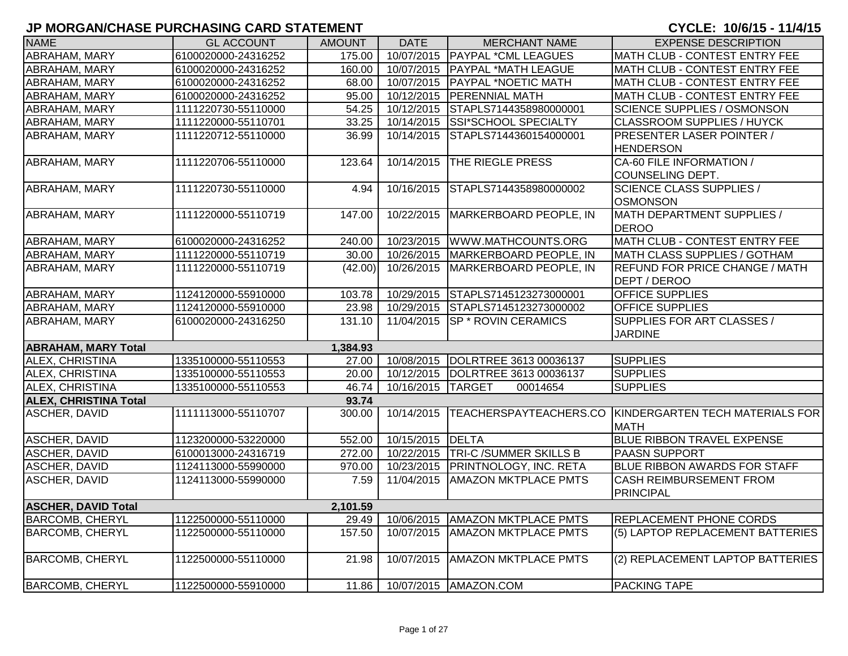| <b>NAME</b>                  | <b>GL ACCOUNT</b>   | <b>AMOUNT</b> | <b>DATE</b>       | <b>MERCHANT NAME</b>                | <b>EXPENSE DESCRIPTION</b>                                            |
|------------------------------|---------------------|---------------|-------------------|-------------------------------------|-----------------------------------------------------------------------|
| <b>ABRAHAM, MARY</b>         | 6100020000-24316252 | 175.00        |                   | 10/07/2015   PAYPAL * CML LEAGUES   | MATH CLUB - CONTEST ENTRY FEE                                         |
| <b>ABRAHAM, MARY</b>         | 6100020000-24316252 | 160.00        |                   | 10/07/2015 PAYPAL *MATH LEAGUE      | MATH CLUB - CONTEST ENTRY FEE                                         |
| <b>ABRAHAM, MARY</b>         | 6100020000-24316252 | 68.00         | 10/07/2015        | <b>PAYPAL *NOETIC MATH</b>          | MATH CLUB - CONTEST ENTRY FEE                                         |
| ABRAHAM, MARY                | 6100020000-24316252 | 95.00         | 10/12/2015        | <b>PERENNIAL MATH</b>               | MATH CLUB - CONTEST ENTRY FEE                                         |
| ABRAHAM, MARY                | 1111220730-55110000 | 54.25         | 10/12/2015        | STAPLS7144358980000001              | <b>SCIENCE SUPPLIES / OSMONSON</b>                                    |
| ABRAHAM, MARY                | 1111220000-55110701 | 33.25         |                   | 10/14/2015 SSI*SCHOOL SPECIALTY     | <b>CLASSROOM SUPPLIES / HUYCK</b>                                     |
| ABRAHAM, MARY                | 1111220712-55110000 | 36.99         | 10/14/2015        | STAPLS7144360154000001              | <b>PRESENTER LASER POINTER /</b><br><b>HENDERSON</b>                  |
| ABRAHAM, MARY                | 1111220706-55110000 | 123.64        | 10/14/2015        | THE RIEGLE PRESS                    | CA-60 FILE INFORMATION /<br><b>COUNSELING DEPT.</b>                   |
| ABRAHAM, MARY                | 1111220730-55110000 | 4.94          | 10/16/2015        | STAPLS7144358980000002              | <b>SCIENCE CLASS SUPPLIES /</b><br><b>OSMONSON</b>                    |
| ABRAHAM, MARY                | 1111220000-55110719 | 147.00        | 10/22/2015        | MARKERBOARD PEOPLE, IN              | MATH DEPARTMENT SUPPLIES /<br><b>DEROO</b>                            |
| <b>ABRAHAM, MARY</b>         | 6100020000-24316252 | 240.00        |                   | 10/23/2015   WWW.MATHCOUNTS.ORG     | MATH CLUB - CONTEST ENTRY FEE                                         |
| ABRAHAM, MARY                | 1111220000-55110719 | 30.00         |                   | 10/26/2015   MARKERBOARD PEOPLE, IN | MATH CLASS SUPPLIES / GOTHAM                                          |
| ABRAHAM, MARY                | 1111220000-55110719 | (42.00)       | 10/26/2015        | MARKERBOARD PEOPLE, IN              | <b>REFUND FOR PRICE CHANGE / MATH</b><br>DEPT / DEROO                 |
| <b>ABRAHAM, MARY</b>         | 1124120000-55910000 | 103.78        | 10/29/2015        | STAPLS7145123273000001              | OFFICE SUPPLIES                                                       |
| <b>ABRAHAM, MARY</b>         | 1124120000-55910000 | 23.98         | 10/29/2015        | STAPLS7145123273000002              | <b>OFFICE SUPPLIES</b>                                                |
| ABRAHAM, MARY                | 6100020000-24316250 | 131.10        | 11/04/2015        | <b>SP * ROVIN CERAMICS</b>          | SUPPLIES FOR ART CLASSES /<br><b>JARDINE</b>                          |
| <b>ABRAHAM, MARY Total</b>   |                     | 1,384.93      |                   |                                     |                                                                       |
| <b>ALEX, CHRISTINA</b>       | 1335100000-55110553 | 27.00         |                   | 10/08/2015 DOLRTREE 3613 00036137   | <b>SUPPLIES</b>                                                       |
| ALEX, CHRISTINA              | 1335100000-55110553 | 20.00         |                   | 10/12/2015  DOLRTREE 3613 00036137  | <b>SUPPLIES</b>                                                       |
| ALEX, CHRISTINA              | 1335100000-55110553 | 46.74         | 10/16/2015 TARGET | 00014654                            | <b>SUPPLIES</b>                                                       |
| <b>ALEX, CHRISTINA Total</b> |                     | 93.74         |                   |                                     |                                                                       |
| ASCHER, DAVID                | 1111113000-55110707 | 300.00        | 10/14/2015        |                                     | TEACHERSPAYTEACHERS.CO KINDERGARTEN TECH MATERIALS FOR<br><b>MATH</b> |
| <b>ASCHER, DAVID</b>         | 1123200000-53220000 | 552.00        | 10/15/2015        | <b>DELTA</b>                        | <b>BLUE RIBBON TRAVEL EXPENSE</b>                                     |
| <b>ASCHER, DAVID</b>         | 6100013000-24316719 | 272.00        |                   | 10/22/2015 TRI-C /SUMMER SKILLS B   | <b>PAASN SUPPORT</b>                                                  |
| ASCHER, DAVID                | 1124113000-55990000 | 970.00        |                   | 10/23/2015   PRINTNOLOGY, INC. RETA | BLUE RIBBON AWARDS FOR STAFF                                          |
| ASCHER, DAVID                | 1124113000-55990000 | 7.59          | 11/04/2015        | <b>AMAZON MKTPLACE PMTS</b>         | <b>CASH REIMBURSEMENT FROM</b><br>PRINCIPAL                           |
| <b>ASCHER, DAVID Total</b>   |                     | 2,101.59      |                   |                                     |                                                                       |
| <b>BARCOMB, CHERYL</b>       | 1122500000-55110000 | 29.49         | 10/06/2015        | <b>AMAZON MKTPLACE PMTS</b>         | <b>REPLACEMENT PHONE CORDS</b>                                        |
| <b>BARCOMB, CHERYL</b>       | 1122500000-55110000 | 157.50        | 10/07/2015        | <b>AMAZON MKTPLACE PMTS</b>         | (5) LAPTOP REPLACEMENT BATTERIES                                      |
| <b>BARCOMB, CHERYL</b>       | 1122500000-55110000 | 21.98         | 10/07/2015        | <b>AMAZON MKTPLACE PMTS</b>         | (2) REPLACEMENT LAPTOP BATTERIES                                      |
| <b>BARCOMB, CHERYL</b>       | 1122500000-55910000 |               |                   | 11.86   10/07/2015   AMAZON.COM     | <b>PACKING TAPE</b>                                                   |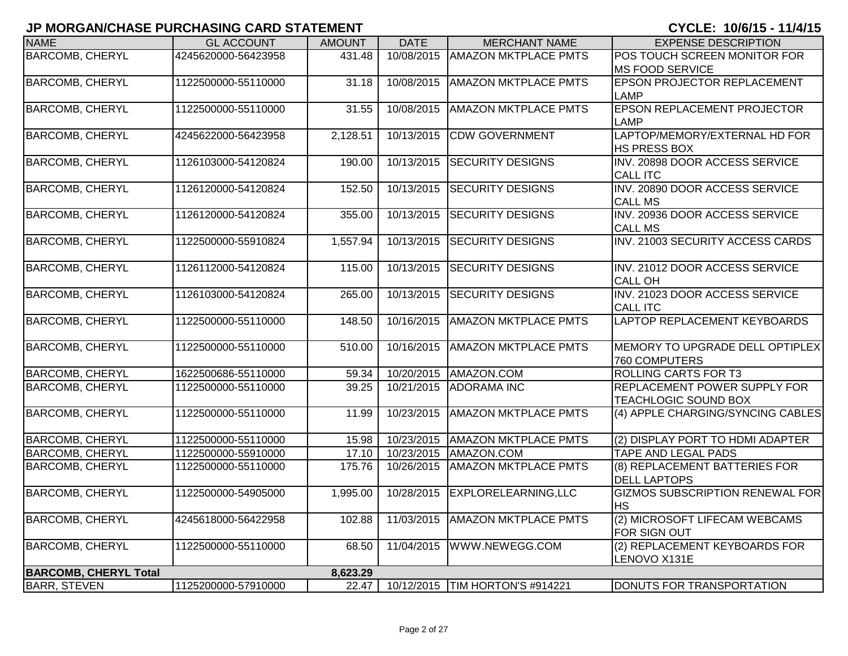| <b>NAME</b>                  | <b>GL ACCOUNT</b>   | <b>AMOUNT</b> | <b>DATE</b> | <b>MERCHANT NAME</b>            | <b>EXPENSE DESCRIPTION</b>                        |
|------------------------------|---------------------|---------------|-------------|---------------------------------|---------------------------------------------------|
| <b>BARCOMB, CHERYL</b>       | 4245620000-56423958 | 431.48        | 10/08/2015  | <b>AMAZON MKTPLACE PMTS</b>     | POS TOUCH SCREEN MONITOR FOR                      |
|                              |                     |               |             |                                 | <b>MS FOOD SERVICE</b>                            |
| <b>BARCOMB, CHERYL</b>       | 1122500000-55110000 | 31.18         | 10/08/2015  | <b>AMAZON MKTPLACE PMTS</b>     | <b>EPSON PROJECTOR REPLACEMENT</b>                |
|                              |                     |               |             |                                 | <b>LAMP</b>                                       |
| <b>BARCOMB, CHERYL</b>       | 1122500000-55110000 | 31.55         | 10/08/2015  | <b>AMAZON MKTPLACE PMTS</b>     | <b>EPSON REPLACEMENT PROJECTOR</b>                |
|                              |                     |               |             |                                 | LAMP                                              |
| <b>BARCOMB, CHERYL</b>       | 4245622000-56423958 | 2,128.51      | 10/13/2015  | <b>CDW GOVERNMENT</b>           | LAPTOP/MEMORY/EXTERNAL HD FOR                     |
|                              |                     |               |             |                                 | HS PRESS BOX                                      |
| <b>BARCOMB, CHERYL</b>       | 1126103000-54120824 | 190.00        | 10/13/2015  | <b>SECURITY DESIGNS</b>         | INV. 20898 DOOR ACCESS SERVICE<br><b>CALL ITC</b> |
| <b>BARCOMB, CHERYL</b>       | 1126120000-54120824 |               | 10/13/2015  | <b>SECURITY DESIGNS</b>         | INV. 20890 DOOR ACCESS SERVICE                    |
|                              |                     | 152.50        |             |                                 | <b>CALL MS</b>                                    |
| <b>BARCOMB, CHERYL</b>       | 1126120000-54120824 | 355.00        | 10/13/2015  | <b>SECURITY DESIGNS</b>         | INV. 20936 DOOR ACCESS SERVICE                    |
|                              |                     |               |             |                                 | <b>CALL MS</b>                                    |
| <b>BARCOMB, CHERYL</b>       | 1122500000-55910824 | 1,557.94      | 10/13/2015  | <b>SECURITY DESIGNS</b>         | INV. 21003 SECURITY ACCESS CARDS                  |
|                              |                     |               |             |                                 |                                                   |
| <b>BARCOMB, CHERYL</b>       | 1126112000-54120824 | 115.00        | 10/13/2015  | <b>SECURITY DESIGNS</b>         | INV. 21012 DOOR ACCESS SERVICE                    |
|                              |                     |               |             |                                 | <b>CALL OH</b>                                    |
| <b>BARCOMB, CHERYL</b>       | 1126103000-54120824 | 265.00        | 10/13/2015  | <b>SECURITY DESIGNS</b>         | INV. 21023 DOOR ACCESS SERVICE                    |
|                              |                     |               |             |                                 | <b>CALL ITC</b>                                   |
| <b>BARCOMB, CHERYL</b>       | 1122500000-55110000 | 148.50        | 10/16/2015  | <b>AMAZON MKTPLACE PMTS</b>     | LAPTOP REPLACEMENT KEYBOARDS                      |
|                              |                     |               |             |                                 |                                                   |
| <b>BARCOMB, CHERYL</b>       | 1122500000-55110000 | 510.00        | 10/16/2015  | <b>AMAZON MKTPLACE PMTS</b>     | MEMORY TO UPGRADE DELL OPTIPLEX                   |
|                              |                     |               |             |                                 | 760 COMPUTERS                                     |
| <b>BARCOMB, CHERYL</b>       | 1622500686-55110000 | 59.34         | 10/20/2015  | AMAZON.COM                      | <b>ROLLING CARTS FOR T3</b>                       |
| <b>BARCOMB, CHERYL</b>       | 1122500000-55110000 | 39.25         | 10/21/2015  | <b>ADORAMA INC</b>              | REPLACEMENT POWER SUPPLY FOR                      |
|                              |                     |               |             |                                 | <b>TEACHLOGIC SOUND BOX</b>                       |
| <b>BARCOMB, CHERYL</b>       | 1122500000-55110000 | 11.99         | 10/23/2015  | <b>AMAZON MKTPLACE PMTS</b>     | (4) APPLE CHARGING/SYNCING CABLES                 |
|                              |                     |               |             |                                 |                                                   |
| <b>BARCOMB, CHERYL</b>       | 1122500000-55110000 | 15.98         | 10/23/2015  | <b>AMAZON MKTPLACE PMTS</b>     | (2) DISPLAY PORT TO HDMI ADAPTER                  |
| <b>BARCOMB, CHERYL</b>       | 1122500000-55910000 | 17.10         | 10/23/2015  | AMAZON.COM                      | <b>TAPE AND LEGAL PADS</b>                        |
| <b>BARCOMB, CHERYL</b>       | 1122500000-55110000 | 175.76        | 10/26/2015  | <b>AMAZON MKTPLACE PMTS</b>     | (8) REPLACEMENT BATTERIES FOR                     |
|                              |                     |               |             |                                 | <b>DELL LAPTOPS</b>                               |
| <b>BARCOMB, CHERYL</b>       | 1122500000-54905000 | 1,995.00      | 10/28/2015  | EXPLORELEARNING,LLC             | <b>GIZMOS SUBSCRIPTION RENEWAL FOR</b>            |
|                              |                     |               |             |                                 | <b>HS</b>                                         |
| <b>BARCOMB, CHERYL</b>       | 4245618000-56422958 | 102.88        | 11/03/2015  | <b>AMAZON MKTPLACE PMTS</b>     | (2) MICROSOFT LIFECAM WEBCAMS                     |
|                              |                     |               |             |                                 | FOR SIGN OUT                                      |
| <b>BARCOMB, CHERYL</b>       | 1122500000-55110000 | 68.50         | 11/04/2015  | WWW.NEWEGG.COM                  | (2) REPLACEMENT KEYBOARDS FOR                     |
|                              |                     |               |             |                                 | LENOVO X131E                                      |
| <b>BARCOMB, CHERYL Total</b> |                     | 8,623.29      |             |                                 |                                                   |
| <b>BARR, STEVEN</b>          | 1125200000-57910000 | 22.47         |             | 10/12/2015 TIM HORTON'S #914221 | DONUTS FOR TRANSPORTATION                         |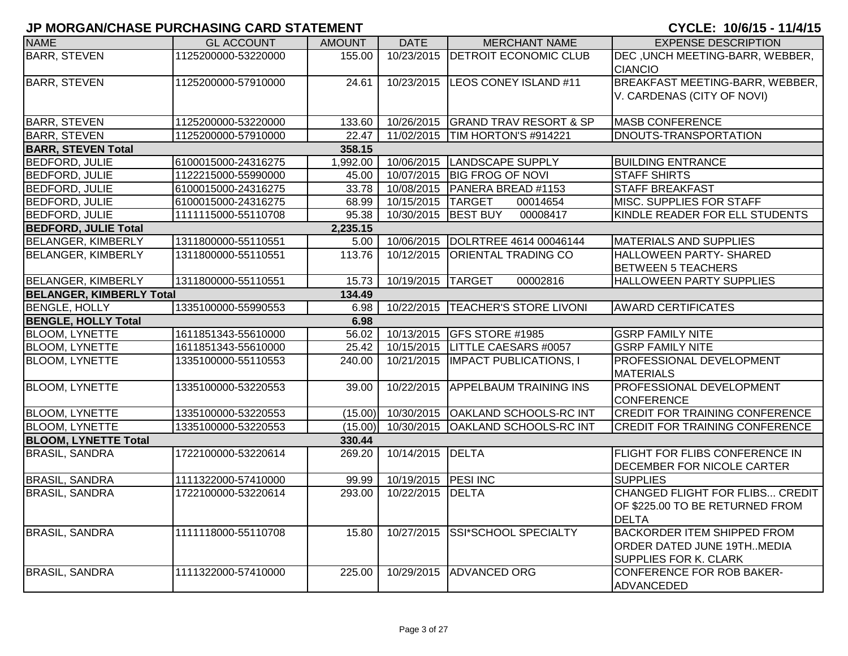| <b>NAME</b>                     | <b>GL ACCOUNT</b>   | <b>AMOUNT</b> | <b>DATE</b>      | <b>MERCHANT NAME</b>              | <b>EXPENSE DESCRIPTION</b>                                                                       |
|---------------------------------|---------------------|---------------|------------------|-----------------------------------|--------------------------------------------------------------------------------------------------|
| <b>BARR, STEVEN</b>             | 1125200000-53220000 | 155.00        | 10/23/2015       | <b>DETROIT ECONOMIC CLUB</b>      | DEC, UNCH MEETING-BARR, WEBBER,<br><b>CIANCIO</b>                                                |
| <b>BARR, STEVEN</b>             | 1125200000-57910000 | 24.61         | 10/23/2015       | LEOS CONEY ISLAND #11             | BREAKFAST MEETING-BARR, WEBBER,<br>V. CARDENAS (CITY OF NOVI)                                    |
| <b>BARR, STEVEN</b>             | 1125200000-53220000 | 133.60        |                  | 10/26/2015 GRAND TRAV RESORT & SP | <b>MASB CONFERENCE</b>                                                                           |
| <b>BARR, STEVEN</b>             | 1125200000-57910000 | 22.47         |                  | 11/02/2015 TIM HORTON'S #914221   | <b>DNOUTS-TRANSPORTATION</b>                                                                     |
| <b>BARR, STEVEN Total</b>       |                     | 358.15        |                  |                                   |                                                                                                  |
| <b>BEDFORD, JULIE</b>           | 6100015000-24316275 | 1,992.00      | 10/06/2015       | LANDSCAPE SUPPLY                  | <b>BUILDING ENTRANCE</b>                                                                         |
| <b>BEDFORD, JULIE</b>           | 1122215000-55990000 | 45.00         |                  | 10/07/2015 BIG FROG OF NOVI       | <b>STAFF SHIRTS</b>                                                                              |
| <b>BEDFORD, JULIE</b>           | 6100015000-24316275 | 33.78         | 10/08/2015       | PANERA BREAD #1153                | <b>STAFF BREAKFAST</b>                                                                           |
| <b>BEDFORD, JULIE</b>           | 6100015000-24316275 | 68.99         | 10/15/2015       | <b>TARGET</b><br>00014654         | MISC. SUPPLIES FOR STAFF                                                                         |
| <b>BEDFORD, JULIE</b>           | 1111115000-55110708 | 95.38         | 10/30/2015       | <b>BEST BUY</b><br>00008417       | KINDLE READER FOR ELL STUDENTS                                                                   |
| <b>BEDFORD, JULIE Total</b>     |                     | 2,235.15      |                  |                                   |                                                                                                  |
| <b>BELANGER, KIMBERLY</b>       | 1311800000-55110551 | 5.00          | 10/06/2015       | DOLRTREE 4614 00046144            | MATERIALS AND SUPPLIES                                                                           |
| <b>BELANGER, KIMBERLY</b>       | 1311800000-55110551 | 113.76        | 10/12/2015       | <b>ORIENTAL TRADING CO</b>        | HALLOWEEN PARTY- SHARED<br><b>BETWEEN 5 TEACHERS</b>                                             |
| <b>BELANGER, KIMBERLY</b>       | 1311800000-55110551 | 15.73         | 10/19/2015       | <b>TARGET</b><br>00002816         | HALLOWEEN PARTY SUPPLIES                                                                         |
| <b>BELANGER, KIMBERLY Total</b> |                     | 134.49        |                  |                                   |                                                                                                  |
| <b>BENGLE, HOLLY</b>            | 1335100000-55990553 | 6.98          | 10/22/2015       | <b>TEACHER'S STORE LIVONI</b>     | <b>AWARD CERTIFICATES</b>                                                                        |
| <b>BENGLE, HOLLY Total</b>      |                     | 6.98          |                  |                                   |                                                                                                  |
| <b>BLOOM, LYNETTE</b>           | 1611851343-55610000 | 56.02         | 10/13/2015       | GFS STORE #1985                   | <b>GSRP FAMILY NITE</b>                                                                          |
| <b>BLOOM, LYNETTE</b>           | 1611851343-55610000 | 25.42         | 10/15/2015       | <b>LITTLE CAESARS #0057</b>       | <b>GSRP FAMILY NITE</b>                                                                          |
| <b>BLOOM, LYNETTE</b>           | 1335100000-55110553 | 240.00        | 10/21/2015       | <b>IMPACT PUBLICATIONS, I</b>     | PROFESSIONAL DEVELOPMENT<br><b>MATERIALS</b>                                                     |
| <b>BLOOM, LYNETTE</b>           | 1335100000-53220553 | 39.00         | 10/22/2015       | <b>APPELBAUM TRAINING INS</b>     | PROFESSIONAL DEVELOPMENT<br><b>CONFERENCE</b>                                                    |
| <b>BLOOM, LYNETTE</b>           | 1335100000-53220553 | (15.00)       | 10/30/2015       | <b>OAKLAND SCHOOLS-RC INT</b>     | <b>CREDIT FOR TRAINING CONFERENCE</b>                                                            |
| <b>BLOOM, LYNETTE</b>           | 1335100000-53220553 | (15.00)       | 10/30/2015       | OAKLAND SCHOOLS-RC INT            | <b>CREDIT FOR TRAINING CONFERENCE</b>                                                            |
| <b>BLOOM, LYNETTE Total</b>     |                     | 330.44        |                  |                                   |                                                                                                  |
| <b>BRASIL, SANDRA</b>           | 1722100000-53220614 | 269.20        | 10/14/2015       | <b>DELTA</b>                      | FLIGHT FOR FLIBS CONFERENCE IN<br>DECEMBER FOR NICOLE CARTER                                     |
| <b>BRASIL, SANDRA</b>           | 1111322000-57410000 | 99.99         | 10/19/2015       | <b>PESI INC</b>                   | <b>SUPPLIES</b>                                                                                  |
| <b>BRASIL, SANDRA</b>           | 1722100000-53220614 | 293.00        | 10/22/2015 DELTA |                                   | CHANGED FLIGHT FOR FLIBS CREDIT<br>OF \$225.00 TO BE RETURNED FROM<br><b>DELTA</b>               |
| <b>BRASIL, SANDRA</b>           | 1111118000-55110708 | 15.80         | 10/27/2015       | SSI*SCHOOL SPECIALTY              | <b>BACKORDER ITEM SHIPPED FROM</b><br>ORDER DATED JUNE 19THMEDIA<br><b>SUPPLIES FOR K. CLARK</b> |
| <b>BRASIL, SANDRA</b>           | 1111322000-57410000 | 225.00        | 10/29/2015       | <b>ADVANCED ORG</b>               | <b>CONFERENCE FOR ROB BAKER-</b><br><b>ADVANCEDED</b>                                            |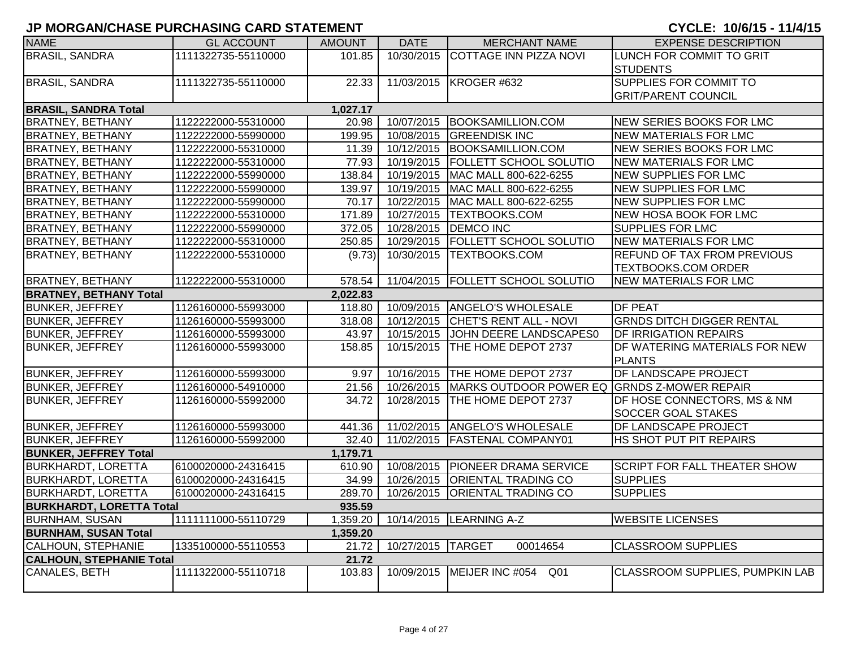| <b>NAME</b>                     | <b>GL ACCOUNT</b>   | <b>AMOUNT</b> | <b>DATE</b>       | <b>MERCHANT NAME</b>                                     | <b>EXPENSE DESCRIPTION</b>             |
|---------------------------------|---------------------|---------------|-------------------|----------------------------------------------------------|----------------------------------------|
| <b>BRASIL, SANDRA</b>           | 1111322735-55110000 | 101.85        |                   | 10/30/2015 COTTAGE INN PIZZA NOVI                        | LUNCH FOR COMMIT TO GRIT               |
|                                 |                     |               |                   |                                                          | <b>STUDENTS</b>                        |
| <b>BRASIL, SANDRA</b>           | 1111322735-55110000 | 22.33         |                   | 11/03/2015 KROGER #632                                   | <b>SUPPLIES FOR COMMIT TO</b>          |
|                                 |                     |               |                   |                                                          | <b>GRIT/PARENT COUNCIL</b>             |
| <b>BRASIL, SANDRA Total</b>     |                     | 1,027.17      |                   |                                                          |                                        |
| <b>BRATNEY, BETHANY</b>         | 1122222000-55310000 | 20.98         |                   | 10/07/2015 BOOKSAMILLION.COM                             | <b>NEW SERIES BOOKS FOR LMC</b>        |
| <b>BRATNEY, BETHANY</b>         | 1122222000-55990000 | 199.95        |                   | 10/08/2015 GREENDISK INC                                 | NEW MATERIALS FOR LMC                  |
| <b>BRATNEY, BETHANY</b>         | 1122222000-55310000 | 11.39         |                   | 10/12/2015 BOOKSAMILLION.COM                             | <b>NEW SERIES BOOKS FOR LMC</b>        |
| <b>BRATNEY, BETHANY</b>         | 1122222000-55310000 | 77.93         |                   | 10/19/2015   FOLLETT SCHOOL SOLUTIO                      | <b>NEW MATERIALS FOR LMC</b>           |
| <b>BRATNEY, BETHANY</b>         | 1122222000-55990000 | 138.84        |                   | 10/19/2015   MAC MALL 800-622-6255                       | <b>NEW SUPPLIES FOR LMC</b>            |
| <b>BRATNEY, BETHANY</b>         | 1122222000-55990000 | 139.97        |                   | 10/19/2015   MAC MALL 800-622-6255                       | <b>NEW SUPPLIES FOR LMC</b>            |
| <b>BRATNEY, BETHANY</b>         | 1122222000-55990000 | 70.17         | 10/22/2015        | MAC MALL 800-622-6255                                    | <b>NEW SUPPLIES FOR LMC</b>            |
| <b>BRATNEY, BETHANY</b>         | 1122222000-55310000 | 171.89        |                   | 10/27/2015  TEXTBOOKS.COM                                | <b>NEW HOSA BOOK FOR LMC</b>           |
| <b>BRATNEY, BETHANY</b>         | 1122222000-55990000 | 372.05        | 10/28/2015        | <b>DEMCO INC</b>                                         | <b>SUPPLIES FOR LMC</b>                |
| <b>BRATNEY, BETHANY</b>         | 1122222000-55310000 | 250.85        |                   | 10/29/2015   FOLLETT SCHOOL SOLUTIO                      | NEW MATERIALS FOR LMC                  |
| <b>BRATNEY, BETHANY</b>         | 1122222000-55310000 | (9.73)        |                   | 10/30/2015   TEXTBOOKS.COM                               | <b>REFUND OF TAX FROM PREVIOUS</b>     |
|                                 |                     |               |                   |                                                          | <b>TEXTBOOKS.COM ORDER</b>             |
| <b>BRATNEY, BETHANY</b>         | 1122222000-55310000 | 578.54        |                   | 11/04/2015 FOLLETT SCHOOL SOLUTIO                        | <b>NEW MATERIALS FOR LMC</b>           |
| <b>BRATNEY, BETHANY Total</b>   |                     | 2,022.83      |                   |                                                          |                                        |
| <b>BUNKER, JEFFREY</b>          | 1126160000-55993000 | 118.80        |                   | 10/09/2015 ANGELO'S WHOLESALE                            | <b>DF PEAT</b>                         |
| <b>BUNKER, JEFFREY</b>          | 1126160000-55993000 | 318.08        |                   | 10/12/2015 CHET'S RENT ALL - NOVI                        | <b>GRNDS DITCH DIGGER RENTAL</b>       |
| <b>BUNKER, JEFFREY</b>          | 1126160000-55993000 | 43.97         | 10/15/2015        | JOHN DEERE LANDSCAPES0                                   | <b>DF IRRIGATION REPAIRS</b>           |
| <b>BUNKER, JEFFREY</b>          | 1126160000-55993000 | 158.85        | 10/15/2015        | THE HOME DEPOT 2737                                      | DF WATERING MATERIALS FOR NEW          |
|                                 |                     |               |                   |                                                          | <b>PLANTS</b>                          |
| <b>BUNKER, JEFFREY</b>          | 1126160000-55993000 | 9.97          |                   | 10/16/2015 THE HOME DEPOT 2737                           | <b>DF LANDSCAPE PROJECT</b>            |
| <b>BUNKER, JEFFREY</b>          | 1126160000-54910000 | 21.56         |                   | 10/26/2015   MARKS OUTDOOR POWER EQ GRNDS Z-MOWER REPAIR |                                        |
| <b>BUNKER, JEFFREY</b>          | 1126160000-55992000 | 34.72         | 10/28/2015        | THE HOME DEPOT 2737                                      | DF HOSE CONNECTORS, MS & NM            |
|                                 |                     |               |                   |                                                          | <b>SOCCER GOAL STAKES</b>              |
| <b>BUNKER, JEFFREY</b>          | 1126160000-55993000 | 441.36        |                   | 11/02/2015 ANGELO'S WHOLESALE                            | <b>DF LANDSCAPE PROJECT</b>            |
| <b>BUNKER, JEFFREY</b>          | 1126160000-55992000 | 32.40         |                   | 11/02/2015 FASTENAL COMPANY01                            | HS SHOT PUT PIT REPAIRS                |
| <b>BUNKER, JEFFREY Total</b>    |                     | 1,179.71      |                   |                                                          |                                        |
| <b>BURKHARDT, LORETTA</b>       | 6100020000-24316415 | 610.90        |                   | 10/08/2015   PIONEER DRAMA SERVICE                       | <b>SCRIPT FOR FALL THEATER SHOW</b>    |
| <b>BURKHARDT, LORETTA</b>       | 6100020000-24316415 | 34.99         |                   | 10/26/2015   ORIENTAL TRADING CO                         | <b>SUPPLIES</b>                        |
| <b>BURKHARDT, LORETTA</b>       | 6100020000-24316415 | 289.70        |                   | 10/26/2015 ORIENTAL TRADING CO                           | <b>SUPPLIES</b>                        |
| <b>BURKHARDT, LORETTA Total</b> |                     | 935.59        |                   |                                                          |                                        |
| <b>BURNHAM, SUSAN</b>           | 1111111000-55110729 | 1,359.20      |                   | 10/14/2015 LEARNING A-Z                                  | <b>WEBSITE LICENSES</b>                |
| <b>BURNHAM, SUSAN Total</b>     |                     | 1,359.20      |                   |                                                          |                                        |
| <b>CALHOUN, STEPHANIE</b>       | 1335100000-55110553 | 21.72         | 10/27/2015 TARGET | 00014654                                                 | <b>CLASSROOM SUPPLIES</b>              |
| <b>CALHOUN, STEPHANIE Total</b> |                     | 21.72         |                   |                                                          |                                        |
| CANALES, BETH                   | 1111322000-55110718 | 103.83        |                   | 10/09/2015   MEIJER INC #054 Q01                         | <b>CLASSROOM SUPPLIES, PUMPKIN LAB</b> |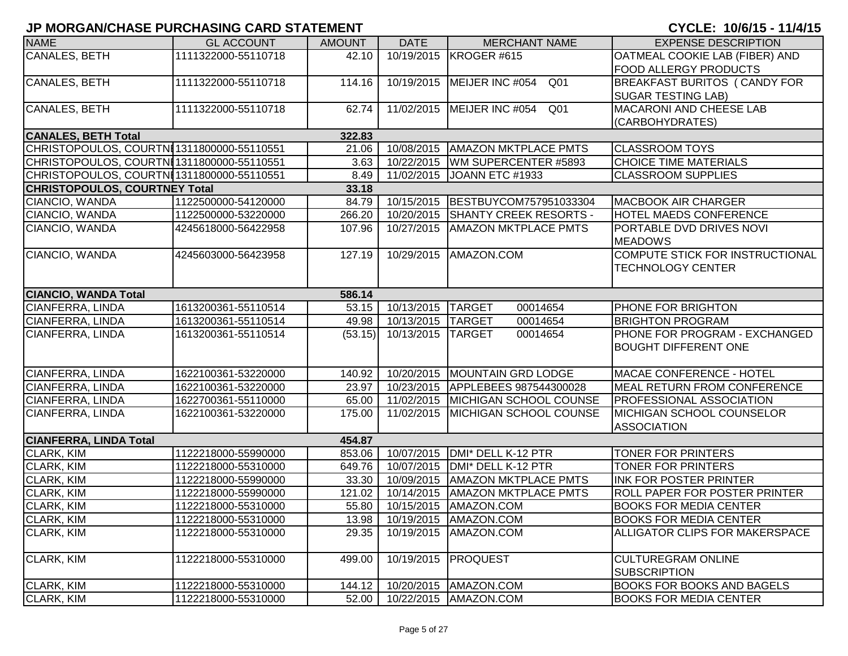| <b>NAME</b>                               | <b>GL ACCOUNT</b>   | <b>AMOUNT</b> | <b>DATE</b>               | <b>MERCHANT NAME</b>                | <b>EXPENSE DESCRIPTION</b>            |
|-------------------------------------------|---------------------|---------------|---------------------------|-------------------------------------|---------------------------------------|
| <b>CANALES, BETH</b>                      | 1111322000-55110718 | 42.10         |                           | 10/19/2015 KROGER #615              | OATMEAL COOKIE LAB (FIBER) AND        |
|                                           |                     |               |                           |                                     | <b>FOOD ALLERGY PRODUCTS</b>          |
| <b>CANALES, BETH</b>                      | 1111322000-55110718 | 114.16        |                           | 10/19/2015   MEIJER INC #054<br>Q01 | <b>BREAKFAST BURITOS ( CANDY FOR</b>  |
|                                           |                     |               |                           |                                     | <b>SUGAR TESTING LAB)</b>             |
| <b>CANALES, BETH</b>                      | 1111322000-55110718 | 62.74         |                           | 11/02/2015 MEIJER INC #054<br>Q01   | <b>MACARONI AND CHEESE LAB</b>        |
|                                           |                     |               |                           |                                     | (CARBOHYDRATES)                       |
| <b>CANALES, BETH Total</b>                |                     | 322.83        |                           |                                     |                                       |
| CHRISTOPOULOS, COURTNI1311800000-55110551 |                     | 21.06         |                           | 10/08/2015   AMAZON MKTPLACE PMTS   | <b>CLASSROOM TOYS</b>                 |
| CHRISTOPOULOS, COURTNI1311800000-55110551 |                     | 3.63          |                           | 10/22/2015   WM SUPERCENTER #5893   | <b>CHOICE TIME MATERIALS</b>          |
| CHRISTOPOULOS, COURTNI1311800000-55110551 |                     | 8.49          | 11/02/2015                | JOANN ETC #1933                     | <b>CLASSROOM SUPPLIES</b>             |
| <b>CHRISTOPOULOS, COURTNEY Total</b>      |                     | 33.18         |                           |                                     |                                       |
| CIANCIO, WANDA                            | 1122500000-54120000 | 84.79         |                           | 10/15/2015 BESTBUYCOM757951033304   | <b>MACBOOK AIR CHARGER</b>            |
| CIANCIO, WANDA                            | 1122500000-53220000 | 266.20        | 10/20/2015                | <b>SHANTY CREEK RESORTS -</b>       | <b>HOTEL MAEDS CONFERENCE</b>         |
| CIANCIO, WANDA                            | 4245618000-56422958 | 107.96        | 10/27/2015                | <b>AMAZON MKTPLACE PMTS</b>         | PORTABLE DVD DRIVES NOVI              |
|                                           |                     |               |                           |                                     | <b>MEADOWS</b>                        |
| CIANCIO, WANDA                            | 4245603000-56423958 | 127.19        |                           | 10/29/2015   AMAZON.COM             | COMPUTE STICK FOR INSTRUCTIONAL       |
|                                           |                     |               |                           |                                     | <b>TECHNOLOGY CENTER</b>              |
|                                           |                     |               |                           |                                     |                                       |
| <b>CIANCIO, WANDA Total</b>               |                     | 586.14        |                           |                                     |                                       |
| CIANFERRA, LINDA                          | 1613200361-55110514 | 53.15         | 10/13/2015 TARGET         | 00014654                            | PHONE FOR BRIGHTON                    |
| CIANFERRA, LINDA                          | 1613200361-55110514 | 49.98         | 10/13/2015 TARGET         | 00014654                            | <b>BRIGHTON PROGRAM</b>               |
| <b>CIANFERRA, LINDA</b>                   | 1613200361-55110514 |               | (53.15) 10/13/2015 TARGET | 00014654                            | PHONE FOR PROGRAM - EXCHANGED         |
|                                           |                     |               |                           |                                     | <b>BOUGHT DIFFERENT ONE</b>           |
|                                           |                     |               |                           |                                     |                                       |
| CIANFERRA, LINDA                          | 1622100361-53220000 | 140.92        |                           | 10/20/2015   MOUNTAIN GRD LODGE     | MACAE CONFERENCE - HOTEL              |
| CIANFERRA, LINDA                          | 1622100361-53220000 | 23.97         |                           | 10/23/2015 APPLEBEES 987544300028   | <b>MEAL RETURN FROM CONFERENCE</b>    |
| CIANFERRA, LINDA                          | 1622700361-55110000 | 65.00         |                           | 11/02/2015   MICHIGAN SCHOOL COUNSE | <b>PROFESSIONAL ASSOCIATION</b>       |
| CIANFERRA, LINDA                          | 1622100361-53220000 | 175.00        | 11/02/2015                | <b>MICHIGAN SCHOOL COUNSE</b>       | MICHIGAN SCHOOL COUNSELOR             |
|                                           |                     |               |                           |                                     | <b>ASSOCIATION</b>                    |
| <b>CIANFERRA, LINDA Total</b>             |                     | 454.87        |                           |                                     |                                       |
| CLARK, KIM                                | 1122218000-55990000 | 853.06        | 10/07/2015                | DMI* DELL K-12 PTR                  | TONER FOR PRINTERS                    |
| CLARK, KIM                                | 1122218000-55310000 | 649.76        | 10/07/2015                | DMI* DELL K-12 PTR                  | <b>TONER FOR PRINTERS</b>             |
| CLARK, KIM                                | 1122218000-55990000 | 33.30         | 10/09/2015                | <b>AMAZON MKTPLACE PMTS</b>         | <b>INK FOR POSTER PRINTER</b>         |
| CLARK, KIM                                | 1122218000-55990000 | 121.02        | 10/14/2015                | <b>AMAZON MKTPLACE PMTS</b>         | ROLL PAPER FOR POSTER PRINTER         |
| CLARK, KIM                                | 1122218000-55310000 | 55.80         |                           | 10/15/2015   AMAZON.COM             | <b>BOOKS FOR MEDIA CENTER</b>         |
| CLARK, KIM                                | 1122218000-55310000 | 13.98         |                           | 10/19/2015   AMAZON.COM             | <b>BOOKS FOR MEDIA CENTER</b>         |
| CLARK, KIM                                | 1122218000-55310000 | 29.35         | 10/19/2015                | AMAZON.COM                          | <b>ALLIGATOR CLIPS FOR MAKERSPACE</b> |
| CLARK, KIM                                | 1122218000-55310000 | 499.00        | 10/19/2015                | <b>PROQUEST</b>                     | <b>CULTUREGRAM ONLINE</b>             |
|                                           |                     |               |                           |                                     | <b>SUBSCRIPTION</b>                   |
| CLARK, KIM                                | 1122218000-55310000 | 144.12        |                           | 10/20/2015   AMAZON.COM             | <b>BOOKS FOR BOOKS AND BAGELS</b>     |
| CLARK, KIM                                | 1122218000-55310000 | 52.00         |                           | 10/22/2015 AMAZON.COM               | <b>BOOKS FOR MEDIA CENTER</b>         |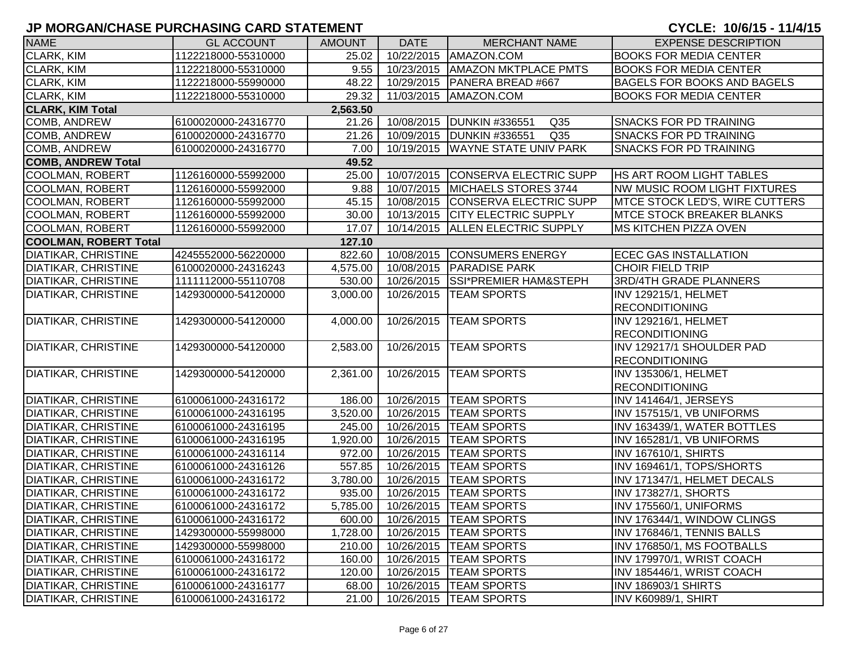| <b>NAME</b>                  | <b>GL ACCOUNT</b>   | <b>AMOUNT</b> | <b>DATE</b> | <b>MERCHANT NAME</b>                           | <b>EXPENSE DESCRIPTION</b>            |
|------------------------------|---------------------|---------------|-------------|------------------------------------------------|---------------------------------------|
| <b>CLARK, KIM</b>            | 1122218000-55310000 | 25.02         |             | 10/22/2015   AMAZON.COM                        | <b>BOOKS FOR MEDIA CENTER</b>         |
| <b>CLARK, KIM</b>            | 1122218000-55310000 | 9.55          | 10/23/2015  | <b>AMAZON MKTPLACE PMTS</b>                    | <b>BOOKS FOR MEDIA CENTER</b>         |
| CLARK, KIM                   | 1122218000-55990000 | 48.22         |             | 10/29/2015   PANERA BREAD #667                 | <b>BAGELS FOR BOOKS AND BAGELS</b>    |
| CLARK, KIM                   | 1122218000-55310000 | 29.32         |             | 11/03/2015   AMAZON.COM                        | <b>BOOKS FOR MEDIA CENTER</b>         |
| <b>CLARK, KIM Total</b>      |                     | 2,563.50      |             |                                                |                                       |
| <b>COMB, ANDREW</b>          | 6100020000-24316770 | 21.26         | 10/08/2015  | <b>IDUNKIN #336551</b><br>Q <sub>35</sub>      | <b>SNACKS FOR PD TRAINING</b>         |
| COMB, ANDREW                 | 6100020000-24316770 | 21.26         |             | 10/09/2015   DUNKIN #336551<br>Q <sub>35</sub> | <b>SNACKS FOR PD TRAINING</b>         |
| COMB, ANDREW                 | 6100020000-24316770 | 7.00          |             | 10/19/2015   WAYNE STATE UNIV PARK             | <b>SNACKS FOR PD TRAINING</b>         |
| <b>COMB, ANDREW Total</b>    |                     | 49.52         |             |                                                |                                       |
| <b>COOLMAN, ROBERT</b>       | 1126160000-55992000 | 25.00         | 10/07/2015  | CONSERVA ELECTRIC SUPP                         | <b>HS ART ROOM LIGHT TABLES</b>       |
| <b>COOLMAN, ROBERT</b>       | 1126160000-55992000 | 9.88          |             | 10/07/2015 MICHAELS STORES 3744                | NW MUSIC ROOM LIGHT FIXTURES          |
| <b>COOLMAN, ROBERT</b>       | 1126160000-55992000 | 45.15         | 10/08/2015  | <b>CONSERVA ELECTRIC SUPP</b>                  | <b>MTCE STOCK LED'S, WIRE CUTTERS</b> |
| <b>COOLMAN, ROBERT</b>       | 1126160000-55992000 | 30.00         | 10/13/2015  | <b>CITY ELECTRIC SUPPLY</b>                    | <b>MTCE STOCK BREAKER BLANKS</b>      |
| <b>COOLMAN, ROBERT</b>       | 1126160000-55992000 | 17.07         | 10/14/2015  | <b>ALLEN ELECTRIC SUPPLY</b>                   | <b>MS KITCHEN PIZZA OVEN</b>          |
| <b>COOLMAN, ROBERT Total</b> |                     | 127.10        |             |                                                |                                       |
| <b>DIATIKAR, CHRISTINE</b>   | 4245552000-56220000 | 822.60        |             | 10/08/2015 CONSUMERS ENERGY                    | <b>ECEC GAS INSTALLATION</b>          |
| <b>DIATIKAR, CHRISTINE</b>   | 6100020000-24316243 | 4,575.00      | 10/08/2015  | <b>PARADISE PARK</b>                           | <b>CHOIR FIELD TRIP</b>               |
| <b>DIATIKAR, CHRISTINE</b>   | 1111112000-55110708 | 530.00        | 10/26/2015  | <b>SSI*PREMIER HAM&amp;STEPH</b>               | <b>3RD/4TH GRADE PLANNERS</b>         |
| <b>DIATIKAR, CHRISTINE</b>   | 1429300000-54120000 | 3,000.00      | 10/26/2015  | <b>TEAM SPORTS</b>                             | INV 129215/1, HELMET                  |
|                              |                     |               |             |                                                | <b>RECONDITIONING</b>                 |
| <b>DIATIKAR, CHRISTINE</b>   | 1429300000-54120000 | 4,000.00      |             | 10/26/2015   TEAM SPORTS                       | INV 129216/1, HELMET                  |
|                              |                     |               |             |                                                | <b>RECONDITIONING</b>                 |
| <b>DIATIKAR, CHRISTINE</b>   | 1429300000-54120000 | 2,583.00      | 10/26/2015  | <b>TEAM SPORTS</b>                             | INV 129217/1 SHOULDER PAD             |
|                              |                     |               |             |                                                | <b>RECONDITIONING</b>                 |
| <b>DIATIKAR, CHRISTINE</b>   | 1429300000-54120000 | 2,361.00      |             | 10/26/2015   TEAM SPORTS                       | INV 135306/1, HELMET                  |
|                              |                     |               |             |                                                | <b>RECONDITIONING</b>                 |
| <b>DIATIKAR, CHRISTINE</b>   | 6100061000-24316172 | 186.00        | 10/26/2015  | <b>TEAM SPORTS</b>                             | INV 141464/1, JERSEYS                 |
| <b>DIATIKAR, CHRISTINE</b>   | 6100061000-24316195 | 3,520.00      | 10/26/2015  | <b>TEAM SPORTS</b>                             | INV 157515/1, VB UNIFORMS             |
| <b>DIATIKAR, CHRISTINE</b>   | 6100061000-24316195 | 245.00        | 10/26/2015  | <b>TEAM SPORTS</b>                             | INV 163439/1, WATER BOTTLES           |
| <b>DIATIKAR, CHRISTINE</b>   | 6100061000-24316195 | 1,920.00      | 10/26/2015  | <b>TEAM SPORTS</b>                             | INV 165281/1, VB UNIFORMS             |
| <b>DIATIKAR, CHRISTINE</b>   | 6100061000-24316114 | 972.00        | 10/26/2015  | <b>TEAM SPORTS</b>                             | <b>INV 167610/1, SHIRTS</b>           |
| <b>DIATIKAR, CHRISTINE</b>   | 6100061000-24316126 | 557.85        | 10/26/2015  | <b>TEAM SPORTS</b>                             | INV 169461/1, TOPS/SHORTS             |
| <b>DIATIKAR, CHRISTINE</b>   | 6100061000-24316172 | 3,780.00      | 10/26/2015  | <b>TEAM SPORTS</b>                             | INV 171347/1, HELMET DECALS           |
| <b>DIATIKAR, CHRISTINE</b>   | 6100061000-24316172 | 935.00        | 10/26/2015  | <b>TEAM SPORTS</b>                             | INV 173827/1, SHORTS                  |
| <b>DIATIKAR, CHRISTINE</b>   | 6100061000-24316172 | 5,785.00      | 10/26/2015  | <b>TEAM SPORTS</b>                             | INV 175560/1, UNIFORMS                |
| <b>DIATIKAR, CHRISTINE</b>   | 6100061000-24316172 | 600.00        |             | 10/26/2015   TEAM SPORTS                       | INV 176344/1, WINDOW CLINGS           |
| <b>DIATIKAR, CHRISTINE</b>   | 1429300000-55998000 | 1,728.00      |             | 10/26/2015   TEAM SPORTS                       | INV 176846/1, TENNIS BALLS            |
| <b>DIATIKAR, CHRISTINE</b>   | 1429300000-55998000 | 210.00        |             | 10/26/2015   TEAM SPORTS                       | INV 176850/1, MS FOOTBALLS            |
| <b>DIATIKAR, CHRISTINE</b>   | 6100061000-24316172 | 160.00        |             | 10/26/2015   TEAM SPORTS                       | INV 179970/1, WRIST COACH             |
| <b>DIATIKAR, CHRISTINE</b>   | 6100061000-24316172 | 120.00        | 10/26/2015  | <b>TEAM SPORTS</b>                             | INV 185446/1, WRIST COACH             |
| <b>DIATIKAR, CHRISTINE</b>   | 6100061000-24316177 | 68.00         |             | 10/26/2015  TEAM SPORTS                        | INV 186903/1 SHIRTS                   |
| <b>DIATIKAR, CHRISTINE</b>   | 6100061000-24316172 | 21.00         |             | 10/26/2015   TEAM SPORTS                       | INV K60989/1, SHIRT                   |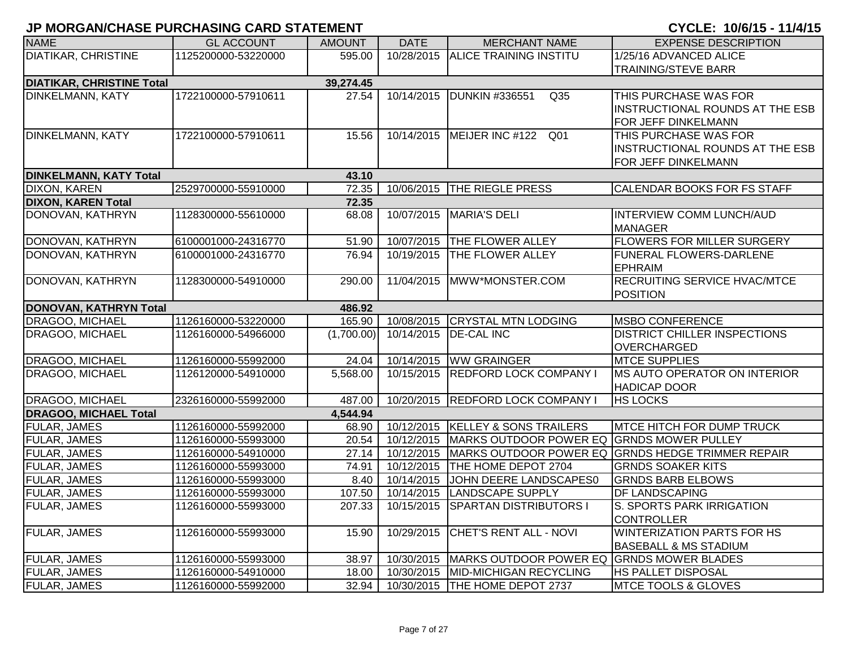| <b>NAME</b>                      | <b>GL ACCOUNT</b>   | <b>AMOUNT</b> | <b>DATE</b> | <b>MERCHANT NAME</b>                      | <b>EXPENSE DESCRIPTION</b>                        |
|----------------------------------|---------------------|---------------|-------------|-------------------------------------------|---------------------------------------------------|
| DIATIKAR, CHRISTINE              | 1125200000-53220000 | 595.00        | 10/28/2015  | <b>ALICE TRAINING INSTITU</b>             | 1/25/16 ADVANCED ALICE                            |
|                                  |                     |               |             |                                           | <b>TRAINING/STEVE BARR</b>                        |
| <b>DIATIKAR, CHRISTINE Total</b> |                     | 39,274.45     |             |                                           |                                                   |
| <b>DINKELMANN, KATY</b>          | 1722100000-57910611 | 27.54         | 10/14/2015  | DUNKIN #336551<br>Q <sub>35</sub>         | THIS PURCHASE WAS FOR                             |
|                                  |                     |               |             |                                           | INSTRUCTIONAL ROUNDS AT THE ESB                   |
|                                  |                     |               |             |                                           | FOR JEFF DINKELMANN                               |
| <b>DINKELMANN, KATY</b>          | 1722100000-57910611 | 15.56         |             | 10/14/2015 MEIJER INC #122 Q01            | THIS PURCHASE WAS FOR                             |
|                                  |                     |               |             |                                           | INSTRUCTIONAL ROUNDS AT THE ESB                   |
|                                  |                     |               |             |                                           | FOR JEFF DINKELMANN                               |
| <b>DINKELMANN, KATY Total</b>    |                     | 43.10         |             |                                           |                                                   |
| <b>DIXON, KAREN</b>              | 2529700000-55910000 | 72.35         | 10/06/2015  | <b>THE RIEGLE PRESS</b>                   | CALENDAR BOOKS FOR FS STAFF                       |
| <b>DIXON, KAREN Total</b>        |                     | 72.35         |             |                                           |                                                   |
| DONOVAN, KATHRYN                 | 1128300000-55610000 | 68.08         | 10/07/2015  | <b>MARIA'S DELI</b>                       | <b>INTERVIEW COMM LUNCH/AUD</b>                   |
|                                  |                     |               |             |                                           | <b>MANAGER</b>                                    |
| DONOVAN, KATHRYN                 | 6100001000-24316770 | 51.90         | 10/07/2015  | <b>THE FLOWER ALLEY</b>                   | <b>FLOWERS FOR MILLER SURGERY</b>                 |
| DONOVAN, KATHRYN                 | 6100001000-24316770 | 76.94         | 10/19/2015  | <b>THE FLOWER ALLEY</b>                   | <b>FUNERAL FLOWERS-DARLENE</b>                    |
|                                  |                     |               |             |                                           | <b>EPHRAIM</b>                                    |
| DONOVAN, KATHRYN                 | 1128300000-54910000 | 290.00        | 11/04/2015  | MWW*MONSTER.COM                           | RECRUITING SERVICE HVAC/MTCE                      |
|                                  |                     |               |             |                                           | <b>POSITION</b>                                   |
| <b>DONOVAN, KATHRYN Total</b>    |                     | 486.92        |             |                                           |                                                   |
| DRAGOO, MICHAEL                  | 1126160000-53220000 | 165.90        |             | 10/08/2015 CRYSTAL MTN LODGING            | <b>MSBO CONFERENCE</b>                            |
| DRAGOO, MICHAEL                  | 1126160000-54966000 | (1,700.00)    | 10/14/2015  | <b>DE-CAL INC</b>                         | <b>DISTRICT CHILLER INSPECTIONS</b>               |
|                                  |                     |               |             |                                           | OVERCHARGED                                       |
| DRAGOO, MICHAEL                  | 1126160000-55992000 | 24.04         | 10/14/2015  | <b>WW GRAINGER</b>                        | <b>MTCE SUPPLIES</b>                              |
| DRAGOO, MICHAEL                  | 1126120000-54910000 | 5,568.00      |             | 10/15/2015 REDFORD LOCK COMPANY I         | <b>MS AUTO OPERATOR ON INTERIOR</b>               |
|                                  |                     |               |             |                                           | <b>HADICAP DOOR</b>                               |
| DRAGOO, MICHAEL                  | 2326160000-55992000 | 487.00        | 10/20/2015  | <b>REDFORD LOCK COMPANY I</b>             | <b>HS LOCKS</b>                                   |
| <b>DRAGOO, MICHAEL Total</b>     |                     | 4,544.94      |             |                                           |                                                   |
| <b>FULAR, JAMES</b>              | 1126160000-55992000 | 68.90         |             | 10/12/2015 KELLEY & SONS TRAILERS         | <b>MTCE HITCH FOR DUMP TRUCK</b>                  |
| <b>FULAR, JAMES</b>              | 1126160000-55993000 | 20.54         | 10/12/2015  | MARKS OUTDOOR POWER EQ GRNDS MOWER PULLEY |                                                   |
| FULAR, JAMES                     | 1126160000-54910000 | 27.14         | 10/12/2015  |                                           | MARKS OUTDOOR POWER EQ GRNDS HEDGE TRIMMER REPAIR |
| FULAR, JAMES                     | 1126160000-55993000 | 74.91         | 10/12/2015  | THE HOME DEPOT 2704                       | <b>GRNDS SOAKER KITS</b>                          |
| FULAR, JAMES                     | 1126160000-55993000 | 8.40          | 10/14/2015  | JOHN DEERE LANDSCAPES0                    | <b>GRNDS BARB ELBOWS</b>                          |
| FULAR, JAMES                     | 1126160000-55993000 | 107.50        | 10/14/2015  | LANDSCAPE SUPPLY                          | DF LANDSCAPING                                    |
| FULAR, JAMES                     | 1126160000-55993000 | 207.33        | 10/15/2015  | <b>SPARTAN DISTRIBUTORS I</b>             | S. SPORTS PARK IRRIGATION                         |
|                                  |                     |               |             |                                           | <b>CONTROLLER</b>                                 |
| <b>FULAR, JAMES</b>              | 1126160000-55993000 | 15.90         | 10/29/2015  | CHET'S RENT ALL - NOVI                    | <b>WINTERIZATION PARTS FOR HS</b>                 |
|                                  |                     |               |             |                                           | <b>BASEBALL &amp; MS STADIUM</b>                  |
| FULAR, JAMES                     | 1126160000-55993000 | 38.97         | 10/30/2015  | MARKS OUTDOOR POWER EQ GRNDS MOWER BLADES |                                                   |
| FULAR, JAMES                     | 1126160000-54910000 | 18.00         |             | 10/30/2015   MID-MICHIGAN RECYCLING       | HS PALLET DISPOSAL                                |
| <b>FULAR, JAMES</b>              | 1126160000-55992000 | 32.94         |             | 10/30/2015 THE HOME DEPOT 2737            | MTCE TOOLS & GLOVES                               |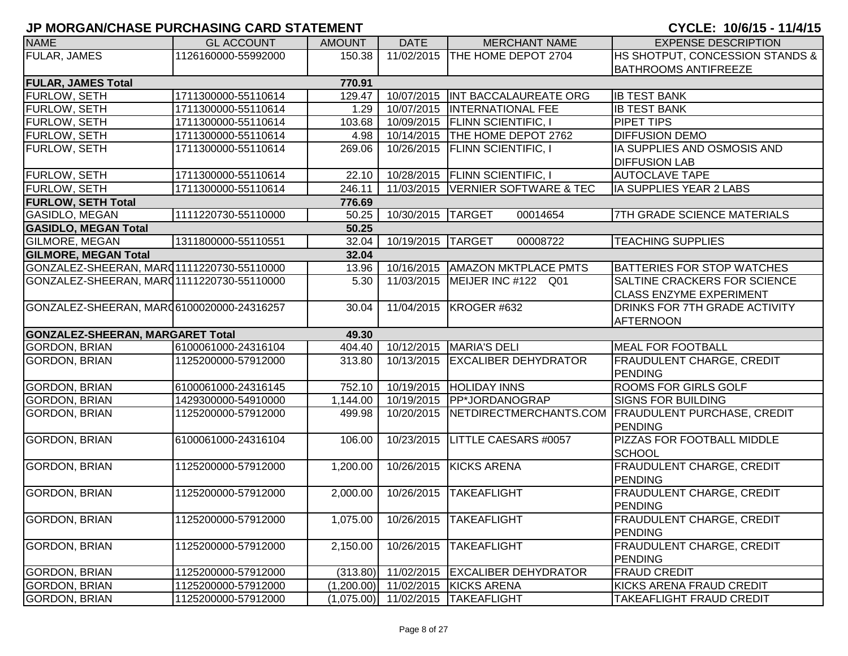| <b>NAME</b>                               | <b>GL ACCOUNT</b>   | <b>AMOUNT</b> | <b>DATE</b>           | <b>MERCHANT NAME</b>             | <b>EXPENSE DESCRIPTION</b>                           |
|-------------------------------------------|---------------------|---------------|-----------------------|----------------------------------|------------------------------------------------------|
| <b>FULAR, JAMES</b>                       | 1126160000-55992000 | 150.38        | 11/02/2015            | THE HOME DEPOT 2704              | HS SHOTPUT, CONCESSION STANDS &                      |
|                                           |                     |               |                       |                                  | <b>BATHROOMS ANTIFREEZE</b>                          |
| <b>FULAR, JAMES Total</b>                 |                     | 770.91        |                       |                                  |                                                      |
| <b>FURLOW, SETH</b>                       | 1711300000-55110614 | 129.47        | 10/07/2015            | INT BACCALAUREATE ORG            | <b>IB TEST BANK</b>                                  |
| <b>FURLOW, SETH</b>                       | 1711300000-55110614 | 1.29          | 10/07/2015            | <b>INTERNATIONAL FEE</b>         | <b>IB TEST BANK</b>                                  |
| <b>FURLOW, SETH</b>                       | 1711300000-55110614 | 103.68        |                       | 10/09/2015   FLINN SCIENTIFIC, I | <b>PIPET TIPS</b>                                    |
| <b>FURLOW, SETH</b>                       | 1711300000-55110614 | 4.98          |                       | 10/14/2015 THE HOME DEPOT 2762   | <b>DIFFUSION DEMO</b>                                |
| <b>FURLOW, SETH</b>                       | 1711300000-55110614 | 269.06        | 10/26/2015            | <b>FLINN SCIENTIFIC, I</b>       | IA SUPPLIES AND OSMOSIS AND                          |
|                                           |                     |               |                       |                                  | <b>DIFFUSION LAB</b>                                 |
| <b>FURLOW, SETH</b>                       | 1711300000-55110614 | 22.10         |                       | 10/28/2015   FLINN SCIENTIFIC, I | <b>AUTOCLAVE TAPE</b>                                |
| <b>FURLOW, SETH</b>                       | 1711300000-55110614 | 246.11        | 11/03/2015            | VERNIER SOFTWARE & TEC           | IA SUPPLIES YEAR 2 LABS                              |
| <b>FURLOW, SETH Total</b>                 |                     | 776.69        |                       |                                  |                                                      |
| <b>GASIDLO, MEGAN</b>                     | 1111220730-55110000 | 50.25         | 10/30/2015            | <b>TARGET</b><br>00014654        | <b>7TH GRADE SCIENCE MATERIALS</b>                   |
| <b>GASIDLO, MEGAN Total</b>               |                     | 50.25         |                       |                                  |                                                      |
| <b>GILMORE, MEGAN</b>                     | 1311800000-55110551 | 32.04         | 10/19/2015            | <b>TARGET</b><br>00008722        | <b>TEACHING SUPPLIES</b>                             |
| <b>GILMORE, MEGAN Total</b>               |                     | 32.04         |                       |                                  |                                                      |
| GONZALEZ-SHEERAN, MARQ1111220730-55110000 |                     | 13.96         | 10/16/2015            | <b>AMAZON MKTPLACE PMTS</b>      | <b>BATTERIES FOR STOP WATCHES</b>                    |
| GONZALEZ-SHEERAN, MARQ1111220730-55110000 |                     | 5.30          | 11/03/2015            | MEIJER INC #122 Q01              | SALTINE CRACKERS FOR SCIENCE                         |
|                                           |                     |               |                       |                                  | <b>CLASS ENZYME EXPERIMENT</b>                       |
| GONZALEZ-SHEERAN, MAR06100020000-24316257 |                     | 30.04         | 11/04/2015            | KROGER #632                      | DRINKS FOR 7TH GRADE ACTIVITY                        |
|                                           |                     |               |                       |                                  | <b>AFTERNOON</b>                                     |
| <b>GONZALEZ-SHEERAN, MARGARET Total</b>   |                     | 49.30         |                       |                                  |                                                      |
| <b>GORDON, BRIAN</b>                      | 6100061000-24316104 | 404.40        | 10/12/2015            | <b>MARIA'S DELI</b>              | <b>MEAL FOR FOOTBALL</b>                             |
| GORDON, BRIAN                             | 1125200000-57912000 | 313.80        | 10/13/2015            | <b>EXCALIBER DEHYDRATOR</b>      | <b>FRAUDULENT CHARGE, CREDIT</b>                     |
|                                           |                     |               |                       |                                  | PENDING                                              |
| <b>GORDON, BRIAN</b>                      | 6100061000-24316145 | 752.10        | 10/19/2015            | <b>HOLIDAY INNS</b>              | <b>ROOMS FOR GIRLS GOLF</b>                          |
| <b>GORDON, BRIAN</b>                      | 1429300000-54910000 | 1,144.00      | 10/19/2015            | <b>PP*JORDANOGRAP</b>            | <b>SIGNS FOR BUILDING</b>                            |
| <b>GORDON, BRIAN</b>                      | 1125200000-57912000 | 499.98        | 10/20/2015            |                                  | NETDIRECTMERCHANTS.COM   FRAUDULENT PURCHASE, CREDIT |
|                                           |                     |               |                       |                                  | <b>PENDING</b>                                       |
| <b>GORDON, BRIAN</b>                      | 6100061000-24316104 | 106.00        | 10/23/2015            | LITTLE CAESARS #0057             | PIZZAS FOR FOOTBALL MIDDLE                           |
|                                           |                     |               |                       |                                  | <b>SCHOOL</b>                                        |
| <b>GORDON, BRIAN</b>                      | 1125200000-57912000 | 1,200.00      | 10/26/2015            | <b>KICKS ARENA</b>               | <b>FRAUDULENT CHARGE, CREDIT</b>                     |
|                                           |                     |               |                       |                                  | <b>PENDING</b>                                       |
| <b>GORDON, BRIAN</b>                      | 1125200000-57912000 | 2,000.00      | 10/26/2015            | <b>TAKEAFLIGHT</b>               | <b>FRAUDULENT CHARGE, CREDIT</b>                     |
|                                           |                     |               |                       |                                  | <b>PENDING</b>                                       |
| <b>GORDON, BRIAN</b>                      | 1125200000-57912000 | 1,075.00      | 10/26/2015            | TAKEAFLIGHT                      | FRAUDULENT CHARGE, CREDIT                            |
|                                           |                     |               |                       |                                  | <b>PENDING</b>                                       |
| <b>GORDON, BRIAN</b>                      | 1125200000-57912000 | 2,150.00      | 10/26/2015            | <b>TAKEAFLIGHT</b>               | FRAUDULENT CHARGE, CREDIT                            |
|                                           |                     |               |                       |                                  | <b>PENDING</b>                                       |
| GORDON, BRIAN                             | 1125200000-57912000 |               | $(313.80)$ 11/02/2015 | <b>EXCALIBER DEHYDRATOR</b>      | <b>FRAUD CREDIT</b>                                  |
| <b>GORDON, BRIAN</b>                      | 1125200000-57912000 | (1,200.00)    | 11/02/2015            | <b>KICKS ARENA</b>               | KICKS ARENA FRAUD CREDIT                             |
| GORDON, BRIAN                             | 1125200000-57912000 | (1,075.00)    | 11/02/2015            | <b>TAKEAFLIGHT</b>               | TAKEAFLIGHT FRAUD CREDIT                             |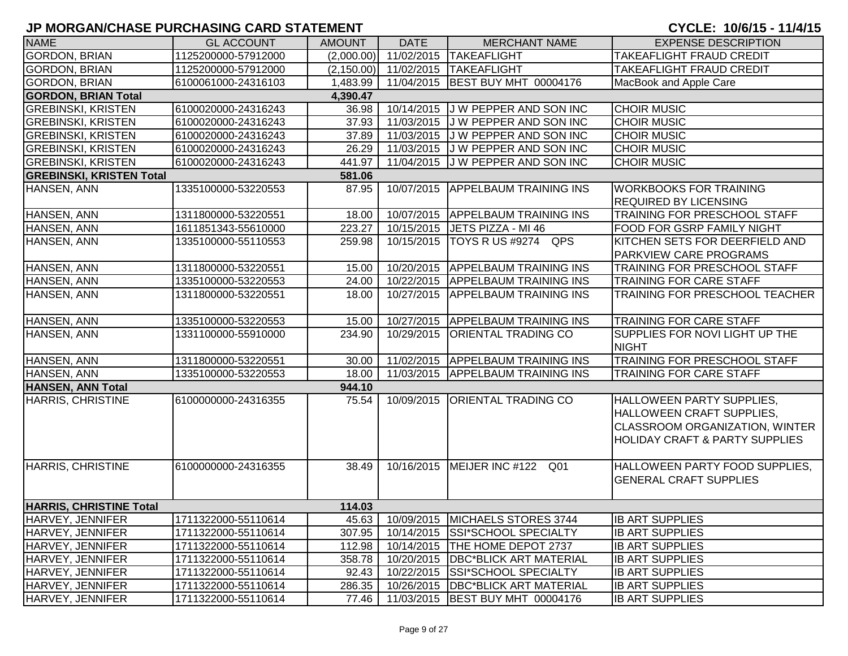| <b>NAME</b>                     | <b>GL ACCOUNT</b>   | <b>AMOUNT</b> | <b>DATE</b>             | <b>MERCHANT NAME</b>                      | <b>EXPENSE DESCRIPTION</b>                                                                                                                   |
|---------------------------------|---------------------|---------------|-------------------------|-------------------------------------------|----------------------------------------------------------------------------------------------------------------------------------------------|
| <b>GORDON, BRIAN</b>            | 1125200000-57912000 | (2,000.00)    | 11/02/2015              | <b>TAKEAFLIGHT</b>                        | TAKEAFLIGHT FRAUD CREDIT                                                                                                                     |
| <b>GORDON, BRIAN</b>            | 1125200000-57912000 |               | $(2,150.00)$ 11/02/2015 | <b>TAKEAFLIGHT</b>                        | <b>TAKEAFLIGHT FRAUD CREDIT</b>                                                                                                              |
| <b>GORDON, BRIAN</b>            | 6100061000-24316103 | 1,483.99      |                         | 11/04/2015 BEST BUY MHT 00004176          | MacBook and Apple Care                                                                                                                       |
| <b>GORDON, BRIAN Total</b>      |                     | 4,390.47      |                         |                                           |                                                                                                                                              |
| <b>GREBINSKI, KRISTEN</b>       | 6100020000-24316243 | 36.98         |                         | 10/14/2015 J W PEPPER AND SON INC         | <b>CHOIR MUSIC</b>                                                                                                                           |
| <b>GREBINSKI, KRISTEN</b>       | 6100020000-24316243 | 37.93         |                         | 11/03/2015 J W PEPPER AND SON INC         | <b>CHOIR MUSIC</b>                                                                                                                           |
| <b>GREBINSKI, KRISTEN</b>       | 6100020000-24316243 | 37.89         |                         | 11/03/2015 J W PEPPER AND SON INC         | <b>CHOIR MUSIC</b>                                                                                                                           |
| <b>GREBINSKI, KRISTEN</b>       | 6100020000-24316243 | 26.29         |                         | 11/03/2015 J W PEPPER AND SON INC         | <b>CHOIR MUSIC</b>                                                                                                                           |
| <b>GREBINSKI, KRISTEN</b>       | 6100020000-24316243 | 441.97        |                         | 11/04/2015 J W PEPPER AND SON INC         | <b>CHOIR MUSIC</b>                                                                                                                           |
| <b>GREBINSKI, KRISTEN Total</b> |                     | 581.06        |                         |                                           |                                                                                                                                              |
| HANSEN, ANN                     | 1335100000-53220553 | 87.95         | 10/07/2015              | <b>APPELBAUM TRAINING INS</b>             | <b>WORKBOOKS FOR TRAINING</b><br><b>REQUIRED BY LICENSING</b>                                                                                |
| HANSEN, ANN                     | 1311800000-53220551 | 18.00         |                         | 10/07/2015 APPELBAUM TRAINING INS         | <b>TRAINING FOR PRESCHOOL STAFF</b>                                                                                                          |
| HANSEN, ANN                     | 1611851343-55610000 | 223.27        | 10/15/2015              | JETS PIZZA - MI 46                        | FOOD FOR GSRP FAMILY NIGHT                                                                                                                   |
| HANSEN, ANN                     | 1335100000-55110553 | 259.98        | 10/15/2015              | TOYS R US #9274 QPS                       | KITCHEN SETS FOR DEERFIELD AND                                                                                                               |
|                                 |                     |               |                         |                                           | <b>PARKVIEW CARE PROGRAMS</b>                                                                                                                |
| HANSEN, ANN                     | 1311800000-53220551 | 15.00         | 10/20/2015              | <b>APPELBAUM TRAINING INS</b>             | TRAINING FOR PRESCHOOL STAFF                                                                                                                 |
| HANSEN, ANN                     | 1335100000-53220553 | 24.00         | 10/22/2015              | <b>APPELBAUM TRAINING INS</b>             | <b>TRAINING FOR CARE STAFF</b>                                                                                                               |
| HANSEN, ANN                     | 1311800000-53220551 | 18.00         | 10/27/2015              | <b>APPELBAUM TRAINING INS</b>             | TRAINING FOR PRESCHOOL TEACHER                                                                                                               |
|                                 |                     |               |                         |                                           |                                                                                                                                              |
| HANSEN, ANN                     | 1335100000-53220553 | 15.00         |                         | 10/27/2015 APPELBAUM TRAINING INS         | <b>TRAINING FOR CARE STAFF</b>                                                                                                               |
| HANSEN, ANN                     | 1331100000-55910000 | 234.90        | 10/29/2015              | <b>ORIENTAL TRADING CO</b>                | SUPPLIES FOR NOVI LIGHT UP THE<br><b>NIGHT</b>                                                                                               |
| HANSEN, ANN                     | 1311800000-53220551 | 30.00         | 11/02/2015              | <b>APPELBAUM TRAINING INS</b>             | <b>TRAINING FOR PRESCHOOL STAFF</b>                                                                                                          |
| HANSEN, ANN                     | 1335100000-53220553 | 18.00         |                         | 11/03/2015 APPELBAUM TRAINING INS         | <b>TRAINING FOR CARE STAFF</b>                                                                                                               |
| <b>HANSEN, ANN Total</b>        |                     | 944.10        |                         |                                           |                                                                                                                                              |
| HARRIS, CHRISTINE               | 6100000000-24316355 | 75.54         | 10/09/2015              | <b>ORIENTAL TRADING CO</b>                | HALLOWEEN PARTY SUPPLIES,<br>HALLOWEEN CRAFT SUPPLIES,<br><b>CLASSROOM ORGANIZATION, WINTER</b><br><b>HOLIDAY CRAFT &amp; PARTY SUPPLIES</b> |
| HARRIS, CHRISTINE               | 6100000000-24316355 | 38.49         |                         | 10/16/2015   MEIJER INC #122 Q01          | HALLOWEEN PARTY FOOD SUPPLIES,<br><b>GENERAL CRAFT SUPPLIES</b>                                                                              |
| <b>HARRIS, CHRISTINE Total</b>  |                     | 114.03        |                         |                                           |                                                                                                                                              |
| HARVEY, JENNIFER                | 1711322000-55110614 |               |                         | 45.63   10/09/2015   MICHAELS STORES 3744 | <b>IB ART SUPPLIES</b>                                                                                                                       |
| HARVEY, JENNIFER                | 1711322000-55110614 | 307.95        |                         | 10/14/2015 SSI*SCHOOL SPECIALTY           | <b>IB ART SUPPLIES</b>                                                                                                                       |
| HARVEY, JENNIFER                | 1711322000-55110614 | 112.98        |                         | 10/14/2015   THE HOME DEPOT 2737          | <b>IB ART SUPPLIES</b>                                                                                                                       |
| HARVEY, JENNIFER                | 1711322000-55110614 | 358.78        |                         | 10/20/2015   DBC*BLICK ART MATERIAL       | <b>IB ART SUPPLIES</b>                                                                                                                       |
| HARVEY, JENNIFER                | 1711322000-55110614 | 92.43         |                         | 10/22/2015 SSI*SCHOOL SPECIALTY           | <b>IB ART SUPPLIES</b>                                                                                                                       |
| HARVEY, JENNIFER                | 1711322000-55110614 | 286.35        |                         | 10/26/2015   DBC*BLICK ART MATERIAL       | <b>IB ART SUPPLIES</b>                                                                                                                       |
| HARVEY, JENNIFER                | 1711322000-55110614 | 77.46         |                         | 11/03/2015 BEST BUY MHT 00004176          | <b>IB ART SUPPLIES</b>                                                                                                                       |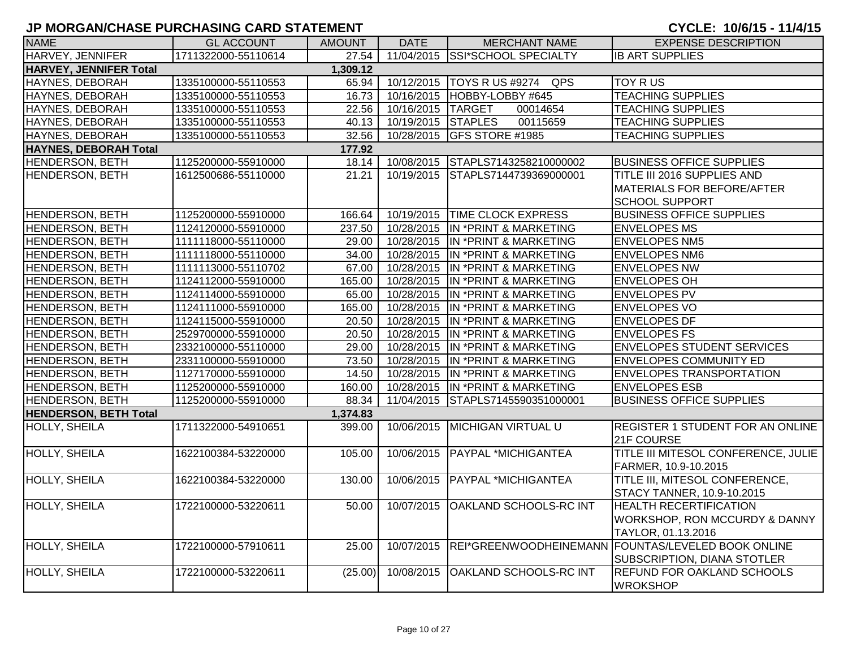| <b>NAME</b>                   | <b>GL ACCOUNT</b>   | <b>AMOUNT</b> | <b>DATE</b>        | <b>MERCHANT NAME</b>              | <b>EXPENSE DESCRIPTION</b>                                    |
|-------------------------------|---------------------|---------------|--------------------|-----------------------------------|---------------------------------------------------------------|
| <b>HARVEY, JENNIFER</b>       | 1711322000-55110614 | 27.54         |                    | 11/04/2015 SSI*SCHOOL SPECIALTY   | <b>IB ART SUPPLIES</b>                                        |
| <b>HARVEY, JENNIFER Total</b> |                     | 1,309.12      |                    |                                   |                                                               |
| <b>HAYNES, DEBORAH</b>        | 1335100000-55110553 | 65.94         |                    | 10/12/2015   TOYS R US #9274 QPS  | <b>TOY RUS</b>                                                |
| HAYNES, DEBORAH               | 1335100000-55110553 | 16.73         |                    | 10/16/2015   HOBBY-LOBBY #645     | <b>TEACHING SUPPLIES</b>                                      |
| <b>HAYNES, DEBORAH</b>        | 1335100000-55110553 | 22.56         | 10/16/2015 TARGET  | 00014654                          | <b>TEACHING SUPPLIES</b>                                      |
| HAYNES, DEBORAH               | 1335100000-55110553 | 40.13         | 10/19/2015 STAPLES | 00115659                          | <b>TEACHING SUPPLIES</b>                                      |
| HAYNES, DEBORAH               | 1335100000-55110553 | 32.56         |                    | 10/28/2015 GFS STORE #1985        | <b>TEACHING SUPPLIES</b>                                      |
| <b>HAYNES, DEBORAH Total</b>  |                     | 177.92        |                    |                                   |                                                               |
| <b>HENDERSON, BETH</b>        | 1125200000-55910000 | 18.14         |                    | 10/08/2015 STAPLS7143258210000002 | <b>BUSINESS OFFICE SUPPLIES</b>                               |
| HENDERSON, BETH               | 1612500686-55110000 | 21.21         |                    | 10/19/2015 STAPLS7144739369000001 | <b>TITLE III 2016 SUPPLIES AND</b>                            |
|                               |                     |               |                    |                                   | MATERIALS FOR BEFORE/AFTER                                    |
|                               |                     |               |                    |                                   | <b>SCHOOL SUPPORT</b>                                         |
| HENDERSON, BETH               | 1125200000-55910000 | 166.64        |                    | 10/19/2015 TIME CLOCK EXPRESS     | <b>BUSINESS OFFICE SUPPLIES</b>                               |
| HENDERSON, BETH               | 1124120000-55910000 | 237.50        |                    | 10/28/2015 IN *PRINT & MARKETING  | <b>ENVELOPES MS</b>                                           |
| <b>HENDERSON, BETH</b>        | 1111118000-55110000 | 29.00         |                    | 10/28/2015 IN *PRINT & MARKETING  | <b>ENVELOPES NM5</b>                                          |
| <b>HENDERSON, BETH</b>        | 1111118000-55110000 | 34.00         |                    | 10/28/2015 IN *PRINT & MARKETING  | <b>ENVELOPES NM6</b>                                          |
| <b>HENDERSON, BETH</b>        | 1111113000-55110702 | 67.00         |                    | 10/28/2015 IN *PRINT & MARKETING  | <b>ENVELOPES NW</b>                                           |
| <b>HENDERSON, BETH</b>        | 1124112000-55910000 | 165.00        |                    | 10/28/2015 IN *PRINT & MARKETING  | <b>ENVELOPES OH</b>                                           |
| <b>HENDERSON, BETH</b>        | 1124114000-55910000 | 65.00         | 10/28/2015         | IN *PRINT & MARKETING             | <b>ENVELOPES PV</b>                                           |
| <b>HENDERSON, BETH</b>        | 1124111000-55910000 | 165.00        | 10/28/2015         | IN *PRINT & MARKETING             | <b>ENVELOPES VO</b>                                           |
| <b>HENDERSON, BETH</b>        | 1124115000-55910000 | 20.50         | 10/28/2015         | IN *PRINT & MARKETING             | <b>ENVELOPES DF</b>                                           |
| <b>HENDERSON, BETH</b>        | 2529700000-55910000 | 20.50         | 10/28/2015         | IN *PRINT & MARKETING             | <b>ENVELOPES FS</b>                                           |
| <b>HENDERSON, BETH</b>        | 2332100000-55110000 | 29.00         |                    | 10/28/2015 IN *PRINT & MARKETING  | <b>ENVELOPES STUDENT SERVICES</b>                             |
| <b>HENDERSON, BETH</b>        | 2331100000-55910000 | 73.50         | 10/28/2015         | IN *PRINT & MARKETING             | <b>ENVELOPES COMMUNITY ED</b>                                 |
| <b>HENDERSON, BETH</b>        | 1127170000-55910000 | 14.50         | 10/28/2015         | IN *PRINT & MARKETING             | <b>ENVELOPES TRANSPORTATION</b>                               |
| <b>HENDERSON, BETH</b>        | 1125200000-55910000 | 160.00        | 10/28/2015         | IN *PRINT & MARKETING             | <b>ENVELOPES ESB</b>                                          |
| <b>HENDERSON, BETH</b>        | 1125200000-55910000 | 88.34         | 11/04/2015         | STAPLS7145590351000001            | <b>BUSINESS OFFICE SUPPLIES</b>                               |
| <b>HENDERSON, BETH Total</b>  |                     | 1,374.83      |                    |                                   |                                                               |
| <b>HOLLY, SHEILA</b>          | 1711322000-54910651 | 399.00        | 10/06/2015         | <b>MICHIGAN VIRTUAL U</b>         | <b>REGISTER 1 STUDENT FOR AN ONLINE</b>                       |
|                               |                     |               |                    |                                   | 21F COURSE                                                    |
| HOLLY, SHEILA                 | 1622100384-53220000 | 105.00        | 10/06/2015         | PAYPAL *MICHIGANTEA               | TITLE III MITESOL CONFERENCE, JULIE                           |
|                               |                     |               |                    |                                   | FARMER, 10.9-10.2015                                          |
| <b>HOLLY, SHEILA</b>          | 1622100384-53220000 | 130.00        | 10/06/2015         | PAYPAL *MICHIGANTEA               | TITLE III, MITESOL CONFERENCE,                                |
|                               |                     |               |                    |                                   | STACY TANNER, 10.9-10.2015                                    |
| <b>HOLLY, SHEILA</b>          | 1722100000-53220611 | 50.00         |                    | 10/07/2015 OAKLAND SCHOOLS-RC INT | <b>HEALTH RECERTIFICATION</b>                                 |
|                               |                     |               |                    |                                   | <b>WORKSHOP, RON MCCURDY &amp; DANNY</b>                      |
|                               |                     |               |                    |                                   | TAYLOR, 01.13.2016                                            |
| <b>HOLLY, SHEILA</b>          | 1722100000-57910611 | 25.00         |                    |                                   | 10/07/2015 REI*GREENWOODHEINEMANN FOUNTAS/LEVELED BOOK ONLINE |
|                               |                     |               |                    |                                   | SUBSCRIPTION, DIANA STOTLER                                   |
| HOLLY, SHEILA                 | 1722100000-53220611 | (25.00)       | 10/08/2015         | <b>OAKLAND SCHOOLS-RC INT</b>     | <b>REFUND FOR OAKLAND SCHOOLS</b>                             |
|                               |                     |               |                    |                                   | <b>WROKSHOP</b>                                               |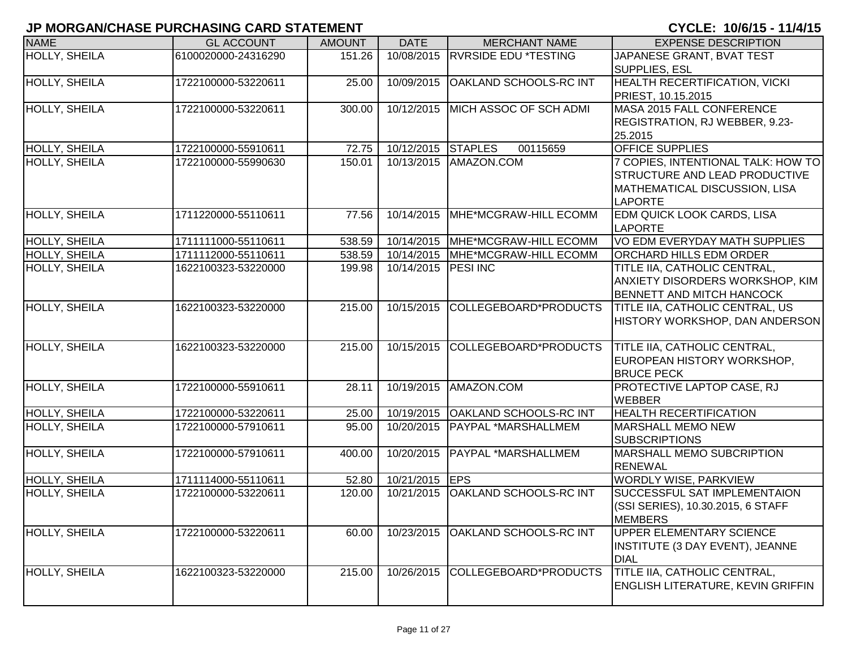| <b>NAME</b>          | <b>GL ACCOUNT</b>   | <b>AMOUNT</b> | <b>DATE</b>         | <b>MERCHANT NAME</b>             | <b>EXPENSE DESCRIPTION</b>               |
|----------------------|---------------------|---------------|---------------------|----------------------------------|------------------------------------------|
| <b>HOLLY, SHEILA</b> | 6100020000-24316290 | 151.26        | 10/08/2015          | <b>RVRSIDE EDU *TESTING</b>      | JAPANESE GRANT, BVAT TEST                |
|                      |                     |               |                     |                                  | SUPPLIES, ESL                            |
| <b>HOLLY, SHEILA</b> | 1722100000-53220611 | 25.00         | 10/09/2015          | OAKLAND SCHOOLS-RC INT           | <b>HEALTH RECERTIFICATION, VICKI</b>     |
|                      |                     |               |                     |                                  | PRIEST, 10.15.2015                       |
| <b>HOLLY, SHEILA</b> | 1722100000-53220611 | 300.00        | 10/12/2015          | MICH ASSOC OF SCH ADMI           | MASA 2015 FALL CONFERENCE                |
|                      |                     |               |                     |                                  | REGISTRATION, RJ WEBBER, 9.23-           |
|                      |                     |               |                     |                                  | 25.2015                                  |
| HOLLY, SHEILA        | 1722100000-55910611 | 72.75         | 10/12/2015 STAPLES  | 00115659                         | <b>OFFICE SUPPLIES</b>                   |
| HOLLY, SHEILA        | 1722100000-55990630 | 150.01        | 10/13/2015          | AMAZON.COM                       | 7 COPIES, INTENTIONAL TALK: HOW TO       |
|                      |                     |               |                     |                                  | STRUCTURE AND LEAD PRODUCTIVE            |
|                      |                     |               |                     |                                  | MATHEMATICAL DISCUSSION, LISA            |
|                      |                     |               |                     |                                  | <b>LAPORTE</b>                           |
| <b>HOLLY, SHEILA</b> | 1711220000-55110611 | 77.56         | 10/14/2015          | MHE*MCGRAW-HILL ECOMM            | <b>EDM QUICK LOOK CARDS, LISA</b>        |
|                      |                     |               |                     |                                  | <b>LAPORTE</b>                           |
| <b>HOLLY, SHEILA</b> | 1711111000-55110611 | 538.59        | 10/14/2015          | MHE*MCGRAW-HILL ECOMM            | VO EDM EVERYDAY MATH SUPPLIES            |
| HOLLY, SHEILA        | 1711112000-55110611 | 538.59        |                     | 10/14/2015 MHE*MCGRAW-HILL ECOMM | <b>ORCHARD HILLS EDM ORDER</b>           |
| HOLLY, SHEILA        | 1622100323-53220000 | 199.98        | 10/14/2015 PESI INC |                                  | TITLE IIA, CATHOLIC CENTRAL,             |
|                      |                     |               |                     |                                  | ANXIETY DISORDERS WORKSHOP, KIM          |
|                      |                     |               |                     |                                  | <b>BENNETT AND MITCH HANCOCK</b>         |
| <b>HOLLY, SHEILA</b> | 1622100323-53220000 | 215.00        | 10/15/2015          | COLLEGEBOARD*PRODUCTS            | TITLE IIA, CATHOLIC CENTRAL, US          |
|                      |                     |               |                     |                                  | HISTORY WORKSHOP, DAN ANDERSON           |
|                      |                     |               |                     |                                  |                                          |
| <b>HOLLY, SHEILA</b> | 1622100323-53220000 | 215.00        | 10/15/2015          | COLLEGEBOARD*PRODUCTS            | TITLE IIA, CATHOLIC CENTRAL,             |
|                      |                     |               |                     |                                  | EUROPEAN HISTORY WORKSHOP,               |
|                      |                     |               |                     |                                  | <b>BRUCE PECK</b>                        |
| <b>HOLLY, SHEILA</b> | 1722100000-55910611 | 28.11         | 10/19/2015          | AMAZON.COM                       | PROTECTIVE LAPTOP CASE, RJ               |
|                      |                     |               |                     |                                  | <b>WEBBER</b>                            |
| HOLLY, SHEILA        | 1722100000-53220611 | 25.00         | 10/19/2015          | <b>OAKLAND SCHOOLS-RC INT</b>    | <b>HEALTH RECERTIFICATION</b>            |
| <b>HOLLY, SHEILA</b> | 1722100000-57910611 | 95.00         | 10/20/2015          | PAYPAL *MARSHALLMEM              | <b>MARSHALL MEMO NEW</b>                 |
|                      |                     |               |                     |                                  | <b>SUBSCRIPTIONS</b>                     |
| HOLLY, SHEILA        | 1722100000-57910611 | 400.00        | 10/20/2015          | PAYPAL *MARSHALLMEM              | MARSHALL MEMO SUBCRIPTION                |
|                      |                     |               |                     |                                  | <b>RENEWAL</b>                           |
| HOLLY, SHEILA        | 1711114000-55110611 | 52.80         | 10/21/2015          | <b>EPS</b>                       | <b>WORDLY WISE, PARKVIEW</b>             |
| HOLLY, SHEILA        | 1722100000-53220611 | 120.00        | 10/21/2015          | OAKLAND SCHOOLS-RC INT           | SUCCESSFUL SAT IMPLEMENTAION             |
|                      |                     |               |                     |                                  | (SSI SERIES), 10.30.2015, 6 STAFF        |
|                      |                     |               |                     |                                  | <b>MEMBERS</b>                           |
| HOLLY, SHEILA        | 1722100000-53220611 | 60.00         | 10/23/2015          | OAKLAND SCHOOLS-RC INT           | UPPER ELEMENTARY SCIENCE                 |
|                      |                     |               |                     |                                  | INSTITUTE (3 DAY EVENT), JEANNE          |
|                      |                     |               |                     |                                  | <b>DIAL</b>                              |
| HOLLY, SHEILA        | 1622100323-53220000 | 215.00        | 10/26/2015          | COLLEGEBOARD*PRODUCTS            | TITLE IIA, CATHOLIC CENTRAL,             |
|                      |                     |               |                     |                                  | <b>ENGLISH LITERATURE, KEVIN GRIFFIN</b> |
|                      |                     |               |                     |                                  |                                          |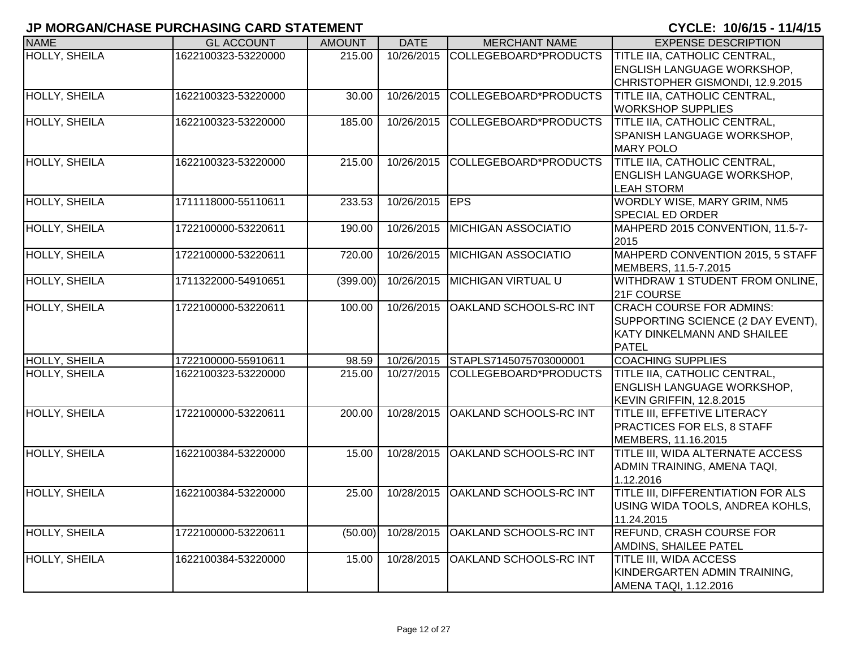| <b>NAME</b>          | <b>GL ACCOUNT</b>   | <b>AMOUNT</b>       | <b>DATE</b>    | <b>MERCHANT NAME</b>              | <b>EXPENSE DESCRIPTION</b>                       |
|----------------------|---------------------|---------------------|----------------|-----------------------------------|--------------------------------------------------|
| <b>HOLLY, SHEILA</b> | 1622100323-53220000 | 215.00              | 10/26/2015     | COLLEGEBOARD*PRODUCTS             | TITLE IIA, CATHOLIC CENTRAL,                     |
|                      |                     |                     |                |                                   | <b>ENGLISH LANGUAGE WORKSHOP,</b>                |
|                      |                     |                     |                |                                   | CHRISTOPHER GISMONDI, 12.9.2015                  |
| <b>HOLLY, SHEILA</b> | 1622100323-53220000 | 30.00               | 10/26/2015     | COLLEGEBOARD*PRODUCTS             | TITLE IIA, CATHOLIC CENTRAL,                     |
|                      |                     |                     |                |                                   | <b>WORKSHOP SUPPLIES</b>                         |
| <b>HOLLY, SHEILA</b> | 1622100323-53220000 | 185.00              | 10/26/2015     | COLLEGEBOARD*PRODUCTS             | TITLE IIA, CATHOLIC CENTRAL,                     |
|                      |                     |                     |                |                                   | SPANISH LANGUAGE WORKSHOP,                       |
|                      |                     |                     |                |                                   | <b>MARY POLO</b>                                 |
| <b>HOLLY, SHEILA</b> | 1622100323-53220000 | 215.00              |                | 10/26/2015 COLLEGEBOARD*PRODUCTS  | TITLE IIA, CATHOLIC CENTRAL,                     |
|                      |                     |                     |                |                                   | <b>ENGLISH LANGUAGE WORKSHOP,</b>                |
| <b>HOLLY, SHEILA</b> |                     |                     |                |                                   | <b>LEAH STORM</b><br>WORDLY WISE, MARY GRIM, NM5 |
|                      | 1711118000-55110611 | 233.53              | 10/26/2015 EPS |                                   | <b>SPECIAL ED ORDER</b>                          |
| <b>HOLLY, SHEILA</b> | 1722100000-53220611 | 190.00              | 10/26/2015     | <b>MICHIGAN ASSOCIATIO</b>        | MAHPERD 2015 CONVENTION, 11.5-7-                 |
|                      |                     |                     |                |                                   | 2015                                             |
| <b>HOLLY, SHEILA</b> | 1722100000-53220611 | 720.00              | 10/26/2015     | <b>MICHIGAN ASSOCIATIO</b>        | MAHPERD CONVENTION 2015, 5 STAFF                 |
|                      |                     |                     |                |                                   | MEMBERS, 11.5-7.2015                             |
| <b>HOLLY, SHEILA</b> | 1711322000-54910651 | (399.00)            | 10/26/2015     | <b>MICHIGAN VIRTUAL U</b>         | WITHDRAW 1 STUDENT FROM ONLINE,                  |
|                      |                     |                     |                |                                   | 21F COURSE                                       |
| <b>HOLLY, SHEILA</b> | 1722100000-53220611 | 100.00              | 10/26/2015     | <b>OAKLAND SCHOOLS-RC INT</b>     | <b>CRACH COURSE FOR ADMINS:</b>                  |
|                      |                     |                     |                |                                   | SUPPORTING SCIENCE (2 DAY EVENT),                |
|                      |                     |                     |                |                                   | KATY DINKELMANN AND SHAILEE                      |
|                      |                     |                     |                |                                   | <b>PATEL</b>                                     |
| <b>HOLLY, SHEILA</b> | 1722100000-55910611 | 98.59               |                | 10/26/2015 STAPLS7145075703000001 | <b>COACHING SUPPLIES</b>                         |
| <b>HOLLY, SHEILA</b> | 1622100323-53220000 | 215.00              | 10/27/2015     | COLLEGEBOARD*PRODUCTS             | <b>TITLE IIA, CATHOLIC CENTRAL,</b>              |
|                      |                     |                     |                |                                   | <b>ENGLISH LANGUAGE WORKSHOP,</b>                |
|                      |                     |                     |                |                                   | KEVIN GRIFFIN, 12.8.2015                         |
| <b>HOLLY, SHEILA</b> | 1722100000-53220611 | $\overline{200.00}$ | 10/28/2015     | <b>OAKLAND SCHOOLS-RC INT</b>     | TITLE III, EFFETIVE LITERACY                     |
|                      |                     |                     |                |                                   | PRACTICES FOR ELS, 8 STAFF                       |
|                      |                     |                     |                |                                   | MEMBERS, 11.16.2015                              |
| <b>HOLLY, SHEILA</b> | 1622100384-53220000 | 15.00               | 10/28/2015     | <b>OAKLAND SCHOOLS-RC INT</b>     | TITLE III, WIDA ALTERNATE ACCESS                 |
|                      |                     |                     |                |                                   | ADMIN TRAINING, AMENA TAQI,                      |
|                      |                     |                     |                |                                   | 1.12.2016                                        |
| <b>HOLLY, SHEILA</b> | 1622100384-53220000 | 25.00               | 10/28/2015     | <b>OAKLAND SCHOOLS-RC INT</b>     | TITLE III, DIFFERENTIATION FOR ALS               |
|                      |                     |                     |                |                                   | USING WIDA TOOLS, ANDREA KOHLS,<br>11.24.2015    |
| HOLLY, SHEILA        | 1722100000-53220611 | (50.00)             | 10/28/2015     | <b>OAKLAND SCHOOLS-RC INT</b>     | REFUND, CRASH COURSE FOR                         |
|                      |                     |                     |                |                                   | AMDINS, SHAILEE PATEL                            |
| HOLLY, SHEILA        | 1622100384-53220000 | 15.00               | 10/28/2015     | OAKLAND SCHOOLS-RC INT            | TITLE III, WIDA ACCESS                           |
|                      |                     |                     |                |                                   | KINDERGARTEN ADMIN TRAINING,                     |
|                      |                     |                     |                |                                   | AMENA TAQI, 1.12.2016                            |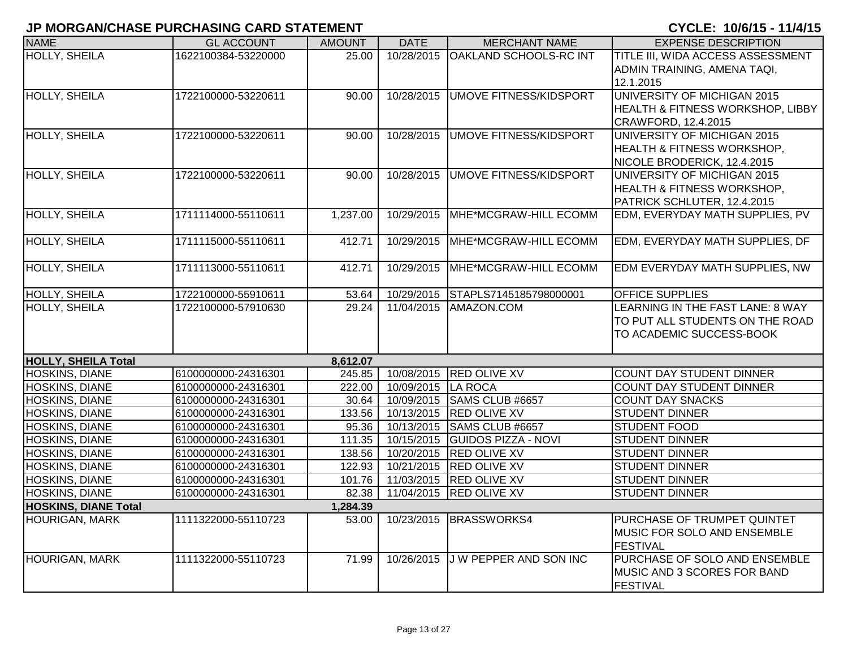| <b>NAME</b>                 | <b>GL ACCOUNT</b>   | <b>AMOUNT</b> | <b>DATE</b>        | <b>MERCHANT NAME</b>              | <b>EXPENSE DESCRIPTION</b>            |
|-----------------------------|---------------------|---------------|--------------------|-----------------------------------|---------------------------------------|
| <b>HOLLY, SHEILA</b>        | 1622100384-53220000 | 25.00         | 10/28/2015         | OAKLAND SCHOOLS-RC INT            | TITLE III, WIDA ACCESS ASSESSMENT     |
|                             |                     |               |                    |                                   | ADMIN TRAINING, AMENA TAQI,           |
|                             |                     |               |                    |                                   | 12.1.2015                             |
| <b>HOLLY, SHEILA</b>        | 1722100000-53220611 | 90.00         | 10/28/2015         | <b>UMOVE FITNESS/KIDSPORT</b>     | UNIVERSITY OF MICHIGAN 2015           |
|                             |                     |               |                    |                                   | HEALTH & FITNESS WORKSHOP, LIBBY      |
|                             |                     |               |                    |                                   | CRAWFORD, 12.4.2015                   |
| <b>HOLLY, SHEILA</b>        | 1722100000-53220611 | 90.00         |                    | 10/28/2015 UMOVE FITNESS/KIDSPORT | UNIVERSITY OF MICHIGAN 2015           |
|                             |                     |               |                    |                                   | <b>HEALTH &amp; FITNESS WORKSHOP,</b> |
|                             |                     |               |                    |                                   | NICOLE BRODERICK, 12.4.2015           |
| HOLLY, SHEILA               | 1722100000-53220611 | 90.00         | 10/28/2015         | UMOVE FITNESS/KIDSPORT            | UNIVERSITY OF MICHIGAN 2015           |
|                             |                     |               |                    |                                   | HEALTH & FITNESS WORKSHOP,            |
|                             |                     |               |                    |                                   | PATRICK SCHLUTER, 12.4.2015           |
| <b>HOLLY, SHEILA</b>        | 1711114000-55110611 | 1,237.00      | 10/29/2015         | MHE*MCGRAW-HILL ECOMM             | EDM, EVERYDAY MATH SUPPLIES, PV       |
|                             |                     |               |                    |                                   |                                       |
| <b>HOLLY, SHEILA</b>        | 1711115000-55110611 | 412.71        | 10/29/2015         | MHE*MCGRAW-HILL ECOMM             | EDM, EVERYDAY MATH SUPPLIES, DF       |
|                             |                     |               |                    |                                   |                                       |
| <b>HOLLY, SHEILA</b>        | 1711113000-55110611 | 412.71        | 10/29/2015         | MHE*MCGRAW-HILL ECOMM             | EDM EVERYDAY MATH SUPPLIES, NW        |
|                             |                     |               |                    |                                   |                                       |
| HOLLY, SHEILA               | 1722100000-55910611 | 53.64         | 10/29/2015         | STAPLS7145185798000001            | OFFICE SUPPLIES                       |
| <b>HOLLY, SHEILA</b>        | 1722100000-57910630 | 29.24         | 11/04/2015         | AMAZON.COM                        | LEARNING IN THE FAST LANE: 8 WAY      |
|                             |                     |               |                    |                                   | TO PUT ALL STUDENTS ON THE ROAD       |
|                             |                     |               |                    |                                   | TO ACADEMIC SUCCESS-BOOK              |
| <b>HOLLY, SHEILA Total</b>  |                     | 8,612.07      |                    |                                   |                                       |
| <b>HOSKINS, DIANE</b>       | 6100000000-24316301 | 245.85        |                    | 10/08/2015 RED OLIVE XV           | COUNT DAY STUDENT DINNER              |
| <b>HOSKINS, DIANE</b>       | 6100000000-24316301 | 222.00        | 10/09/2015 LA ROCA |                                   | <b>COUNT DAY STUDENT DINNER</b>       |
| <b>HOSKINS, DIANE</b>       | 6100000000-24316301 | 30.64         |                    | 10/09/2015 SAMS CLUB #6657        | <b>COUNT DAY SNACKS</b>               |
| HOSKINS, DIANE              | 6100000000-24316301 | 133.56        |                    | 10/13/2015 RED OLIVE XV           | <b>STUDENT DINNER</b>                 |
| <b>HOSKINS, DIANE</b>       | 6100000000-24316301 | 95.36         | 10/13/2015         | SAMS CLUB #6657                   | <b>STUDENT FOOD</b>                   |
| <b>HOSKINS, DIANE</b>       | 6100000000-24316301 | 111.35        |                    | 10/15/2015 GUIDOS PIZZA - NOVI    | <b>STUDENT DINNER</b>                 |
| HOSKINS, DIANE              | 6100000000-24316301 | 138.56        | 10/20/2015         | <b>RED OLIVE XV</b>               | <b>STUDENT DINNER</b>                 |
| HOSKINS, DIANE              | 6100000000-24316301 | 122.93        |                    | 10/21/2015 RED OLIVE XV           | <b>STUDENT DINNER</b>                 |
| HOSKINS, DIANE              | 6100000000-24316301 | 101.76        |                    | 11/03/2015 RED OLIVE XV           | <b>STUDENT DINNER</b>                 |
| <b>HOSKINS, DIANE</b>       | 6100000000-24316301 | 82.38         |                    | 11/04/2015 RED OLIVE XV           | <b>STUDENT DINNER</b>                 |
| <b>HOSKINS, DIANE Total</b> |                     | 1,284.39      |                    |                                   |                                       |
| <b>HOURIGAN, MARK</b>       | 1111322000-55110723 | 53.00         | 10/23/2015         | <b>BRASSWORKS4</b>                | PURCHASE OF TRUMPET QUINTET           |
|                             |                     |               |                    |                                   | MUSIC FOR SOLO AND ENSEMBLE           |
|                             |                     |               |                    |                                   | FESTIVAL                              |
| <b>HOURIGAN, MARK</b>       | 1111322000-55110723 | 71.99         | 10/26/2015         | J W PEPPER AND SON INC            | PURCHASE OF SOLO AND ENSEMBLE         |
|                             |                     |               |                    |                                   | MUSIC AND 3 SCORES FOR BAND           |
|                             |                     |               |                    |                                   | FESTIVAL                              |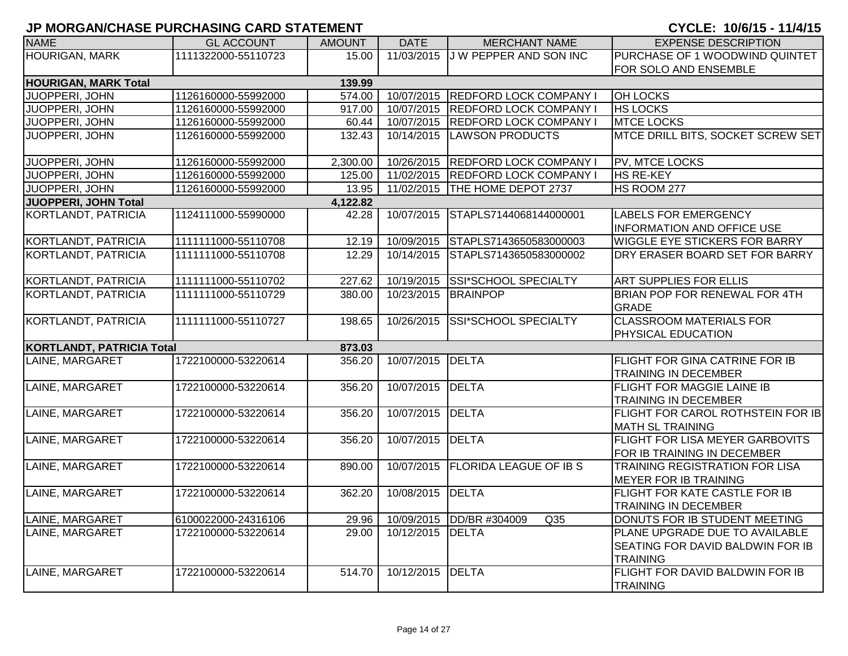| <b>NAME</b>                      | <b>GL ACCOUNT</b>   | <b>AMOUNT</b> | <b>DATE</b>         | <b>MERCHANT NAME</b>              | <b>EXPENSE DESCRIPTION</b>                                                     |
|----------------------------------|---------------------|---------------|---------------------|-----------------------------------|--------------------------------------------------------------------------------|
| <b>HOURIGAN, MARK</b>            | 1111322000-55110723 | 15.00         | 11/03/2015          | J W PEPPER AND SON INC            | PURCHASE OF 1 WOODWIND QUINTET                                                 |
|                                  |                     |               |                     |                                   | FOR SOLO AND ENSEMBLE                                                          |
| <b>HOURIGAN, MARK Total</b>      |                     | 139.99        |                     |                                   |                                                                                |
| JUOPPERI, JOHN                   | 1126160000-55992000 | 574.00        | 10/07/2015          | <b>REDFORD LOCK COMPANY I</b>     | <b>OH LOCKS</b>                                                                |
| JUOPPERI, JOHN                   | 1126160000-55992000 | 917.00        |                     | 10/07/2015 REDFORD LOCK COMPANY I | <b>HS LOCKS</b>                                                                |
| JUOPPERI, JOHN                   | 1126160000-55992000 | 60.44         | 10/07/2015          | <b>REDFORD LOCK COMPANY I</b>     | <b>MTCE LOCKS</b>                                                              |
| JUOPPERI, JOHN                   | 1126160000-55992000 | 132.43        | 10/14/2015          | LAWSON PRODUCTS                   | MTCE DRILL BITS, SOCKET SCREW SET                                              |
| JUOPPERI, JOHN                   | 1126160000-55992000 | 2,300.00      |                     | 10/26/2015 REDFORD LOCK COMPANY I | PV, MTCE LOCKS                                                                 |
| <b>JUOPPERI, JOHN</b>            | 1126160000-55992000 | 125.00        |                     | 11/02/2015 REDFORD LOCK COMPANY I | <b>HS RE-KEY</b>                                                               |
| JUOPPERI, JOHN                   | 1126160000-55992000 | 13.95         |                     | 11/02/2015 THE HOME DEPOT 2737    | HS ROOM 277                                                                    |
| JUOPPERI, JOHN Total             |                     | 4,122.82      |                     |                                   |                                                                                |
| KORTLANDT, PATRICIA              | 1124111000-55990000 | 42.28         | 10/07/2015          | STAPLS7144068144000001            | <b>LABELS FOR EMERGENCY</b><br><b>INFORMATION AND OFFICE USE</b>               |
| KORTLANDT, PATRICIA              | 1111111000-55110708 | 12.19         | 10/09/2015          | STAPLS7143650583000003            | <b>WIGGLE EYE STICKERS FOR BARRY</b>                                           |
| KORTLANDT, PATRICIA              | 1111111000-55110708 | 12.29         | 10/14/2015          | STAPLS7143650583000002            | DRY ERASER BOARD SET FOR BARRY                                                 |
| <b>KORTLANDT, PATRICIA</b>       | 1111111000-55110702 | 227.62        |                     | 10/19/2015 SSI*SCHOOL SPECIALTY   | <b>ART SUPPLIES FOR ELLIS</b>                                                  |
| <b>KORTLANDT, PATRICIA</b>       | 1111111000-55110729 | 380.00        | 10/23/2015 BRAINPOP |                                   | BRIAN POP FOR RENEWAL FOR 4TH<br><b>GRADE</b>                                  |
| <b>KORTLANDT, PATRICIA</b>       | 1111111000-55110727 | 198.65        | 10/26/2015          | <b>SSI*SCHOOL SPECIALTY</b>       | <b>CLASSROOM MATERIALS FOR</b><br><b>PHYSICAL EDUCATION</b>                    |
| <b>KORTLANDT, PATRICIA Total</b> |                     | 873.03        |                     |                                   |                                                                                |
| LAINE, MARGARET                  | 1722100000-53220614 | 356.20        | 10/07/2015 DELTA    |                                   | <b>FLIGHT FOR GINA CATRINE FOR IB</b><br><b>TRAINING IN DECEMBER</b>           |
| LAINE, MARGARET                  | 1722100000-53220614 | 356.20        | 10/07/2015          | DELTA                             | <b>FLIGHT FOR MAGGIE LAINE IB</b><br><b>TRAINING IN DECEMBER</b>               |
| LAINE, MARGARET                  | 1722100000-53220614 | 356.20        | 10/07/2015          | <b>DELTA</b>                      | FLIGHT FOR CAROL ROTHSTEIN FOR IB<br><b>MATH SL TRAINING</b>                   |
| LAINE, MARGARET                  | 1722100000-53220614 | 356.20        | 10/07/2015          | <b>DELTA</b>                      | <b>FLIGHT FOR LISA MEYER GARBOVITS</b><br>FOR IB TRAINING IN DECEMBER          |
| LAINE, MARGARET                  | 1722100000-53220614 | 890.00        | 10/07/2015          | <b>FLORIDA LEAGUE OF IB S</b>     | <b>TRAINING REGISTRATION FOR LISA</b><br><b>MEYER FOR IB TRAINING</b>          |
| LAINE, MARGARET                  | 1722100000-53220614 | 362.20        | 10/08/2015 DELTA    |                                   | <b>FLIGHT FOR KATE CASTLE FOR IB</b><br><b>TRAINING IN DECEMBER</b>            |
| LAINE, MARGARET                  | 6100022000-24316106 | 29.96         |                     | 10/09/2015 DD/BR #304009<br>Q35   | DONUTS FOR IB STUDENT MEETING                                                  |
| LAINE, MARGARET                  | 1722100000-53220614 | 29.00         | 10/12/2015          | DELTA                             | PLANE UPGRADE DUE TO AVAILABLE<br>SEATING FOR DAVID BALDWIN FOR IB<br>TRAINING |
| LAINE, MARGARET                  | 1722100000-53220614 | 514.70        | 10/12/2015          | <b>DELTA</b>                      | FLIGHT FOR DAVID BALDWIN FOR IB<br><b>TRAINING</b>                             |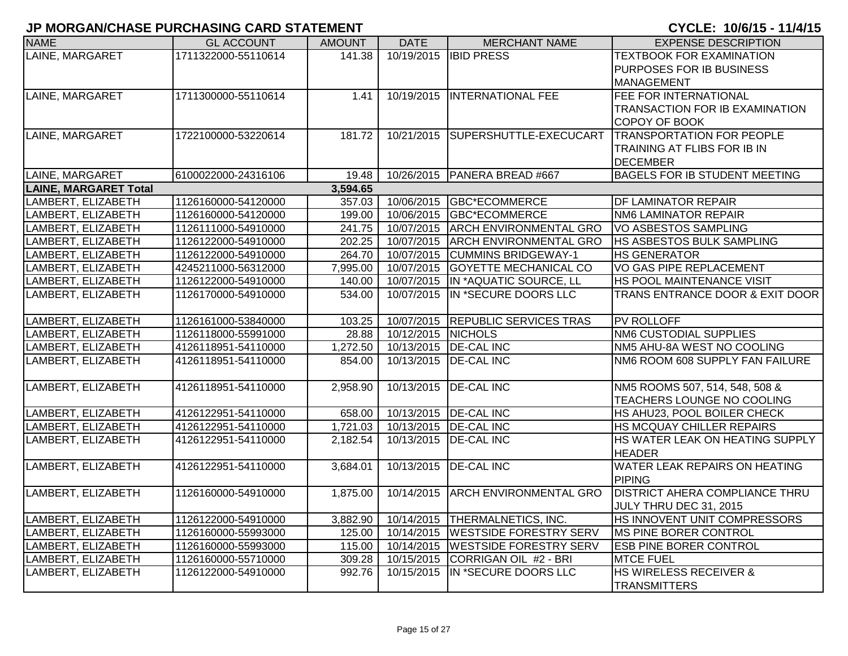| <b>NAME</b>                  | <b>GL ACCOUNT</b>   | <b>AMOUNT</b> | <b>DATE</b>        | <b>MERCHANT NAME</b>                | <b>EXPENSE DESCRIPTION</b>            |
|------------------------------|---------------------|---------------|--------------------|-------------------------------------|---------------------------------------|
| LAINE, MARGARET              | 1711322000-55110614 | 141.38        |                    | 10/19/2015 IBID PRESS               | <b>TEXTBOOK FOR EXAMINATION</b>       |
|                              |                     |               |                    |                                     | PURPOSES FOR IB BUSINESS              |
|                              |                     |               |                    |                                     | <b>MANAGEMENT</b>                     |
| LAINE, MARGARET              | 1711300000-55110614 | 1.41          |                    | 10/19/2015   INTERNATIONAL FEE      | FEE FOR INTERNATIONAL                 |
|                              |                     |               |                    |                                     | TRANSACTION FOR IB EXAMINATION        |
|                              |                     |               |                    |                                     | COPOY OF BOOK                         |
| LAINE, MARGARET              | 1722100000-53220614 | 181.72        |                    | 10/21/2015 SUPERSHUTTLE-EXECUCART   | <b>TRANSPORTATION FOR PEOPLE</b>      |
|                              |                     |               |                    |                                     | TRAINING AT FLIBS FOR IB IN           |
|                              |                     |               |                    |                                     | <b>DECEMBER</b>                       |
| LAINE, MARGARET              | 6100022000-24316106 | 19.48         |                    | 10/26/2015   PANERA BREAD #667      | BAGELS FOR IB STUDENT MEETING         |
| <b>LAINE, MARGARET Total</b> |                     | 3,594.65      |                    |                                     |                                       |
| LAMBERT, ELIZABETH           | 1126160000-54120000 | 357.03        |                    | 10/06/2015 GBC*ECOMMERCE            | DF LAMINATOR REPAIR                   |
| LAMBERT, ELIZABETH           | 1126160000-54120000 | 199.00        |                    | 10/06/2015 GBC*ECOMMERCE            | NM6 LAMINATOR REPAIR                  |
| LAMBERT, ELIZABETH           | 1126111000-54910000 | 241.75        |                    | 10/07/2015 ARCH ENVIRONMENTAL GRO   | VO ASBESTOS SAMPLING                  |
| LAMBERT, ELIZABETH           | 1126122000-54910000 | 202.25        |                    | 10/07/2015 ARCH ENVIRONMENTAL GRO   | HS ASBESTOS BULK SAMPLING             |
| LAMBERT, ELIZABETH           | 1126122000-54910000 | 264.70        |                    | 10/07/2015 CUMMINS BRIDGEWAY-1      | <b>HS GENERATOR</b>                   |
| LAMBERT, ELIZABETH           | 4245211000-56312000 | 7,995.00      | 10/07/2015         | <b>GOYETTE MECHANICAL CO</b>        | VO GAS PIPE REPLACEMENT               |
| LAMBERT, ELIZABETH           | 1126122000-54910000 | 140.00        |                    | 10/07/2015 IN *AQUATIC SOURCE, LL   | HS POOL MAINTENANCE VISIT             |
| LAMBERT, ELIZABETH           | 1126170000-54910000 | 534.00        | 10/07/2015         | IN *SECURE DOORS LLC                | TRANS ENTRANCE DOOR & EXIT DOOR       |
|                              |                     |               |                    |                                     |                                       |
| LAMBERT, ELIZABETH           | 1126161000-53840000 | 103.25        |                    | 10/07/2015 REPUBLIC SERVICES TRAS   | <b>PV ROLLOFF</b>                     |
| LAMBERT, ELIZABETH           | 1126118000-55991000 | 28.88         | 10/12/2015 NICHOLS |                                     | NM6 CUSTODIAL SUPPLIES                |
| LAMBERT, ELIZABETH           | 4126118951-54110000 | 1,272.50      |                    | 10/13/2015   DE-CAL INC             | NM5 AHU-8A WEST NO COOLING            |
| LAMBERT, ELIZABETH           | 4126118951-54110000 | 854.00        |                    | 10/13/2015   DE-CAL INC             | NM6 ROOM 608 SUPPLY FAN FAILURE       |
|                              |                     |               |                    |                                     |                                       |
| LAMBERT, ELIZABETH           | 4126118951-54110000 | 2,958.90      | 10/13/2015         | <b>DE-CAL INC</b>                   | NM5 ROOMS 507, 514, 548, 508 &        |
|                              |                     |               |                    |                                     | TEACHERS LOUNGE NO COOLING            |
| LAMBERT, ELIZABETH           | 4126122951-54110000 | 658.00        |                    | 10/13/2015 DE-CAL INC               | HS AHU23, POOL BOILER CHECK           |
| LAMBERT, ELIZABETH           | 4126122951-54110000 | 1,721.03      |                    | 10/13/2015 DE-CAL INC               | HS MCQUAY CHILLER REPAIRS             |
| LAMBERT, ELIZABETH           | 4126122951-54110000 | 2,182.54      | 10/13/2015         | <b>DE-CAL INC</b>                   | HS WATER LEAK ON HEATING SUPPLY       |
|                              |                     |               |                    |                                     | <b>HEADER</b>                         |
| LAMBERT, ELIZABETH           | 4126122951-54110000 | 3,684.01      | 10/13/2015         | <b>DE-CAL INC</b>                   | WATER LEAK REPAIRS ON HEATING         |
|                              |                     |               |                    |                                     | <b>PIPING</b>                         |
| LAMBERT, ELIZABETH           | 1126160000-54910000 | 1,875.00      | 10/14/2015         | <b>ARCH ENVIRONMENTAL GRO</b>       | <b>DISTRICT AHERA COMPLIANCE THRU</b> |
|                              |                     |               |                    |                                     | JULY THRU DEC 31, 2015                |
| LAMBERT, ELIZABETH           | 1126122000-54910000 | 3,882.90      |                    | 10/14/2015   THERMALNETICS, INC.    | HS INNOVENT UNIT COMPRESSORS          |
| LAMBERT, ELIZABETH           | 1126160000-55993000 | 125.00        |                    | 10/14/2015 WESTSIDE FORESTRY SERV   | MS PINE BORER CONTROL                 |
| LAMBERT, ELIZABETH           | 1126160000-55993000 | 115.00        |                    | 10/14/2015   WESTSIDE FORESTRY SERV | <b>ESB PINE BORER CONTROL</b>         |
| LAMBERT, ELIZABETH           | 1126160000-55710000 | 309.28        | 10/15/2015         | CORRIGAN OIL #2 - BRI               | <b>MTCE FUEL</b>                      |
| LAMBERT, ELIZABETH           | 1126122000-54910000 | 992.76        | 10/15/2015         | IN *SECURE DOORS LLC                | HS WIRELESS RECEIVER &                |
|                              |                     |               |                    |                                     | <b>TRANSMITTERS</b>                   |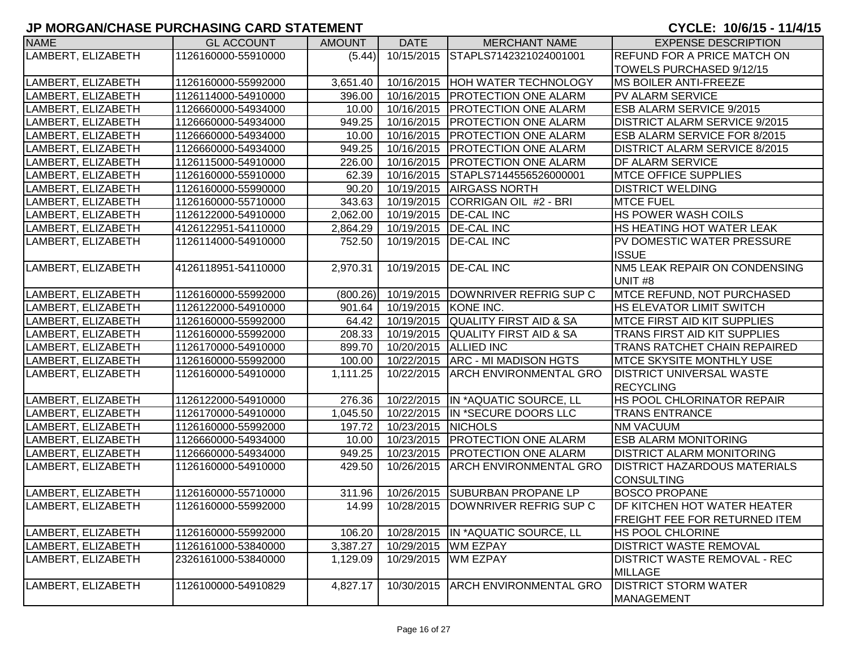| <b>NAME</b>        | <b>GL ACCOUNT</b>   | <b>AMOUNT</b> | <b>DATE</b>          | <b>MERCHANT NAME</b>                       | <b>EXPENSE DESCRIPTION</b>           |
|--------------------|---------------------|---------------|----------------------|--------------------------------------------|--------------------------------------|
| LAMBERT, ELIZABETH | 1126160000-55910000 | (5.44)        | 10/15/2015           | STAPLS7142321024001001                     | <b>REFUND FOR A PRICE MATCH ON</b>   |
|                    |                     |               |                      |                                            | TOWELS PURCHASED 9/12/15             |
| LAMBERT, ELIZABETH | 1126160000-55992000 | 3,651.40      |                      | 10/16/2015 HOH WATER TECHNOLOGY            | <b>MS BOILER ANTI-FREEZE</b>         |
| LAMBERT, ELIZABETH | 1126114000-54910000 | 396.00        |                      | 10/16/2015   PROTECTION ONE ALARM          | <b>PV ALARM SERVICE</b>              |
| LAMBERT, ELIZABETH | 1126660000-54934000 | 10.00         |                      | 10/16/2015 PROTECTION ONE ALARM            | <b>ESB ALARM SERVICE 9/2015</b>      |
| LAMBERT, ELIZABETH | 1126660000-54934000 | 949.25        | 10/16/2015           | <b>PROTECTION ONE ALARM</b>                | <b>DISTRICT ALARM SERVICE 9/2015</b> |
| LAMBERT, ELIZABETH | 1126660000-54934000 | 10.00         |                      | 10/16/2015   PROTECTION ONE ALARM          | ESB ALARM SERVICE FOR 8/2015         |
| LAMBERT, ELIZABETH | 1126660000-54934000 | 949.25        |                      | 10/16/2015   PROTECTION ONE ALARM          | <b>DISTRICT ALARM SERVICE 8/2015</b> |
| LAMBERT, ELIZABETH | 1126115000-54910000 | 226.00        | 10/16/2015           | <b>PROTECTION ONE ALARM</b>                | <b>DF ALARM SERVICE</b>              |
| LAMBERT, ELIZABETH | 1126160000-55910000 | 62.39         | 10/16/2015           | STAPLS7144556526000001                     | <b>MTCE OFFICE SUPPLIES</b>          |
| LAMBERT, ELIZABETH | 1126160000-55990000 | 90.20         | 10/19/2015           | <b>AIRGASS NORTH</b>                       | <b>DISTRICT WELDING</b>              |
| LAMBERT, ELIZABETH | 1126160000-55710000 | 343.63        | 10/19/2015           | CORRIGAN OIL #2 - BRI                      | <b>MTCE FUEL</b>                     |
| LAMBERT, ELIZABETH | 1126122000-54910000 | 2,062.00      | 10/19/2015           | <b>DE-CAL INC</b>                          | HS POWER WASH COILS                  |
| LAMBERT, ELIZABETH | 4126122951-54110000 | 2,864.29      | 10/19/2015           | <b>DE-CAL INC</b>                          | HS HEATING HOT WATER LEAK            |
| LAMBERT, ELIZABETH | 1126114000-54910000 | 752.50        | 10/19/2015           | <b>DE-CAL INC</b>                          | PV DOMESTIC WATER PRESSURE           |
|                    |                     |               |                      |                                            | <b>ISSUE</b>                         |
| LAMBERT, ELIZABETH | 4126118951-54110000 | 2,970.31      | 10/19/2015           | <b>DE-CAL INC</b>                          | NM5 LEAK REPAIR ON CONDENSING        |
|                    |                     |               |                      |                                            | UNIT <sub>#8</sub>                   |
| LAMBERT, ELIZABETH | 1126160000-55992000 |               |                      | (800.26) 10/19/2015 DOWNRIVER REFRIG SUP C | <b>MTCE REFUND, NOT PURCHASED</b>    |
| LAMBERT, ELIZABETH | 1126122000-54910000 | 901.64        | 10/19/2015 KONE INC. |                                            | <b>HS ELEVATOR LIMIT SWITCH</b>      |
| LAMBERT, ELIZABETH | 1126160000-55992000 | 64.42         |                      | 10/19/2015 QUALITY FIRST AID & SA          | <b>MTCE FIRST AID KIT SUPPLIES</b>   |
| LAMBERT, ELIZABETH | 1126160000-55992000 | 208.33        | 10/19/2015           | <b>QUALITY FIRST AID &amp; SA</b>          | <b>TRANS FIRST AID KIT SUPPLIES</b>  |
| LAMBERT, ELIZABETH | 1126170000-54910000 | 899.70        |                      | 10/20/2015 ALLIED INC                      | <b>TRANS RATCHET CHAIN REPAIRED</b>  |
| LAMBERT, ELIZABETH | 1126160000-55992000 | 100.00        |                      | 10/22/2015   ARC - MI MADISON HGTS         | <b>MTCE SKYSITE MONTHLY USE</b>      |
| LAMBERT, ELIZABETH | 1126160000-54910000 | 1,111.25      | 10/22/2015           | <b>ARCH ENVIRONMENTAL GRO</b>              | <b>DISTRICT UNIVERSAL WASTE</b>      |
|                    |                     |               |                      |                                            | <b>RECYCLING</b>                     |
| LAMBERT, ELIZABETH | 1126122000-54910000 | 276.36        |                      | 10/22/2015  IN *AQUATIC SOURCE, LL         | HS POOL CHLORINATOR REPAIR           |
| LAMBERT, ELIZABETH | 1126170000-54910000 | 1,045.50      |                      | 10/22/2015 IN *SECURE DOORS LLC            | <b>TRANS ENTRANCE</b>                |
| LAMBERT, ELIZABETH | 1126160000-55992000 | 197.72        | 10/23/2015 NICHOLS   |                                            | <b>NM VACUUM</b>                     |
| LAMBERT, ELIZABETH | 1126660000-54934000 | 10.00         | 10/23/2015           | <b>PROTECTION ONE ALARM</b>                | <b>ESB ALARM MONITORING</b>          |
| LAMBERT, ELIZABETH | 1126660000-54934000 | 949.25        | 10/23/2015           | <b>PROTECTION ONE ALARM</b>                | <b>DISTRICT ALARM MONITORING</b>     |
| LAMBERT, ELIZABETH | 1126160000-54910000 | 429.50        | 10/26/2015           | <b>ARCH ENVIRONMENTAL GRO</b>              | <b>DISTRICT HAZARDOUS MATERIALS</b>  |
|                    |                     |               |                      |                                            | <b>CONSULTING</b>                    |
| LAMBERT, ELIZABETH | 1126160000-55710000 | 311.96        | 10/26/2015           | <b>SUBURBAN PROPANE LP</b>                 | <b>BOSCO PROPANE</b>                 |
| LAMBERT, ELIZABETH | 1126160000-55992000 | 14.99         |                      | 10/28/2015 DOWNRIVER REFRIG SUP C          | DF KITCHEN HOT WATER HEATER          |
|                    |                     |               |                      |                                            | <b>FREIGHT FEE FOR RETURNED ITEM</b> |
| LAMBERT, ELIZABETH | 1126160000-55992000 | 106.20        |                      | 10/28/2015  IN *AQUATIC SOURCE, LL         | <b>HS POOL CHLORINE</b>              |
| LAMBERT, ELIZABETH | 1126161000-53840000 | 3,387.27      | 10/29/2015           | <b>WM EZPAY</b>                            | <b>DISTRICT WASTE REMOVAL</b>        |
| LAMBERT, ELIZABETH | 2326161000-53840000 | 1,129.09      | 10/29/2015           | <b>WM EZPAY</b>                            | <b>DISTRICT WASTE REMOVAL - REC</b>  |
|                    |                     |               |                      |                                            | <b>MILLAGE</b>                       |
| LAMBERT, ELIZABETH | 1126100000-54910829 | 4,827.17      | 10/30/2015           | <b>ARCH ENVIRONMENTAL GRO</b>              | <b>DISTRICT STORM WATER</b>          |
|                    |                     |               |                      |                                            | MANAGEMENT                           |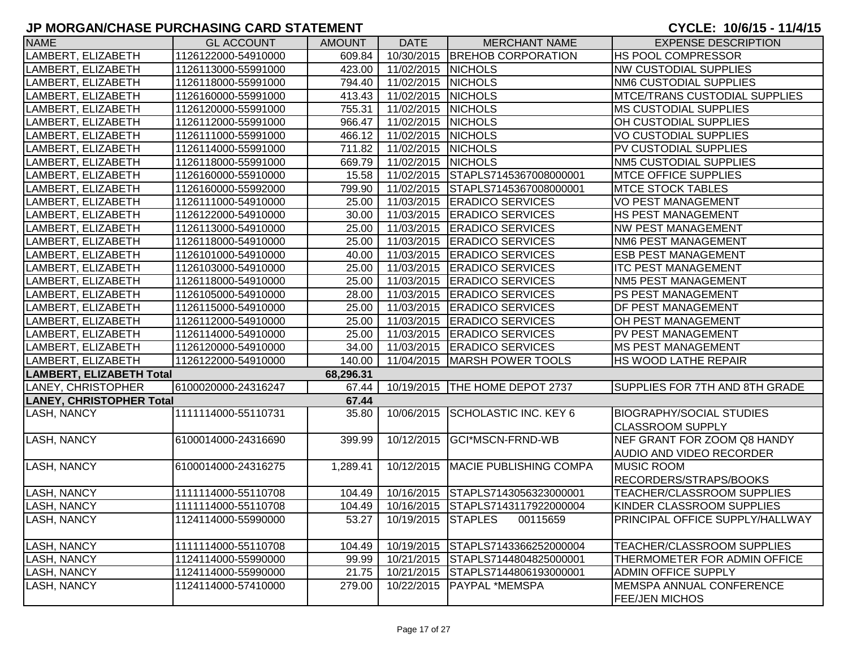| <b>NAME</b>                     | <b>GL ACCOUNT</b>   | <b>AMOUNT</b> | <b>DATE</b>              | <b>MERCHANT NAME</b>              | <b>EXPENSE DESCRIPTION</b>      |
|---------------------------------|---------------------|---------------|--------------------------|-----------------------------------|---------------------------------|
| LAMBERT, ELIZABETH              | 1126122000-54910000 | 609.84        |                          | 10/30/2015 BREHOB CORPORATION     | HS POOL COMPRESSOR              |
| LAMBERT, ELIZABETH              | 1126113000-55991000 | 423.00        | 11/02/2015               | <b>NICHOLS</b>                    | <b>NW CUSTODIAL SUPPLIES</b>    |
| LAMBERT, ELIZABETH              | 1126118000-55991000 | 794.40        | 11/02/2015               | <b>NICHOLS</b>                    | NM6 CUSTODIAL SUPPLIES          |
| LAMBERT, ELIZABETH              | 1126160000-55991000 | 413.43        | 11/02/2015 NICHOLS       |                                   | MTCE/TRANS CUSTODIAL SUPPLIES   |
| LAMBERT, ELIZABETH              | 1126120000-55991000 | 755.31        | 11/02/2015 NICHOLS       |                                   | <b>MS CUSTODIAL SUPPLIES</b>    |
| LAMBERT, ELIZABETH              | 1126112000-55991000 | 966.47        | 11/02/2015 NICHOLS       |                                   | OH CUSTODIAL SUPPLIES           |
| LAMBERT, ELIZABETH              | 1126111000-55991000 | 466.12        | 11/02/2015 NICHOLS       |                                   | VO CUSTODIAL SUPPLIES           |
| LAMBERT, ELIZABETH              | 1126114000-55991000 | 711.82        | 11/02/2015 NICHOLS       |                                   | PV CUSTODIAL SUPPLIES           |
| LAMBERT, ELIZABETH              | 1126118000-55991000 | 669.79        | 11/02/2015 NICHOLS       |                                   | <b>NM5 CUSTODIAL SUPPLIES</b>   |
| LAMBERT, ELIZABETH              | 1126160000-55910000 | 15.58         |                          | 11/02/2015 STAPLS7145367008000001 | <b>MTCE OFFICE SUPPLIES</b>     |
| LAMBERT, ELIZABETH              | 1126160000-55992000 | 799.90        |                          | 11/02/2015 STAPLS7145367008000001 | <b>MTCE STOCK TABLES</b>        |
| LAMBERT, ELIZABETH              | 1126111000-54910000 | 25.00         |                          | 11/03/2015   ERADICO SERVICES     | VO PEST MANAGEMENT              |
| LAMBERT, ELIZABETH              | 1126122000-54910000 | 30.00         |                          | 11/03/2015 ERADICO SERVICES       | HS PEST MANAGEMENT              |
| LAMBERT, ELIZABETH              | 1126113000-54910000 | 25.00         | 11/03/2015               | <b>ERADICO SERVICES</b>           | NW PEST MANAGEMENT              |
| LAMBERT, ELIZABETH              | 1126118000-54910000 | 25.00         |                          | 11/03/2015   ERADICO SERVICES     | NM6 PEST MANAGEMENT             |
| LAMBERT, ELIZABETH              | 1126101000-54910000 | 40.00         |                          | 11/03/2015   ERADICO SERVICES     | <b>ESB PEST MANAGEMENT</b>      |
| LAMBERT, ELIZABETH              | 1126103000-54910000 | 25.00         |                          | 11/03/2015 ERADICO SERVICES       | <b>ITC PEST MANAGEMENT</b>      |
| LAMBERT, ELIZABETH              | 1126118000-54910000 | 25.00         | 11/03/2015               | <b>ERADICO SERVICES</b>           | NM5 PEST MANAGEMENT             |
| LAMBERT, ELIZABETH              | 1126105000-54910000 | 28.00         | 11/03/2015               | <b>ERADICO SERVICES</b>           | PS PEST MANAGEMENT              |
| LAMBERT, ELIZABETH              | 1126115000-54910000 | 25.00         | 11/03/2015               | <b>ERADICO SERVICES</b>           | DF PEST MANAGEMENT              |
| LAMBERT, ELIZABETH              | 1126112000-54910000 | 25.00         | 11/03/2015               | <b>ERADICO SERVICES</b>           | OH PEST MANAGEMENT              |
| LAMBERT, ELIZABETH              | 1126114000-54910000 | 25.00         | 11/03/2015               | <b>ERADICO SERVICES</b>           | PV PEST MANAGEMENT              |
| LAMBERT, ELIZABETH              | 1126120000-54910000 | 34.00         | 11/03/2015               | <b>ERADICO SERVICES</b>           | <b>MS PEST MANAGEMENT</b>       |
| LAMBERT, ELIZABETH              | 1126122000-54910000 | 140.00        | 11/04/2015               | MARSH POWER TOOLS                 | <b>HS WOOD LATHE REPAIR</b>     |
| <b>LAMBERT, ELIZABETH Total</b> |                     | 68,296.31     |                          |                                   |                                 |
| LANEY, CHRISTOPHER              | 6100020000-24316247 | 67.44         |                          | 10/19/2015   THE HOME DEPOT 2737  | SUPPLIES FOR 7TH AND 8TH GRADE  |
| <b>LANEY, CHRISTOPHER Total</b> |                     | 67.44         |                          |                                   |                                 |
| <b>LASH, NANCY</b>              | 1111114000-55110731 | 35.80         | 10/06/2015               | <b>SCHOLASTIC INC. KEY 6</b>      | <b>BIOGRAPHY/SOCIAL STUDIES</b> |
|                                 |                     |               |                          |                                   | <b>CLASSROOM SUPPLY</b>         |
| <b>LASH, NANCY</b>              | 6100014000-24316690 | 399.99        | 10/12/2015               | GCI*MSCN-FRND-WB                  | NEF GRANT FOR ZOOM Q8 HANDY     |
|                                 |                     |               |                          |                                   | AUDIO AND VIDEO RECORDER        |
| <b>LASH, NANCY</b>              | 6100014000-24316275 | 1,289.41      | 10/12/2015               | MACIE PUBLISHING COMPA            | <b>MUSIC ROOM</b>               |
|                                 |                     |               |                          |                                   | RECORDERS/STRAPS/BOOKS          |
| <b>LASH, NANCY</b>              | 1111114000-55110708 | 104.49        |                          | 10/16/2015 STAPLS7143056323000001 | TEACHER/CLASSROOM SUPPLIES      |
| <b>LASH, NANCY</b>              | 1111114000-55110708 | 104.49        |                          | 10/16/2015 STAPLS7143117922000004 | KINDER CLASSROOM SUPPLIES       |
| <b>LASH, NANCY</b>              | 1124114000-55990000 |               | 53.27 10/19/2015 STAPLES | 00115659                          | PRINCIPAL OFFICE SUPPLY/HALLWAY |
| <b>LASH, NANCY</b>              | 1111114000-55110708 | 104.49        |                          | 10/19/2015 STAPLS7143366252000004 | TEACHER/CLASSROOM SUPPLIES      |
| LASH, NANCY                     | 1124114000-55990000 | 99.99         | 10/21/2015               | STAPLS7144804825000001            | THERMOMETER FOR ADMIN OFFICE    |
| <b>LASH, NANCY</b>              | 1124114000-55990000 | 21.75         | 10/21/2015               | STAPLS7144806193000001            | <b>ADMIN OFFICE SUPPLY</b>      |
| <b>LASH, NANCY</b>              | 1124114000-57410000 | 279.00        | 10/22/2015               | <b>PAYPAL *MEMSPA</b>             | <b>MEMSPA ANNUAL CONFERENCE</b> |
|                                 |                     |               |                          |                                   | <b>FEE/JEN MICHOS</b>           |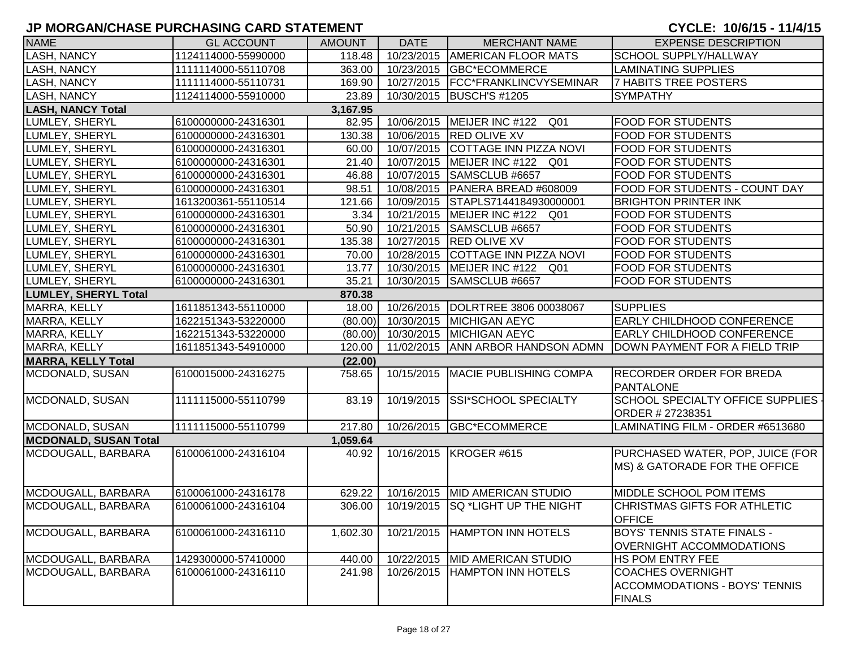| <b>NAME</b>                  | <b>GL ACCOUNT</b>   | <b>AMOUNT</b> | <b>DATE</b> | <b>MERCHANT NAME</b>                | <b>EXPENSE DESCRIPTION</b>                                                        |
|------------------------------|---------------------|---------------|-------------|-------------------------------------|-----------------------------------------------------------------------------------|
| <b>LASH, NANCY</b>           | 1124114000-55990000 | 118.48        | 10/23/2015  | <b>AMERICAN FLOOR MATS</b>          | SCHOOL SUPPLY/HALLWAY                                                             |
| <b>LASH, NANCY</b>           | 1111114000-55110708 | 363.00        | 10/23/2015  | <b>GBC*ECOMMERCE</b>                | LAMINATING SUPPLIES                                                               |
| <b>LASH, NANCY</b>           | 1111114000-55110731 | 169.90        |             | 10/27/2015   FCC*FRANKLINCVYSEMINAR | <b>7 HABITS TREE POSTERS</b>                                                      |
| LASH, NANCY                  | 1124114000-55910000 | 23.89         |             | 10/30/2015   BUSCH'S #1205          | <b>SYMPATHY</b>                                                                   |
| <b>LASH, NANCY Total</b>     |                     | 3,167.95      |             |                                     |                                                                                   |
| LUMLEY, SHERYL               | 6100000000-24316301 | 82.95         |             | 10/06/2015   MEIJER INC #122 Q01    | <b>FOOD FOR STUDENTS</b>                                                          |
| LUMLEY, SHERYL               | 6100000000-24316301 | 130.38        |             | 10/06/2015 RED OLIVE XV             | <b>FOOD FOR STUDENTS</b>                                                          |
| LUMLEY, SHERYL               | 6100000000-24316301 | 60.00         |             | 10/07/2015 COTTAGE INN PIZZA NOVI   | <b>FOOD FOR STUDENTS</b>                                                          |
| LUMLEY, SHERYL               | 6100000000-24316301 | 21.40         |             | 10/07/2015 MEIJER INC #122 Q01      | <b>FOOD FOR STUDENTS</b>                                                          |
| LUMLEY, SHERYL               | 6100000000-24316301 | 46.88         |             | 10/07/2015 SAMSCLUB #6657           | <b>FOOD FOR STUDENTS</b>                                                          |
| LUMLEY, SHERYL               | 6100000000-24316301 | 98.51         |             | 10/08/2015   PANERA BREAD #608009   | FOOD FOR STUDENTS - COUNT DAY                                                     |
| LUMLEY, SHERYL               | 1613200361-55110514 | 121.66        |             | 10/09/2015 STAPLS7144184930000001   | <b>BRIGHTON PRINTER INK</b>                                                       |
| LUMLEY, SHERYL               | 6100000000-24316301 | 3.34          |             | 10/21/2015   MEIJER INC #122 Q01    | <b>FOOD FOR STUDENTS</b>                                                          |
| LUMLEY, SHERYL               | 6100000000-24316301 | 50.90         | 10/21/2015  | SAMSCLUB #6657                      | <b>FOOD FOR STUDENTS</b>                                                          |
| LUMLEY, SHERYL               | 6100000000-24316301 | 135.38        |             | 10/27/2015 RED OLIVE XV             | <b>FOOD FOR STUDENTS</b>                                                          |
| LUMLEY, SHERYL               | 6100000000-24316301 | 70.00         | 10/28/2015  | COTTAGE INN PIZZA NOVI              | <b>FOOD FOR STUDENTS</b>                                                          |
| LUMLEY, SHERYL               | 6100000000-24316301 | 13.77         |             | 10/30/2015   MEIJER INC #122 Q01    | <b>FOOD FOR STUDENTS</b>                                                          |
| LUMLEY, SHERYL               | 6100000000-24316301 | 35.21         | 10/30/2015  | SAMSCLUB #6657                      | <b>FOOD FOR STUDENTS</b>                                                          |
| <b>LUMLEY, SHERYL Total</b>  |                     | 870.38        |             |                                     |                                                                                   |
| <b>MARRA, KELLY</b>          | 1611851343-55110000 | 18.00         | 10/26/2015  | DOLRTREE 3806 00038067              | <b>SUPPLIES</b>                                                                   |
| MARRA, KELLY                 | 1622151343-53220000 | (80.00)       | 10/30/2015  | <b>MICHIGAN AEYC</b>                | EARLY CHILDHOOD CONFERENCE                                                        |
| MARRA, KELLY                 | 1622151343-53220000 | (80.00)       | 10/30/2015  | <b>MICHIGAN AEYC</b>                | <b>EARLY CHILDHOOD CONFERENCE</b>                                                 |
| MARRA, KELLY                 | 1611851343-54910000 | 120.00        | 11/02/2015  | <b>ANN ARBOR HANDSON ADMN</b>       | DOWN PAYMENT FOR A FIELD TRIP                                                     |
| <b>MARRA, KELLY Total</b>    |                     | (22.00)       |             |                                     |                                                                                   |
| MCDONALD, SUSAN              | 6100015000-24316275 | 758.65        |             | 10/15/2015   MACIE PUBLISHING COMPA | <b>RECORDER ORDER FOR BREDA</b><br>PANTALONE                                      |
| MCDONALD, SUSAN              | 1111115000-55110799 | 83.19         | 10/19/2015  | SSI*SCHOOL SPECIALTY                | SCHOOL SPECIALTY OFFICE SUPPLIES<br>ORDER # 27238351                              |
| MCDONALD, SUSAN              | 1111115000-55110799 | 217.80        |             | 10/26/2015 GBC*ECOMMERCE            | LAMINATING FILM - ORDER #6513680                                                  |
| <b>MCDONALD, SUSAN Total</b> |                     | 1,059.64      |             |                                     |                                                                                   |
| MCDOUGALL, BARBARA           | 6100061000-24316104 | 40.92         |             | 10/16/2015   KROGER #615            | PURCHASED WATER, POP, JUICE (FOR<br>MS) & GATORADE FOR THE OFFICE                 |
| MCDOUGALL, BARBARA           | 6100061000-24316178 | 629.22        |             | 10/16/2015  MID AMERICAN STUDIO     | MIDDLE SCHOOL POM ITEMS                                                           |
| MCDOUGALL, BARBARA           | 6100061000-24316104 | 306.00        | 10/19/2015  | <b>SQ *LIGHT UP THE NIGHT</b>       | CHRISTMAS GIFTS FOR ATHLETIC<br><b>OFFICE</b>                                     |
| MCDOUGALL, BARBARA           | 6100061000-24316110 | 1,602.30      | 10/21/2015  | <b>HAMPTON INN HOTELS</b>           | <b>BOYS' TENNIS STATE FINALS -</b><br><b>OVERNIGHT ACCOMMODATIONS</b>             |
| MCDOUGALL, BARBARA           | 1429300000-57410000 | 440.00        | 10/22/2015  | <b>MID AMERICAN STUDIO</b>          | HS POM ENTRY FEE                                                                  |
| MCDOUGALL, BARBARA           | 6100061000-24316110 | 241.98        | 10/26/2015  | <b>HAMPTON INN HOTELS</b>           | <b>COACHES OVERNIGHT</b><br><b>ACCOMMODATIONS - BOYS' TENNIS</b><br><b>FINALS</b> |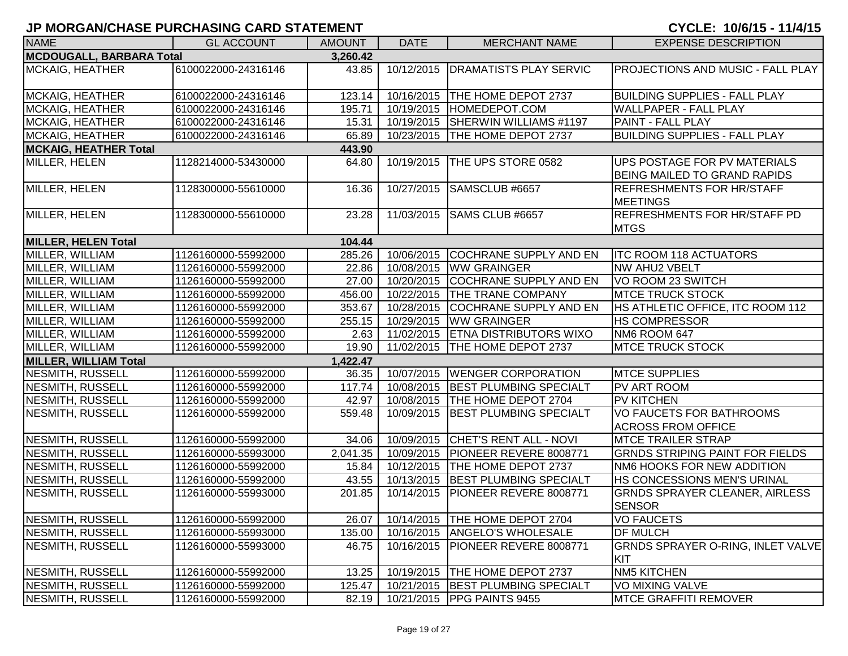| <b>NAME</b>                     | <b>GL ACCOUNT</b>   | <b>AMOUNT</b> | <b>DATE</b> | <b>MERCHANT NAME</b>                 | <b>EXPENSE DESCRIPTION</b>                                          |
|---------------------------------|---------------------|---------------|-------------|--------------------------------------|---------------------------------------------------------------------|
| <b>MCDOUGALL, BARBARA Total</b> |                     | 3,260.42      |             |                                      |                                                                     |
| <b>MCKAIG, HEATHER</b>          | 6100022000-24316146 | 43.85         | 10/12/2015  | <b>DRAMATISTS PLAY SERVIC</b>        | <b>PROJECTIONS AND MUSIC - FALL PLAY</b>                            |
| <b>MCKAIG, HEATHER</b>          | 6100022000-24316146 | 123.14        |             | 10/16/2015   THE HOME DEPOT 2737     | <b>BUILDING SUPPLIES - FALL PLAY</b>                                |
| <b>MCKAIG, HEATHER</b>          | 6100022000-24316146 | 195.71        | 10/19/2015  | HOMEDEPOT.COM                        | <b>WALLPAPER - FALL PLAY</b>                                        |
| <b>MCKAIG, HEATHER</b>          | 6100022000-24316146 | 15.31         | 10/19/2015  | <b>SHERWIN WILLIAMS #1197</b>        | <b>PAINT - FALL PLAY</b>                                            |
| <b>MCKAIG, HEATHER</b>          | 6100022000-24316146 | 65.89         | 10/23/2015  | <b>THE HOME DEPOT 2737</b>           | <b>BUILDING SUPPLIES - FALL PLAY</b>                                |
| <b>MCKAIG, HEATHER Total</b>    |                     | 443.90        |             |                                      |                                                                     |
| MILLER, HELEN                   | 1128214000-53430000 | 64.80         | 10/19/2015  | THE UPS STORE 0582                   | UPS POSTAGE FOR PV MATERIALS<br><b>BEING MAILED TO GRAND RAPIDS</b> |
| MILLER, HELEN                   | 1128300000-55610000 | 16.36         | 10/27/2015  | SAMSCLUB #6657                       | <b>REFRESHMENTS FOR HR/STAFF</b><br><b>MEETINGS</b>                 |
| MILLER, HELEN                   | 1128300000-55610000 | 23.28         | 11/03/2015  | SAMS CLUB #6657                      | <b>REFRESHMENTS FOR HR/STAFF PD</b><br><b>MTGS</b>                  |
| <b>MILLER, HELEN Total</b>      |                     | 104.44        |             |                                      |                                                                     |
| MILLER, WILLIAM                 | 1126160000-55992000 | 285.26        | 10/06/2015  | <b>COCHRANE SUPPLY AND EN</b>        | <b>ITC ROOM 118 ACTUATORS</b>                                       |
| MILLER, WILLIAM                 | 1126160000-55992000 | 22.86         | 10/08/2015  | <b>WW GRAINGER</b>                   | <b>NW AHU2 VBELT</b>                                                |
| MILLER, WILLIAM                 | 1126160000-55992000 | 27.00         | 10/20/2015  | <b>COCHRANE SUPPLY AND EN</b>        | VO ROOM 23 SWITCH                                                   |
| MILLER, WILLIAM                 | 1126160000-55992000 | 456.00        | 10/22/2015  | <b>THE TRANE COMPANY</b>             | <b>MTCE TRUCK STOCK</b>                                             |
| MILLER, WILLIAM                 | 1126160000-55992000 | 353.67        | 10/28/2015  | <b>COCHRANE SUPPLY AND EN</b>        | HS ATHLETIC OFFICE, ITC ROOM 112                                    |
| MILLER, WILLIAM                 | 1126160000-55992000 | 255.15        | 10/29/2015  | <b>WW GRAINGER</b>                   | <b>HS COMPRESSOR</b>                                                |
| MILLER, WILLIAM                 | 1126160000-55992000 | 2.63          | 11/02/2015  | <b>ETNA DISTRIBUTORS WIXO</b>        | NM6 ROOM 647                                                        |
| MILLER, WILLIAM                 | 1126160000-55992000 | 19.90         | 11/02/2015  | THE HOME DEPOT 2737                  | <b>MTCE TRUCK STOCK</b>                                             |
| <b>MILLER, WILLIAM Total</b>    |                     | 1,422.47      |             |                                      |                                                                     |
| <b>NESMITH, RUSSELL</b>         | 1126160000-55992000 | 36.35         | 10/07/2015  | <b>WENGER CORPORATION</b>            | <b>MTCE SUPPLIES</b>                                                |
| <b>NESMITH, RUSSELL</b>         | 1126160000-55992000 | 117.74        | 10/08/2015  | <b>BEST PLUMBING SPECIALT</b>        | PV ART ROOM                                                         |
| <b>NESMITH, RUSSELL</b>         | 1126160000-55992000 | 42.97         | 10/08/2015  | THE HOME DEPOT 2704                  | <b>PV KITCHEN</b>                                                   |
| <b>NESMITH, RUSSELL</b>         | 1126160000-55992000 | 559.48        | 10/09/2015  | <b>BEST PLUMBING SPECIALT</b>        | VO FAUCETS FOR BATHROOMS<br><b>ACROSS FROM OFFICE</b>               |
| <b>NESMITH, RUSSELL</b>         | 1126160000-55992000 | 34.06         |             | 10/09/2015 CHET'S RENT ALL - NOVI    | <b>MTCE TRAILER STRAP</b>                                           |
| <b>NESMITH, RUSSELL</b>         | 1126160000-55993000 | 2,041.35      | 10/09/2015  | PIONEER REVERE 8008771               | <b>GRNDS STRIPING PAINT FOR FIELDS</b>                              |
| <b>NESMITH, RUSSELL</b>         | 1126160000-55992000 | 15.84         | 10/12/2015  | <b>THE HOME DEPOT 2737</b>           | NM6 HOOKS FOR NEW ADDITION                                          |
| <b>NESMITH, RUSSELL</b>         | 1126160000-55992000 | 43.55         | 10/13/2015  | <b>BEST PLUMBING SPECIALT</b>        | HS CONCESSIONS MEN'S URINAL                                         |
| NESMITH, RUSSELL                | 1126160000-55993000 | 201.85        | 10/14/2015  | PIONEER REVERE 8008771               | <b>GRNDS SPRAYER CLEANER, AIRLESS</b><br><b>SENSOR</b>              |
| NESMITH, RUSSELL                | 1126160000-55992000 | 26.07         |             | 10/14/2015   THE HOME DEPOT 2704     | <b>VO FAUCETS</b>                                                   |
| NESMITH, RUSSELL                | 1126160000-55993000 | 135.00        |             | 10/16/2015   ANGELO'S WHOLESALE      | <b>DF MULCH</b>                                                     |
| NESMITH, RUSSELL                | 1126160000-55993000 | 46.75         |             | 10/16/2015   PIONEER REVERE 8008771  | <b>GRNDS SPRAYER O-RING, INLET VALVE</b><br>KIT                     |
| NESMITH, RUSSELL                | 1126160000-55992000 | 13.25         |             | 10/19/2015   THE HOME DEPOT 2737     | NM5 KITCHEN                                                         |
| NESMITH, RUSSELL                | 1126160000-55992000 | 125.47        |             | 10/21/2015 BEST PLUMBING SPECIALT    | VO MIXING VALVE                                                     |
| NESMITH, RUSSELL                | 1126160000-55992000 |               |             | 82.19   10/21/2015   PPG PAINTS 9455 | <b>MTCE GRAFFITI REMOVER</b>                                        |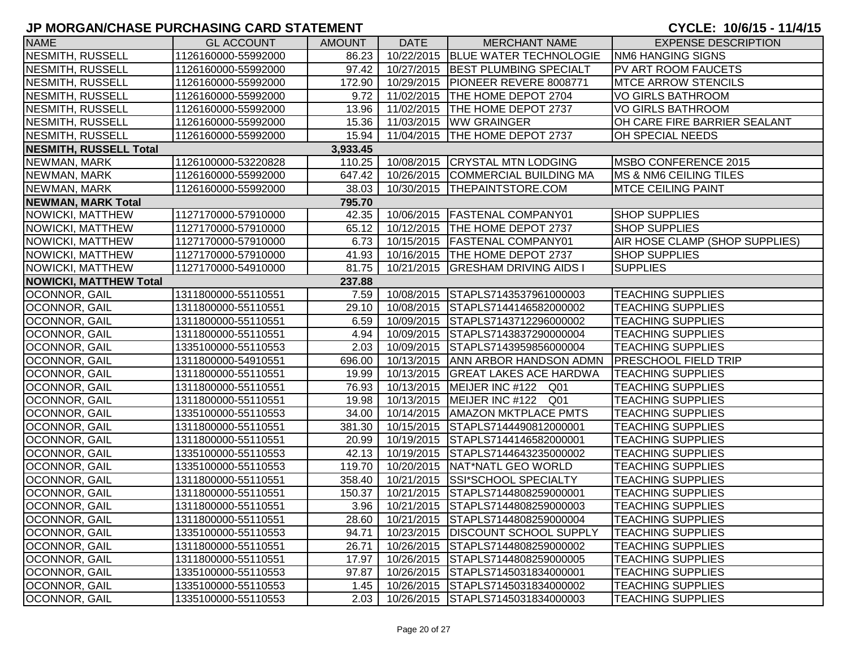| <b>NAME</b>                   | <b>GL ACCOUNT</b>   | <b>AMOUNT</b> | <b>DATE</b> | <b>MERCHANT NAME</b>                    | <b>EXPENSE DESCRIPTION</b>        |
|-------------------------------|---------------------|---------------|-------------|-----------------------------------------|-----------------------------------|
| <b>NESMITH, RUSSELL</b>       | 1126160000-55992000 | 86.23         |             | 10/22/2015   BLUE WATER TECHNOLOGIE     | <b>NM6 HANGING SIGNS</b>          |
| <b>NESMITH, RUSSELL</b>       | 1126160000-55992000 | 97.42         |             | 10/27/2015 BEST PLUMBING SPECIALT       | PV ART ROOM FAUCETS               |
| <b>NESMITH, RUSSELL</b>       | 1126160000-55992000 | 172.90        |             | 10/29/2015   PIONEER REVERE 8008771     | <b>MTCE ARROW STENCILS</b>        |
| <b>NESMITH, RUSSELL</b>       | 1126160000-55992000 | 9.72          |             | 11/02/2015 THE HOME DEPOT 2704          | <b>VO GIRLS BATHROOM</b>          |
| <b>NESMITH, RUSSELL</b>       | 1126160000-55992000 | 13.96         |             | 11/02/2015   THE HOME DEPOT 2737        | <b>VO GIRLS BATHROOM</b>          |
| <b>NESMITH, RUSSELL</b>       | 1126160000-55992000 | 15.36         |             | 11/03/2015   WW GRAINGER                | OH CARE FIRE BARRIER SEALANT      |
| <b>NESMITH, RUSSELL</b>       | 1126160000-55992000 | 15.94         |             | 11/04/2015   THE HOME DEPOT 2737        | OH SPECIAL NEEDS                  |
| <b>NESMITH, RUSSELL Total</b> |                     | 3,933.45      |             |                                         |                                   |
| NEWMAN, MARK                  | 1126100000-53220828 | 110.25        |             | 10/08/2015 CRYSTAL MTN LODGING          | MSBO CONFERENCE 2015              |
| NEWMAN, MARK                  | 1126160000-55992000 | 647.42        |             | 10/26/2015 COMMERCIAL BUILDING MA       | <b>MS &amp; NM6 CEILING TILES</b> |
| NEWMAN, MARK                  | 1126160000-55992000 | 38.03         |             | 10/30/2015   THEPAINTSTORE.COM          | <b>MTCE CEILING PAINT</b>         |
| <b>NEWMAN, MARK Total</b>     |                     | 795.70        |             |                                         |                                   |
| <b>NOWICKI, MATTHEW</b>       | 1127170000-57910000 | 42.35         |             | 10/06/2015   FASTENAL COMPANY01         | <b>SHOP SUPPLIES</b>              |
| NOWICKI, MATTHEW              | 1127170000-57910000 | 65.12         |             | 10/12/2015   THE HOME DEPOT 2737        | <b>SHOP SUPPLIES</b>              |
| <b>NOWICKI, MATTHEW</b>       | 1127170000-57910000 | 6.73          |             | 10/15/2015   FASTENAL COMPANY01         | AIR HOSE CLAMP (SHOP SUPPLIES)    |
| NOWICKI, MATTHEW              | 1127170000-57910000 | 41.93         |             | 10/16/2015   THE HOME DEPOT 2737        | <b>SHOP SUPPLIES</b>              |
| NOWICKI, MATTHEW              | 1127170000-54910000 | 81.75         | 10/21/2015  | <b>GRESHAM DRIVING AIDS I</b>           | <b>SUPPLIES</b>                   |
| <b>NOWICKI, MATTHEW Total</b> |                     | 237.88        |             |                                         |                                   |
| <b>OCONNOR, GAIL</b>          | 1311800000-55110551 | 7.59          |             | 10/08/2015 STAPLS7143537961000003       | <b>TEACHING SUPPLIES</b>          |
| OCONNOR, GAIL                 | 1311800000-55110551 | 29.10         |             | 10/08/2015 STAPLS7144146582000002       | <b>TEACHING SUPPLIES</b>          |
| <b>OCONNOR, GAIL</b>          | 1311800000-55110551 | 6.59          | 10/09/2015  | STAPLS7143712296000002                  | <b>TEACHING SUPPLIES</b>          |
| <b>OCONNOR, GAIL</b>          | 1311800000-55110551 | 4.94          | 10/09/2015  | STAPLS7143837290000004                  | <b>TEACHING SUPPLIES</b>          |
| OCONNOR, GAIL                 | 1335100000-55110553 | 2.03          | 10/09/2015  | STAPLS7143959856000004                  | <b>TEACHING SUPPLIES</b>          |
| OCONNOR, GAIL                 | 1311800000-54910551 | 696.00        |             | 10/13/2015 ANN ARBOR HANDSON ADMN       | <b>PRESCHOOL FIELD TRIP</b>       |
| <b>OCONNOR, GAIL</b>          | 1311800000-55110551 | 19.99         |             | 10/13/2015 GREAT LAKES ACE HARDWA       | <b>TEACHING SUPPLIES</b>          |
| <b>OCONNOR, GAIL</b>          | 1311800000-55110551 | 76.93         |             | 10/13/2015   MEIJER INC #122 Q01        | <b>TEACHING SUPPLIES</b>          |
| <b>OCONNOR, GAIL</b>          | 1311800000-55110551 | 19.98         |             | 10/13/2015   MEIJER INC #122 Q01        | <b>TEACHING SUPPLIES</b>          |
| <b>OCONNOR, GAIL</b>          | 1335100000-55110553 | 34.00         |             | 10/14/2015   AMAZON MKTPLACE PMTS       | <b>TEACHING SUPPLIES</b>          |
| <b>OCONNOR, GAIL</b>          | 1311800000-55110551 | 381.30        |             | 10/15/2015 STAPLS7144490812000001       | <b>TEACHING SUPPLIES</b>          |
| <b>OCONNOR, GAIL</b>          | 1311800000-55110551 | 20.99         |             | 10/19/2015 STAPLS7144146582000001       | <b>TEACHING SUPPLIES</b>          |
| OCONNOR, GAIL                 | 1335100000-55110553 | 42.13         |             | 10/19/2015 STAPLS7144643235000002       | <b>TEACHING SUPPLIES</b>          |
| OCONNOR, GAIL                 | 1335100000-55110553 | 119.70        |             | 10/20/2015 NAT*NATL GEO WORLD           | <b>TEACHING SUPPLIES</b>          |
| OCONNOR, GAIL                 | 1311800000-55110551 | 358.40        |             | 10/21/2015 SSI*SCHOOL SPECIALTY         | <b>TEACHING SUPPLIES</b>          |
| OCONNOR, GAIL                 | 1311800000-55110551 | 150.37        | 10/21/2015  | STAPLS7144808259000001                  | <b>TEACHING SUPPLIES</b>          |
| OCONNOR, GAIL                 | 1311800000-55110551 | 3.96          |             | 10/21/2015 STAPLS7144808259000003       | <b>TEACHING SUPPLIES</b>          |
| OCONNOR, GAIL                 | 1311800000-55110551 |               |             | 28.60 10/21/2015 STAPLS7144808259000004 | <b>TEACHING SUPPLIES</b>          |
| <b>OCONNOR, GAIL</b>          | 1335100000-55110553 | 94.71         |             | 10/23/2015   DISCOUNT SCHOOL SUPPLY     | <b>TEACHING SUPPLIES</b>          |
| OCONNOR, GAIL                 | 1311800000-55110551 | 26.71         |             | 10/26/2015 STAPLS7144808259000002       | <b>TEACHING SUPPLIES</b>          |
| OCONNOR, GAIL                 | 1311800000-55110551 | 17.97         |             | 10/26/2015 STAPLS7144808259000005       | <b>TEACHING SUPPLIES</b>          |
| <b>OCONNOR, GAIL</b>          | 1335100000-55110553 | 97.87         |             | 10/26/2015 STAPLS7145031834000001       | <b>TEACHING SUPPLIES</b>          |
| <b>OCONNOR, GAIL</b>          | 1335100000-55110553 | 1.45          |             | 10/26/2015 STAPLS7145031834000002       | <b>TEACHING SUPPLIES</b>          |
| OCONNOR, GAIL                 | 1335100000-55110553 | 2.03          |             | 10/26/2015 STAPLS7145031834000003       | <b>TEACHING SUPPLIES</b>          |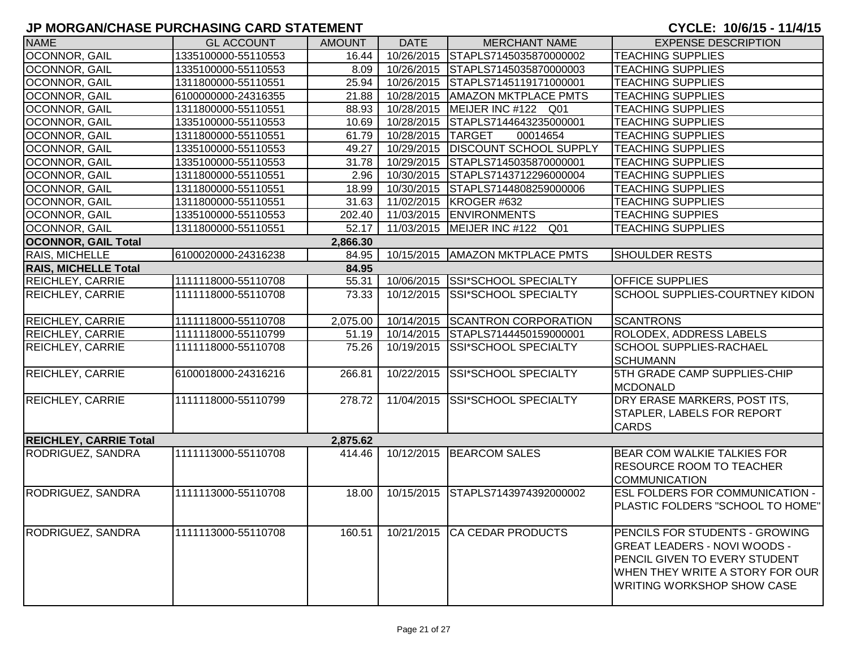| <b>NAME</b>                   | <b>GL ACCOUNT</b>   | <b>AMOUNT</b> | <b>DATE</b>       | <b>MERCHANT NAME</b>                | <b>EXPENSE DESCRIPTION</b>           |
|-------------------------------|---------------------|---------------|-------------------|-------------------------------------|--------------------------------------|
| OCONNOR, GAIL                 | 1335100000-55110553 | 16.44         | 10/26/2015        | STAPLS7145035870000002              | <b>TEACHING SUPPLIES</b>             |
| OCONNOR, GAIL                 | 1335100000-55110553 | 8.09          |                   | 10/26/2015 STAPLS7145035870000003   | <b>TEACHING SUPPLIES</b>             |
| OCONNOR, GAIL                 | 1311800000-55110551 | 25.94         |                   | 10/26/2015 STAPLS7145119171000001   | <b>TEACHING SUPPLIES</b>             |
| OCONNOR, GAIL                 | 6100000000-24316355 | 21.88         | 10/28/2015        | <b>AMAZON MKTPLACE PMTS</b>         | <b>TEACHING SUPPLIES</b>             |
| OCONNOR, GAIL                 | 1311800000-55110551 | 88.93         |                   | 10/28/2015   MEIJER INC #122 Q01    | <b>TEACHING SUPPLIES</b>             |
| OCONNOR, GAIL                 | 1335100000-55110553 | 10.69         |                   | 10/28/2015 STAPLS7144643235000001   | <b>TEACHING SUPPLIES</b>             |
| OCONNOR, GAIL                 | 1311800000-55110551 | 61.79         | 10/28/2015 TARGET | 00014654                            | <b>TEACHING SUPPLIES</b>             |
| OCONNOR, GAIL                 | 1335100000-55110553 | 49.27         |                   | 10/29/2015   DISCOUNT SCHOOL SUPPLY | <b>TEACHING SUPPLIES</b>             |
| <b>OCONNOR, GAIL</b>          | 1335100000-55110553 | 31.78         |                   | 10/29/2015 STAPLS7145035870000001   | <b>TEACHING SUPPLIES</b>             |
| <b>OCONNOR, GAIL</b>          | 1311800000-55110551 | 2.96          |                   | 10/30/2015 STAPLS7143712296000004   | <b>TEACHING SUPPLIES</b>             |
| OCONNOR, GAIL                 | 1311800000-55110551 | 18.99         |                   | 10/30/2015 STAPLS7144808259000006   | <b>TEACHING SUPPLIES</b>             |
| OCONNOR, GAIL                 | 1311800000-55110551 | 31.63         |                   | 11/02/2015 KROGER #632              | <b>TEACHING SUPPLIES</b>             |
| <b>OCONNOR, GAIL</b>          | 1335100000-55110553 | 202.40        |                   | 11/03/2015 ENVIRONMENTS             | <b>TEACHING SUPPIES</b>              |
| <b>OCONNOR, GAIL</b>          | 1311800000-55110551 | 52.17         |                   | 11/03/2015   MEIJER INC #122 Q01    | <b>TEACHING SUPPLIES</b>             |
| <b>OCONNOR, GAIL Total</b>    |                     | 2,866.30      |                   |                                     |                                      |
| RAIS, MICHELLE                | 6100020000-24316238 | 84.95         |                   | 10/15/2015   AMAZON MKTPLACE PMTS   | <b>SHOULDER RESTS</b>                |
| <b>RAIS, MICHELLE Total</b>   |                     | 84.95         |                   |                                     |                                      |
| <b>REICHLEY, CARRIE</b>       | 1111118000-55110708 | 55.31         |                   | 10/06/2015 SSI*SCHOOL SPECIALTY     | <b>OFFICE SUPPLIES</b>               |
| <b>REICHLEY, CARRIE</b>       | 1111118000-55110708 | 73.33         | 10/12/2015        | SSI*SCHOOL SPECIALTY                | SCHOOL SUPPLIES-COURTNEY KIDON       |
|                               |                     |               |                   |                                     |                                      |
| <b>REICHLEY, CARRIE</b>       | 1111118000-55110708 | 2,075.00      |                   | 10/14/2015 SCANTRON CORPORATION     | <b>SCANTRONS</b>                     |
| <b>REICHLEY, CARRIE</b>       | 1111118000-55110799 | 51.19         | 10/14/2015        | STAPLS7144450159000001              | ROLODEX, ADDRESS LABELS              |
| <b>REICHLEY, CARRIE</b>       | 1111118000-55110708 | 75.26         | 10/19/2015        | <b>SSI*SCHOOL SPECIALTY</b>         | SCHOOL SUPPLIES-RACHAEL              |
|                               |                     |               |                   |                                     | <b>SCHUMANN</b>                      |
| <b>REICHLEY, CARRIE</b>       | 6100018000-24316216 | 266.81        | 10/22/2015        | <b>SSI*SCHOOL SPECIALTY</b>         | 5TH GRADE CAMP SUPPLIES-CHIP         |
|                               |                     |               |                   |                                     | <b>MCDONALD</b>                      |
| <b>REICHLEY, CARRIE</b>       | 1111118000-55110799 | 278.72        | 11/04/2015        | <b>SSI*SCHOOL SPECIALTY</b>         | DRY ERASE MARKERS, POST ITS,         |
|                               |                     |               |                   |                                     | STAPLER, LABELS FOR REPORT           |
|                               |                     |               |                   |                                     | <b>CARDS</b>                         |
| <b>REICHLEY, CARRIE Total</b> |                     | 2,875.62      |                   |                                     |                                      |
| RODRIGUEZ, SANDRA             | 1111113000-55110708 | 414.46        |                   | 10/12/2015 BEARCOM SALES            | BEAR COM WALKIE TALKIES FOR          |
|                               |                     |               |                   |                                     | <b>RESOURCE ROOM TO TEACHER</b>      |
|                               |                     |               |                   |                                     | <b>COMMUNICATION</b>                 |
| RODRIGUEZ, SANDRA             | 1111113000-55110708 | 18.00         | 10/15/2015        | STAPLS7143974392000002              | ESL FOLDERS FOR COMMUNICATION -      |
|                               |                     |               |                   |                                     | PLASTIC FOLDERS "SCHOOL TO HOME"     |
|                               |                     |               |                   |                                     |                                      |
| <b>RODRIGUEZ, SANDRA</b>      | 1111113000-55110708 | 160.51        | 10/21/2015        | <b>CA CEDAR PRODUCTS</b>            | PENCILS FOR STUDENTS - GROWING       |
|                               |                     |               |                   |                                     | <b>GREAT LEADERS - NOVI WOODS -</b>  |
|                               |                     |               |                   |                                     | <b>PENCIL GIVEN TO EVERY STUDENT</b> |
|                               |                     |               |                   |                                     | WHEN THEY WRITE A STORY FOR OUR      |
|                               |                     |               |                   |                                     | <b>WRITING WORKSHOP SHOW CASE</b>    |
|                               |                     |               |                   |                                     |                                      |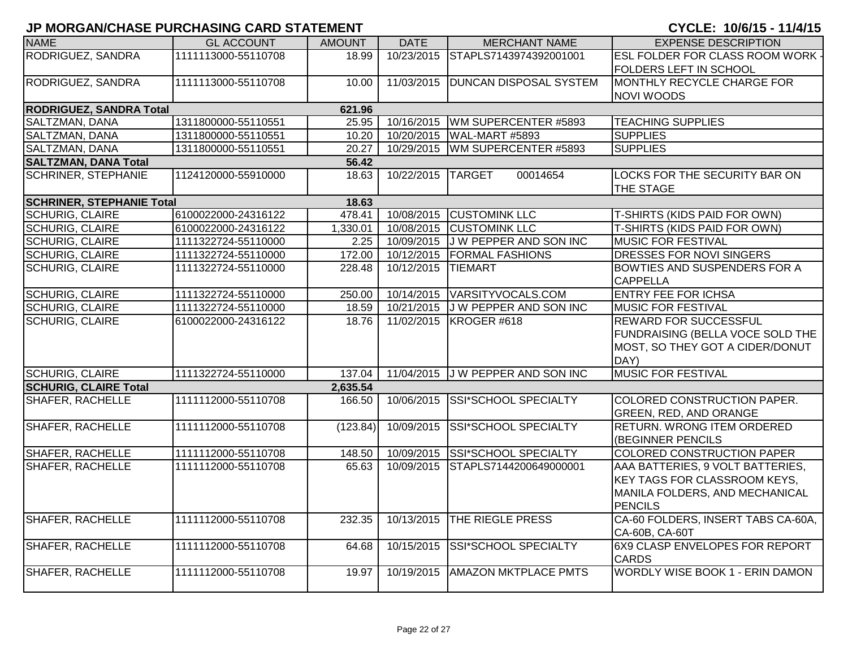| <b>NAME</b>                      | <b>GL ACCOUNT</b>   | <b>AMOUNT</b> | <b>DATE</b>       | <b>MERCHANT NAME</b>              | <b>EXPENSE DESCRIPTION</b>              |
|----------------------------------|---------------------|---------------|-------------------|-----------------------------------|-----------------------------------------|
| RODRIGUEZ, SANDRA                | 1111113000-55110708 | 18.99         | 10/23/2015        | STAPLS7143974392001001            | <b>ESL FOLDER FOR CLASS ROOM WORK -</b> |
|                                  |                     |               |                   |                                   | <b>FOLDERS LEFT IN SCHOOL</b>           |
| RODRIGUEZ, SANDRA                | 1111113000-55110708 | 10.00         | 11/03/2015        | <b>DUNCAN DISPOSAL SYSTEM</b>     | MONTHLY RECYCLE CHARGE FOR              |
|                                  |                     |               |                   |                                   | <b>NOVI WOODS</b>                       |
| <b>RODRIGUEZ, SANDRA Total</b>   |                     | 621.96        |                   |                                   |                                         |
| SALTZMAN, DANA                   | 1311800000-55110551 | 25.95         |                   | 10/16/2015   WM SUPERCENTER #5893 | <b>TEACHING SUPPLIES</b>                |
| SALTZMAN, DANA                   | 1311800000-55110551 | 10.20         |                   | 10/20/2015   WAL-MART #5893       | <b>SUPPLIES</b>                         |
| SALTZMAN, DANA                   | 1311800000-55110551 | 20.27         | 10/29/2015        | WM SUPERCENTER #5893              | <b>SUPPLIES</b>                         |
| <b>SALTZMAN, DANA Total</b>      |                     | 56.42         |                   |                                   |                                         |
| <b>SCHRINER, STEPHANIE</b>       | 1124120000-55910000 | 18.63         | 10/22/2015 TARGET | 00014654                          | <b>LOCKS FOR THE SECURITY BAR ON</b>    |
|                                  |                     |               |                   |                                   | THE STAGE                               |
| <b>SCHRINER, STEPHANIE Total</b> |                     | 18.63         |                   |                                   |                                         |
| <b>SCHURIG, CLAIRE</b>           | 6100022000-24316122 | 478.41        |                   | 10/08/2015 CUSTOMINK LLC          | T-SHIRTS (KIDS PAID FOR OWN)            |
| <b>SCHURIG, CLAIRE</b>           | 6100022000-24316122 | 1,330.01      |                   | 10/08/2015 CUSTOMINK LLC          | T-SHIRTS (KIDS PAID FOR OWN)            |
| <b>SCHURIG, CLAIRE</b>           | 1111322724-55110000 | 2.25          |                   | 10/09/2015 J W PEPPER AND SON INC | <b>MUSIC FOR FESTIVAL</b>               |
| <b>SCHURIG, CLAIRE</b>           | 1111322724-55110000 | 172.00        |                   | 10/12/2015 FORMAL FASHIONS        | DRESSES FOR NOVI SINGERS                |
| <b>SCHURIG, CLAIRE</b>           | 1111322724-55110000 | 228.48        | 10/12/2015        | <b>TIEMART</b>                    | <b>BOWTIES AND SUSPENDERS FOR A</b>     |
|                                  |                     |               |                   |                                   | <b>CAPPELLA</b>                         |
| <b>SCHURIG, CLAIRE</b>           | 1111322724-55110000 | 250.00        |                   | 10/14/2015 VARSITYVOCALS.COM      | <b>ENTRY FEE FOR ICHSA</b>              |
| <b>SCHURIG, CLAIRE</b>           | 1111322724-55110000 | 18.59         | 10/21/2015        | J W PEPPER AND SON INC            | <b>MUSIC FOR FESTIVAL</b>               |
| <b>SCHURIG, CLAIRE</b>           | 6100022000-24316122 | 18.76         | 11/02/2015        | KROGER #618                       | <b>REWARD FOR SUCCESSFUL</b>            |
|                                  |                     |               |                   |                                   | FUNDRAISING (BELLA VOCE SOLD THE        |
|                                  |                     |               |                   |                                   | MOST, SO THEY GOT A CIDER/DONUT         |
|                                  |                     |               |                   |                                   | DAY)                                    |
| <b>SCHURIG, CLAIRE</b>           | 1111322724-55110000 | 137.04        |                   | 11/04/2015 J W PEPPER AND SON INC | <b>MUSIC FOR FESTIVAL</b>               |
| <b>SCHURIG, CLAIRE Total</b>     |                     | 2,635.54      |                   |                                   |                                         |
| <b>SHAFER, RACHELLE</b>          | 1111112000-55110708 | 166.50        |                   | 10/06/2015 SSI*SCHOOL SPECIALTY   | COLORED CONSTRUCTION PAPER.             |
|                                  |                     |               |                   |                                   | <b>GREEN, RED, AND ORANGE</b>           |
| <b>SHAFER, RACHELLE</b>          | 1111112000-55110708 | (123.84)      | 10/09/2015        | <b>SSI*SCHOOL SPECIALTY</b>       | <b>RETURN. WRONG ITEM ORDERED</b>       |
|                                  |                     |               |                   |                                   | (BEGINNER PENCILS                       |
| SHAFER, RACHELLE                 | 1111112000-55110708 | 148.50        | 10/09/2015        | SSI*SCHOOL SPECIALTY              | COLORED CONSTRUCTION PAPER              |
| <b>SHAFER, RACHELLE</b>          | 1111112000-55110708 | 65.63         | 10/09/2015        | STAPLS7144200649000001            | AAA BATTERIES, 9 VOLT BATTERIES,        |
|                                  |                     |               |                   |                                   | <b>KEY TAGS FOR CLASSROOM KEYS,</b>     |
|                                  |                     |               |                   |                                   | MANILA FOLDERS, AND MECHANICAL          |
|                                  |                     |               |                   |                                   | <b>PENCILS</b>                          |
| <b>SHAFER, RACHELLE</b>          | 1111112000-55110708 | 232.35        | 10/13/2015        | THE RIEGLE PRESS                  | CA-60 FOLDERS, INSERT TABS CA-60A,      |
|                                  |                     |               |                   |                                   | CA-60B, CA-60T                          |
| <b>SHAFER, RACHELLE</b>          | 1111112000-55110708 | 64.68         | 10/15/2015        | SSI*SCHOOL SPECIALTY              | <b>6X9 CLASP ENVELOPES FOR REPORT</b>   |
|                                  |                     |               |                   |                                   | <b>CARDS</b>                            |
| SHAFER, RACHELLE                 | 1111112000-55110708 | 19.97         | 10/19/2015        | <b>AMAZON MKTPLACE PMTS</b>       | WORDLY WISE BOOK 1 - ERIN DAMON         |
|                                  |                     |               |                   |                                   |                                         |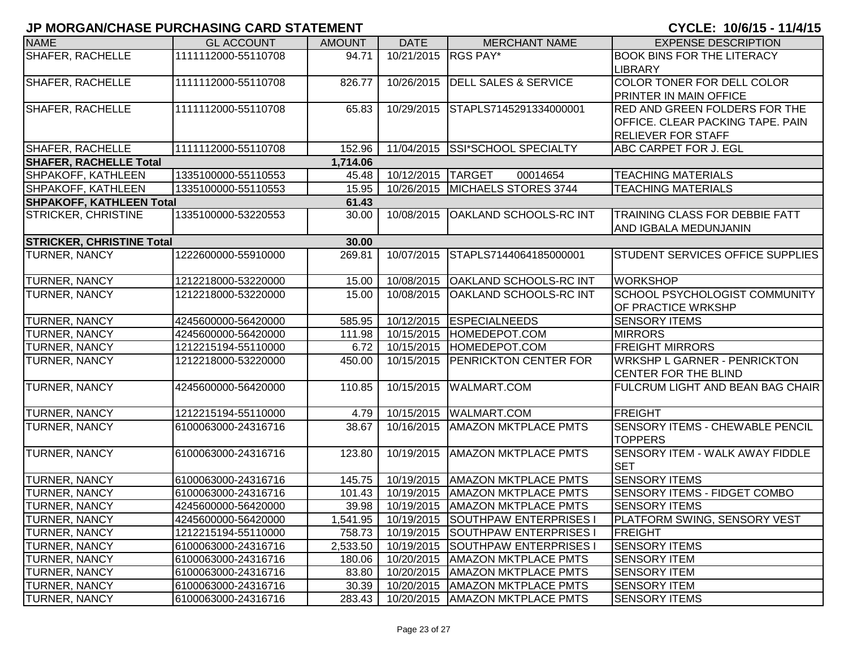| <b>NAME</b>                      | <b>GL ACCOUNT</b>   | <b>AMOUNT</b> | <b>DATE</b>       | <b>MERCHANT NAME</b>                       | <b>EXPENSE DESCRIPTION</b>              |
|----------------------------------|---------------------|---------------|-------------------|--------------------------------------------|-----------------------------------------|
| <b>SHAFER, RACHELLE</b>          | 1111112000-55110708 | 94.71         | 10/21/2015        | <b>RGS PAY*</b>                            | <b>BOOK BINS FOR THE LITERACY</b>       |
|                                  |                     |               |                   |                                            | <b>LIBRARY</b>                          |
| <b>SHAFER, RACHELLE</b>          | 1111112000-55110708 | 826.77        | 10/26/2015        | <b>DELL SALES &amp; SERVICE</b>            | COLOR TONER FOR DELL COLOR              |
|                                  |                     |               |                   |                                            | PRINTER IN MAIN OFFICE                  |
| <b>SHAFER, RACHELLE</b>          | 1111112000-55110708 | 65.83         | 10/29/2015        | STAPLS7145291334000001                     | <b>RED AND GREEN FOLDERS FOR THE</b>    |
|                                  |                     |               |                   |                                            | OFFICE. CLEAR PACKING TAPE. PAIN        |
|                                  |                     |               |                   |                                            | <b>RELIEVER FOR STAFF</b>               |
| SHAFER, RACHELLE                 | 1111112000-55110708 | 152.96        | 11/04/2015        | <b>SSI*SCHOOL SPECIALTY</b>                | ABC CARPET FOR J. EGL                   |
| <b>SHAFER, RACHELLE Total</b>    |                     | 1,714.06      |                   |                                            |                                         |
| SHPAKOFF, KATHLEEN               | 1335100000-55110553 | 45.48         | 10/12/2015 TARGET | 00014654                                   | <b>TEACHING MATERIALS</b>               |
| SHPAKOFF, KATHLEEN               | 1335100000-55110553 | 15.95         |                   | 10/26/2015 MICHAELS STORES 3744            | <b>TEACHING MATERIALS</b>               |
| <b>SHPAKOFF, KATHLEEN Total</b>  |                     | 61.43         |                   |                                            |                                         |
| <b>STRICKER, CHRISTINE</b>       | 1335100000-53220553 | 30.00         | 10/08/2015        | <b>OAKLAND SCHOOLS-RC INT</b>              | <b>TRAINING CLASS FOR DEBBIE FATT</b>   |
|                                  |                     |               |                   |                                            | AND IGBALA MEDUNJANIN                   |
| <b>STRICKER, CHRISTINE Total</b> |                     | 30.00         |                   |                                            |                                         |
| <b>TURNER, NANCY</b>             | 1222600000-55910000 | 269.81        | 10/07/2015        | STAPLS7144064185000001                     | STUDENT SERVICES OFFICE SUPPLIES        |
|                                  |                     |               |                   |                                            |                                         |
| TURNER, NANCY                    | 1212218000-53220000 | 15.00         | 10/08/2015        | <b>OAKLAND SCHOOLS-RC INT</b>              | <b>WORKSHOP</b>                         |
| <b>TURNER, NANCY</b>             | 1212218000-53220000 | 15.00         | 10/08/2015        | <b>OAKLAND SCHOOLS-RC INT</b>              | SCHOOL PSYCHOLOGIST COMMUNITY           |
|                                  |                     |               |                   |                                            | OF PRACTICE WRKSHP                      |
| <b>TURNER, NANCY</b>             | 4245600000-56420000 | 585.95        | 10/12/2015        | <b>ESPECIALNEEDS</b>                       | <b>SENSORY ITEMS</b>                    |
| <b>TURNER, NANCY</b>             | 4245600000-56420000 | 111.98        |                   | 10/15/2015  HOMEDEPOT.COM                  | <b>MIRRORS</b>                          |
| <b>TURNER, NANCY</b>             | 1212215194-55110000 | 6.72          |                   | 10/15/2015  HOMEDEPOT.COM                  | <b>FREIGHT MIRRORS</b>                  |
| TURNER, NANCY                    | 1212218000-53220000 | 450.00        | 10/15/2015        | <b>PENRICKTON CENTER FOR</b>               | <b>WRKSHP L GARNER - PENRICKTON</b>     |
|                                  |                     |               |                   |                                            | <b>CENTER FOR THE BLIND</b>             |
| TURNER, NANCY                    | 4245600000-56420000 | 110.85        | 10/15/2015        | <b>WALMART.COM</b>                         | <b>FULCRUM LIGHT AND BEAN BAG CHAIR</b> |
|                                  |                     |               |                   |                                            |                                         |
| TURNER, NANCY                    | 1212215194-55110000 | 4.79          | 10/15/2015        | <b>WALMART.COM</b>                         | <b>FREIGHT</b>                          |
| TURNER, NANCY                    | 6100063000-24316716 | 38.67         | 10/16/2015        | <b>AMAZON MKTPLACE PMTS</b>                | <b>SENSORY ITEMS - CHEWABLE PENCIL</b>  |
|                                  |                     |               |                   |                                            | <b>TOPPERS</b>                          |
| <b>TURNER, NANCY</b>             | 6100063000-24316716 | 123.80        | 10/19/2015        | <b>AMAZON MKTPLACE PMTS</b>                | <b>SENSORY ITEM - WALK AWAY FIDDLE</b>  |
|                                  |                     |               |                   |                                            | <b>SET</b>                              |
| <b>TURNER, NANCY</b>             | 6100063000-24316716 | 145.75        | 10/19/2015        | <b>AMAZON MKTPLACE PMTS</b>                | <b>SENSORY ITEMS</b>                    |
| TURNER, NANCY                    | 6100063000-24316716 | 101.43        | 10/19/2015        | <b>AMAZON MKTPLACE PMTS</b>                | <b>SENSORY ITEMS - FIDGET COMBO</b>     |
| <b>TURNER, NANCY</b>             | 4245600000-56420000 | 39.98         |                   | 10/19/2015   AMAZON MKTPLACE PMTS          | <b>SENSORY ITEMS</b>                    |
| <b>TURNER, NANCY</b>             | 4245600000-56420000 | 1,541.95      |                   | 10/19/2015 SOUTHPAW ENTERPRISES I          | <b>PLATFORM SWING, SENSORY VEST</b>     |
| <b>TURNER, NANCY</b>             | 1212215194-55110000 | 758.73        | 10/19/2015        | <b>SOUTHPAW ENTERPRISES I</b>              | <b>FREIGHT</b>                          |
| <b>TURNER, NANCY</b>             | 6100063000-24316716 | 2,533.50      | 10/19/2015        | <b>SOUTHPAW ENTERPRISES I</b>              | <b>SENSORY ITEMS</b>                    |
| <b>TURNER, NANCY</b>             | 6100063000-24316716 | 180.06        | 10/20/2015        | <b>AMAZON MKTPLACE PMTS</b>                | <b>SENSORY ITEM</b>                     |
| <b>TURNER, NANCY</b>             | 6100063000-24316716 | 83.80         | 10/20/2015        | <b>AMAZON MKTPLACE PMTS</b>                | <b>SENSORY ITEM</b>                     |
| <b>TURNER, NANCY</b>             | 6100063000-24316716 | 30.39         |                   | 10/20/2015   AMAZON MKTPLACE PMTS          | <b>SENSORY ITEM</b>                     |
| <b>TURNER, NANCY</b>             | 6100063000-24316716 |               |                   | 283.43   10/20/2015   AMAZON MKTPLACE PMTS | <b>SENSORY ITEMS</b>                    |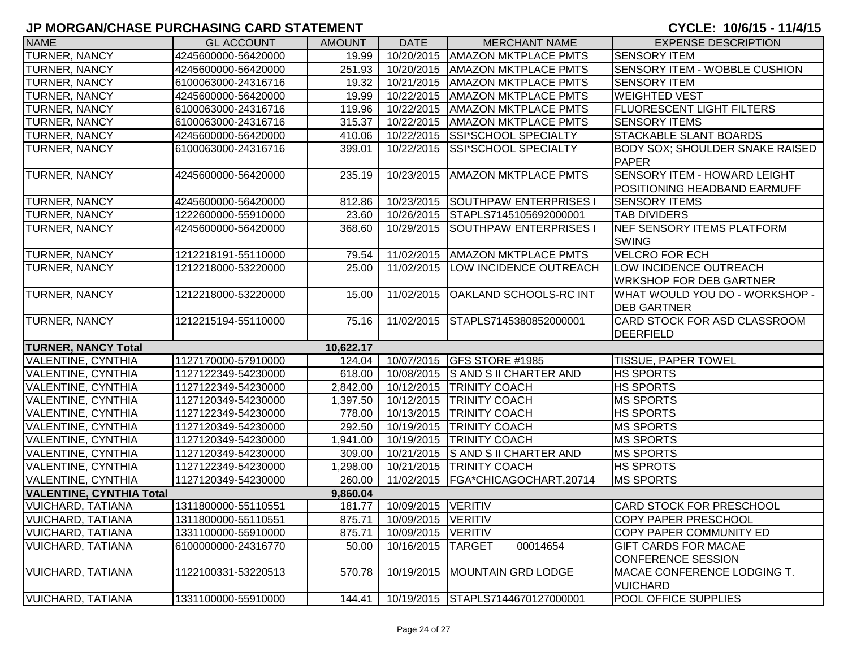| <b>NAME</b>                     | <b>GL ACCOUNT</b>   | <b>AMOUNT</b> | <b>DATE</b>          | <b>MERCHANT NAME</b>              | <b>EXPENSE DESCRIPTION</b>             |
|---------------------------------|---------------------|---------------|----------------------|-----------------------------------|----------------------------------------|
| TURNER, NANCY                   | 4245600000-56420000 | 19.99         | 10/20/2015           | <b>AMAZON MKTPLACE PMTS</b>       | <b>SENSORY ITEM</b>                    |
| TURNER, NANCY                   | 4245600000-56420000 | 251.93        | 10/20/2015           | <b>AMAZON MKTPLACE PMTS</b>       | SENSORY ITEM - WOBBLE CUSHION          |
| TURNER, NANCY                   | 6100063000-24316716 | 19.32         | 10/21/2015           | <b>AMAZON MKTPLACE PMTS</b>       | <b>SENSORY ITEM</b>                    |
| TURNER, NANCY                   | 4245600000-56420000 | 19.99         | 10/22/2015           | <b>AMAZON MKTPLACE PMTS</b>       | <b>WEIGHTED VEST</b>                   |
| <b>TURNER, NANCY</b>            | 6100063000-24316716 | 119.96        | 10/22/2015           | <b>AMAZON MKTPLACE PMTS</b>       | <b>FLUORESCENT LIGHT FILTERS</b>       |
| <b>TURNER, NANCY</b>            | 6100063000-24316716 | 315.37        | 10/22/2015           | <b>AMAZON MKTPLACE PMTS</b>       | <b>SENSORY ITEMS</b>                   |
| <b>TURNER, NANCY</b>            | 4245600000-56420000 | 410.06        | 10/22/2015           | <b>SSI*SCHOOL SPECIALTY</b>       | <b>STACKABLE SLANT BOARDS</b>          |
| TURNER, NANCY                   | 6100063000-24316716 | 399.01        | 10/22/2015           | <b>SSI*SCHOOL SPECIALTY</b>       | <b>BODY SOX; SHOULDER SNAKE RAISED</b> |
|                                 |                     |               |                      |                                   | <b>PAPER</b>                           |
| TURNER, NANCY                   | 4245600000-56420000 | 235.19        | 10/23/2015           | <b>AMAZON MKTPLACE PMTS</b>       | SENSORY ITEM - HOWARD LEIGHT           |
|                                 |                     |               |                      |                                   | POSITIONING HEADBAND EARMUFF           |
| TURNER, NANCY                   | 4245600000-56420000 | 812.86        | 10/23/2015           | <b>SOUTHPAW ENTERPRISES</b>       | <b>SENSORY ITEMS</b>                   |
| <b>TURNER, NANCY</b>            | 1222600000-55910000 | 23.60         | 10/26/2015           | STAPLS7145105692000001            | <b>TAB DIVIDERS</b>                    |
| TURNER, NANCY                   | 4245600000-56420000 | 368.60        | 10/29/2015           | SOUTHPAW ENTERPRISES I            | NEF SENSORY ITEMS PLATFORM             |
|                                 |                     |               |                      |                                   | <b>SWING</b>                           |
| <b>TURNER, NANCY</b>            | 1212218191-55110000 | 79.54         | 11/02/2015           | <b>AMAZON MKTPLACE PMTS</b>       | <b>VELCRO FOR ECH</b>                  |
| <b>TURNER, NANCY</b>            | 1212218000-53220000 | 25.00         | 11/02/2015           | LOW INCIDENCE OUTREACH            | LOW INCIDENCE OUTREACH                 |
|                                 |                     |               |                      |                                   | <b>WRKSHOP FOR DEB GARTNER</b>         |
| TURNER, NANCY                   | 1212218000-53220000 | 15.00         | 11/02/2015           | <b>OAKLAND SCHOOLS-RC INT</b>     | WHAT WOULD YOU DO - WORKSHOP -         |
|                                 |                     |               |                      |                                   | <b>DEB GARTNER</b>                     |
| <b>TURNER, NANCY</b>            | 1212215194-55110000 | 75.16         | 11/02/2015           | STAPLS7145380852000001            | CARD STOCK FOR ASD CLASSROOM           |
|                                 |                     |               |                      |                                   | DEERFIELD                              |
| <b>TURNER, NANCY Total</b>      |                     | 10,622.17     |                      |                                   |                                        |
| <b>VALENTINE, CYNTHIA</b>       | 1127170000-57910000 | 124.04        | 10/07/2015           | GFS STORE #1985                   | <b>TISSUE, PAPER TOWEL</b>             |
| <b>VALENTINE, CYNTHIA</b>       | 1127122349-54230000 | 618.00        | 10/08/2015           | <b>S AND S II CHARTER AND</b>     | <b>HS SPORTS</b>                       |
| <b>VALENTINE, CYNTHIA</b>       | 1127122349-54230000 | 2,842.00      | 10/12/2015           | <b>TRINITY COACH</b>              | <b>HS SPORTS</b>                       |
| <b>VALENTINE, CYNTHIA</b>       | 1127120349-54230000 | 1,397.50      | 10/12/2015           | <b>TRINITY COACH</b>              | <b>MS SPORTS</b>                       |
| <b>VALENTINE, CYNTHIA</b>       | 1127122349-54230000 | 778.00        | 10/13/2015           | <b>TRINITY COACH</b>              | <b>HS SPORTS</b>                       |
| <b>VALENTINE, CYNTHIA</b>       | 1127120349-54230000 | 292.50        | 10/19/2015           | <b>TRINITY COACH</b>              | <b>MS SPORTS</b>                       |
| <b>VALENTINE, CYNTHIA</b>       | 1127120349-54230000 | 1,941.00      | 10/19/2015           | <b>TRINITY COACH</b>              | <b>MS SPORTS</b>                       |
| <b>VALENTINE, CYNTHIA</b>       | 1127120349-54230000 | 309.00        | 10/21/2015           | S AND S II CHARTER AND            | <b>MS SPORTS</b>                       |
| VALENTINE, CYNTHIA              | 1127122349-54230000 | 1,298.00      | 10/21/2015           | <b>TRINITY COACH</b>              | <b>HS SPROTS</b>                       |
| VALENTINE, CYNTHIA              | 1127120349-54230000 | 260.00        | 11/02/2015           | FGA*CHICAGOCHART.20714            | <b>MS SPORTS</b>                       |
| <b>VALENTINE, CYNTHIA Total</b> |                     | 9,860.04      |                      |                                   |                                        |
| <b>VUICHARD, TATIANA</b>        | 1311800000-55110551 | 181.77        | 10/09/2015 VERITIV   |                                   | <b>CARD STOCK FOR PRESCHOOL</b>        |
| VUICHARD, TATIANA               | 1311800000-55110551 | 875.71        | 10/09/2015   VERITIV |                                   | COPY PAPER PRESCHOOL                   |
| <b>VUICHARD, TATIANA</b>        | 1331100000-55910000 | 875.71        | 10/09/2015   VERITIV |                                   | <b>COPY PAPER COMMUNITY ED</b>         |
| <b>VUICHARD, TATIANA</b>        | 6100000000-24316770 | 50.00         | 10/16/2015   TARGET  | 00014654                          | <b>GIFT CARDS FOR MACAE</b>            |
|                                 |                     |               |                      |                                   | CONFERENCE SESSION                     |
| <b>VUICHARD, TATIANA</b>        | 1122100331-53220513 | 570.78        |                      | 10/19/2015   MOUNTAIN GRD LODGE   | MACAE CONFERENCE LODGING T.            |
|                                 |                     |               |                      |                                   | <b>VUICHARD</b>                        |
| <b>VUICHARD, TATIANA</b>        | 1331100000-55910000 | 144.41        |                      | 10/19/2015 STAPLS7144670127000001 | <b>POOL OFFICE SUPPLIES</b>            |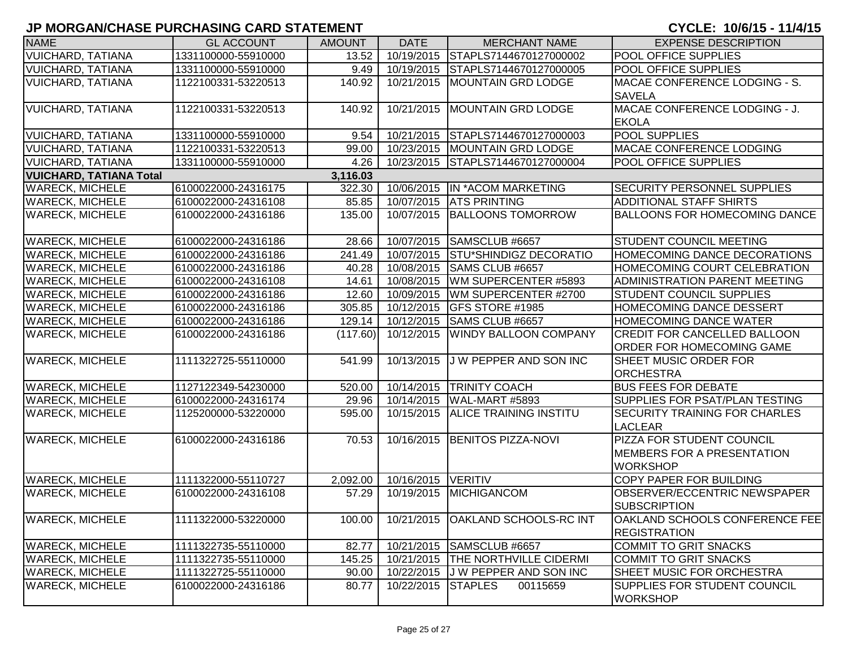| <b>NAME</b>                    | <b>GL ACCOUNT</b>   | <b>AMOUNT</b> | <b>DATE</b>        | <b>MERCHANT NAME</b>              | <b>EXPENSE DESCRIPTION</b>           |
|--------------------------------|---------------------|---------------|--------------------|-----------------------------------|--------------------------------------|
| <b>VUICHARD, TATIANA</b>       | 1331100000-55910000 | 13.52         |                    | 10/19/2015 STAPLS7144670127000002 | POOL OFFICE SUPPLIES                 |
| <b>VUICHARD, TATIANA</b>       | 1331100000-55910000 | 9.49          |                    | 10/19/2015 STAPLS7144670127000005 | <b>POOL OFFICE SUPPLIES</b>          |
| <b>VUICHARD, TATIANA</b>       | 1122100331-53220513 | 140.92        |                    | 10/21/2015   MOUNTAIN GRD LODGE   | MACAE CONFERENCE LODGING - S.        |
|                                |                     |               |                    |                                   | <b>SAVELA</b>                        |
| <b>VUICHARD, TATIANA</b>       | 1122100331-53220513 | 140.92        |                    | 10/21/2015 MOUNTAIN GRD LODGE     | MACAE CONFERENCE LODGING - J.        |
|                                |                     |               |                    |                                   | <b>EKOLA</b>                         |
| <b>VUICHARD, TATIANA</b>       | 1331100000-55910000 | 9.54          |                    | 10/21/2015 STAPLS7144670127000003 | <b>POOL SUPPLIES</b>                 |
| <b>VUICHARD, TATIANA</b>       | 1122100331-53220513 | 99.00         |                    | 10/23/2015   MOUNTAIN GRD LODGE   | MACAE CONFERENCE LODGING             |
| <b>VUICHARD, TATIANA</b>       | 1331100000-55910000 | 4.26          | 10/23/2015         | STAPLS7144670127000004            | <b>POOL OFFICE SUPPLIES</b>          |
| <b>VUICHARD, TATIANA Total</b> |                     | 3,116.03      |                    |                                   |                                      |
| <b>WARECK, MICHELE</b>         | 6100022000-24316175 | 322.30        |                    | 10/06/2015  IN *ACOM MARKETING    | <b>SECURITY PERSONNEL SUPPLIES</b>   |
| <b>WARECK, MICHELE</b>         | 6100022000-24316108 | 85.85         | 10/07/2015         | <b>ATS PRINTING</b>               | ADDITIONAL STAFF SHIRTS              |
| <b>WARECK, MICHELE</b>         | 6100022000-24316186 | 135.00        | 10/07/2015         | <b>BALLOONS TOMORROW</b>          | <b>BALLOONS FOR HOMECOMING DANCE</b> |
|                                |                     |               |                    |                                   |                                      |
| <b>WARECK, MICHELE</b>         | 6100022000-24316186 | 28.66         | 10/07/2015         | SAMSCLUB #6657                    | <b>STUDENT COUNCIL MEETING</b>       |
| <b>WARECK, MICHELE</b>         | 6100022000-24316186 | 241.49        | 10/07/2015         | <b>STU*SHINDIGZ DECORATIO</b>     | HOMECOMING DANCE DECORATIONS         |
| <b>WARECK, MICHELE</b>         | 6100022000-24316186 | 40.28         | 10/08/2015         | <b>SAMS CLUB #6657</b>            | HOMECOMING COURT CELEBRATION         |
| <b>WARECK, MICHELE</b>         | 6100022000-24316108 | 14.61         | 10/08/2015         | WM SUPERCENTER #5893              | ADMINISTRATION PARENT MEETING        |
| <b>WARECK, MICHELE</b>         | 6100022000-24316186 | 12.60         | 10/09/2015         | WM SUPERCENTER #2700              | <b>STUDENT COUNCIL SUPPLIES</b>      |
| <b>WARECK, MICHELE</b>         | 6100022000-24316186 | 305.85        | 10/12/2015         | <b>GFS STORE #1985</b>            | HOMECOMING DANCE DESSERT             |
| <b>WARECK, MICHELE</b>         | 6100022000-24316186 | 129.14        | 10/12/2015         | <b>SAMS CLUB #6657</b>            | HOMECOMING DANCE WATER               |
| <b>WARECK, MICHELE</b>         | 6100022000-24316186 | (117.60)      | 10/12/2015         | <b>WINDY BALLOON COMPANY</b>      | <b>CREDIT FOR CANCELLED BALLOON</b>  |
|                                |                     |               |                    |                                   | <b>ORDER FOR HOMECOMING GAME</b>     |
| <b>WARECK, MICHELE</b>         | 1111322725-55110000 | 541.99        | 10/13/2015         | J W PEPPER AND SON INC            | <b>SHEET MUSIC ORDER FOR</b>         |
|                                |                     |               |                    |                                   | <b>ORCHESTRA</b>                     |
| <b>WARECK, MICHELE</b>         | 1127122349-54230000 | 520.00        |                    | 10/14/2015 TRINITY COACH          | <b>BUS FEES FOR DEBATE</b>           |
| <b>WARECK, MICHELE</b>         | 6100022000-24316174 | 29.96         |                    | 10/14/2015   WAL-MART #5893       | SUPPLIES FOR PSAT/PLAN TESTING       |
| <b>WARECK, MICHELE</b>         | 1125200000-53220000 | 595.00        | 10/15/2015         | <b>ALICE TRAINING INSTITU</b>     | SECURITY TRAINING FOR CHARLES        |
|                                |                     |               |                    |                                   | <b>LACLEAR</b>                       |
| <b>WARECK, MICHELE</b>         | 6100022000-24316186 | 70.53         |                    | 10/16/2015 BENITOS PIZZA-NOVI     | PIZZA FOR STUDENT COUNCIL            |
|                                |                     |               |                    |                                   | <b>MEMBERS FOR A PRESENTATION</b>    |
|                                |                     |               |                    |                                   | <b>WORKSHOP</b>                      |
| <b>WARECK, MICHELE</b>         | 1111322000-55110727 | 2,092.00      | 10/16/2015 VERITIV |                                   | COPY PAPER FOR BUILDING              |
| <b>WARECK, MICHELE</b>         | 6100022000-24316108 | 57.29         |                    | 10/19/2015 MICHIGANCOM            | OBSERVER/ECCENTRIC NEWSPAPER         |
|                                |                     |               |                    |                                   | <b>SUBSCRIPTION</b>                  |
| <b>WARECK, MICHELE</b>         | 1111322000-53220000 | 100.00        |                    | 10/21/2015 OAKLAND SCHOOLS-RC INT | OAKLAND SCHOOLS CONFERENCE FEE       |
|                                |                     |               |                    |                                   | <b>REGISTRATION</b>                  |
| <b>WARECK, MICHELE</b>         | 1111322735-55110000 | 82.77         |                    | 10/21/2015 SAMSCLUB #6657         | <b>COMMIT TO GRIT SNACKS</b>         |
| <b>WARECK, MICHELE</b>         | 1111322735-55110000 | 145.25        |                    | 10/21/2015 THE NORTHVILLE CIDERMI | <b>COMMIT TO GRIT SNACKS</b>         |
| <b>WARECK, MICHELE</b>         | 1111322725-55110000 | 90.00         |                    | 10/22/2015 J W PEPPER AND SON INC | SHEET MUSIC FOR ORCHESTRA            |
| <b>WARECK, MICHELE</b>         | 6100022000-24316186 | 80.77         | 10/22/2015 STAPLES | 00115659                          | <b>SUPPLIES FOR STUDENT COUNCIL</b>  |
|                                |                     |               |                    |                                   | <b>WORKSHOP</b>                      |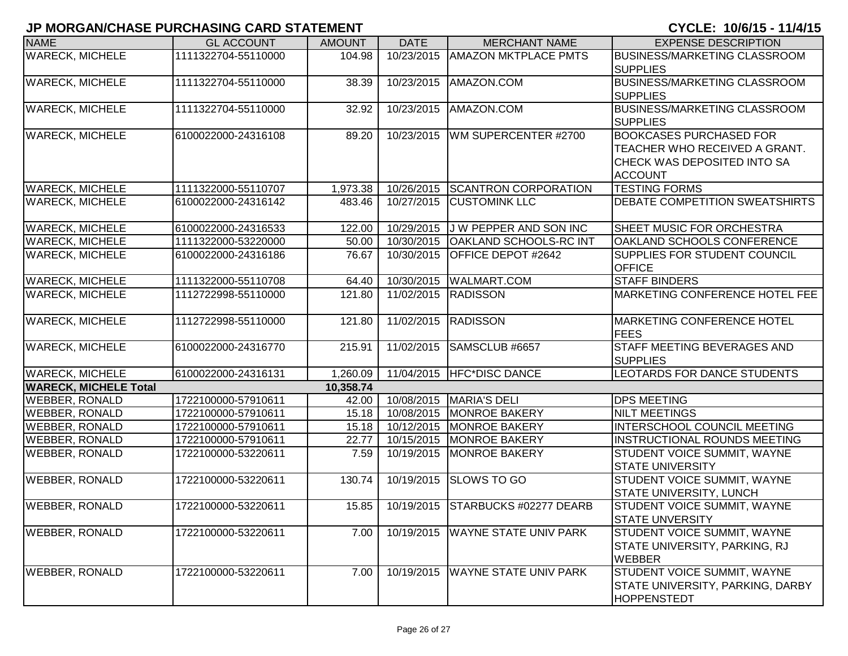| <b>NAME</b>                  | <b>GL ACCOUNT</b>   | <b>AMOUNT</b> | <b>DATE</b> | <b>MERCHANT NAME</b>              | <b>EXPENSE DESCRIPTION</b>                                                                                       |
|------------------------------|---------------------|---------------|-------------|-----------------------------------|------------------------------------------------------------------------------------------------------------------|
| <b>WARECK, MICHELE</b>       | 1111322704-55110000 | 104.98        | 10/23/2015  | <b>AMAZON MKTPLACE PMTS</b>       | <b>BUSINESS/MARKETING CLASSROOM</b><br><b>SUPPLIES</b>                                                           |
| <b>WARECK, MICHELE</b>       | 1111322704-55110000 | 38.39         | 10/23/2015  | AMAZON.COM                        | <b>BUSINESS/MARKETING CLASSROOM</b><br><b>SUPPLIES</b>                                                           |
| <b>WARECK, MICHELE</b>       | 1111322704-55110000 | 32.92         | 10/23/2015  | AMAZON.COM                        | <b>BUSINESS/MARKETING CLASSROOM</b><br><b>SUPPLIES</b>                                                           |
| <b>WARECK, MICHELE</b>       | 6100022000-24316108 | 89.20         | 10/23/2015  | WM SUPERCENTER #2700              | <b>BOOKCASES PURCHASED FOR</b><br>TEACHER WHO RECEIVED A GRANT.<br>CHECK WAS DEPOSITED INTO SA<br><b>ACCOUNT</b> |
| <b>WARECK, MICHELE</b>       | 1111322000-55110707 | 1,973.38      | 10/26/2015  | <b>SCANTRON CORPORATION</b>       | <b>TESTING FORMS</b>                                                                                             |
| <b>WARECK, MICHELE</b>       | 6100022000-24316142 | 483.46        | 10/27/2015  | <b>CUSTOMINK LLC</b>              | <b>DEBATE COMPETITION SWEATSHIRTS</b>                                                                            |
| <b>WARECK, MICHELE</b>       | 6100022000-24316533 | 122.00        | 10/29/2015  | J W PEPPER AND SON INC            | SHEET MUSIC FOR ORCHESTRA                                                                                        |
| <b>WARECK, MICHELE</b>       | 1111322000-53220000 | 50.00         | 10/30/2015  | <b>OAKLAND SCHOOLS-RC INT</b>     | <b>OAKLAND SCHOOLS CONFERENCE</b>                                                                                |
| <b>WARECK, MICHELE</b>       | 6100022000-24316186 | 76.67         | 10/30/2015  | OFFICE DEPOT #2642                | SUPPLIES FOR STUDENT COUNCIL<br><b>OFFICE</b>                                                                    |
| <b>WARECK, MICHELE</b>       | 1111322000-55110708 | 64.40         | 10/30/2015  | <b>WALMART.COM</b>                | <b>STAFF BINDERS</b>                                                                                             |
| <b>WARECK, MICHELE</b>       | 1112722998-55110000 | 121.80        | 11/02/2015  | <b>RADISSON</b>                   | <b>MARKETING CONFERENCE HOTEL FEE</b>                                                                            |
| <b>WARECK, MICHELE</b>       | 1112722998-55110000 | 121.80        | 11/02/2015  | <b>RADISSON</b>                   | <b>MARKETING CONFERENCE HOTEL</b><br><b>FEES</b>                                                                 |
| <b>WARECK, MICHELE</b>       | 6100022000-24316770 | 215.91        | 11/02/2015  | SAMSCLUB #6657                    | <b>STAFF MEETING BEVERAGES AND</b><br><b>SUPPLIES</b>                                                            |
| <b>WARECK, MICHELE</b>       | 6100022000-24316131 | 1,260.09      | 11/04/2015  | <b>HFC*DISC DANCE</b>             | LEOTARDS FOR DANCE STUDENTS                                                                                      |
| <b>WARECK, MICHELE Total</b> |                     | 10,358.74     |             |                                   |                                                                                                                  |
| <b>WEBBER, RONALD</b>        | 1722100000-57910611 | 42.00         | 10/08/2015  | MARIA'S DELI                      | <b>DPS MEETING</b>                                                                                               |
| <b>WEBBER, RONALD</b>        | 1722100000-57910611 | 15.18         | 10/08/2015  | <b>MONROE BAKERY</b>              | <b>NILT MEETINGS</b>                                                                                             |
| <b>WEBBER, RONALD</b>        | 1722100000-57910611 | 15.18         | 10/12/2015  | <b>MONROE BAKERY</b>              | <b>INTERSCHOOL COUNCIL MEETING</b>                                                                               |
| <b>WEBBER, RONALD</b>        | 1722100000-57910611 | 22.77         | 10/15/2015  | <b>MONROE BAKERY</b>              | <b>INSTRUCTIONAL ROUNDS MEETING</b>                                                                              |
| <b>WEBBER, RONALD</b>        | 1722100000-53220611 | 7.59          | 10/19/2015  | <b>MONROE BAKERY</b>              | STUDENT VOICE SUMMIT, WAYNE<br><b>STATE UNIVERSITY</b>                                                           |
| <b>WEBBER, RONALD</b>        | 1722100000-53220611 | 130.74        | 10/19/2015  | <b>SLOWS TO GO</b>                | STUDENT VOICE SUMMIT, WAYNE<br>STATE UNIVERSITY, LUNCH                                                           |
| <b>WEBBER, RONALD</b>        | 1722100000-53220611 | 15.85         |             | 10/19/2015 STARBUCKS #02277 DEARB | STUDENT VOICE SUMMIT, WAYNE<br><b>STATE UNVERSITY</b>                                                            |
| <b>WEBBER, RONALD</b>        | 1722100000-53220611 | 7.00          | 10/19/2015  | <b>WAYNE STATE UNIV PARK</b>      | STUDENT VOICE SUMMIT, WAYNE<br>STATE UNIVERSITY, PARKING, RJ<br><b>WEBBER</b>                                    |
| <b>WEBBER, RONALD</b>        | 1722100000-53220611 | 7.00          | 10/19/2015  | <b>WAYNE STATE UNIV PARK</b>      | STUDENT VOICE SUMMIT, WAYNE<br>STATE UNIVERSITY, PARKING, DARBY<br><b>HOPPENSTEDT</b>                            |